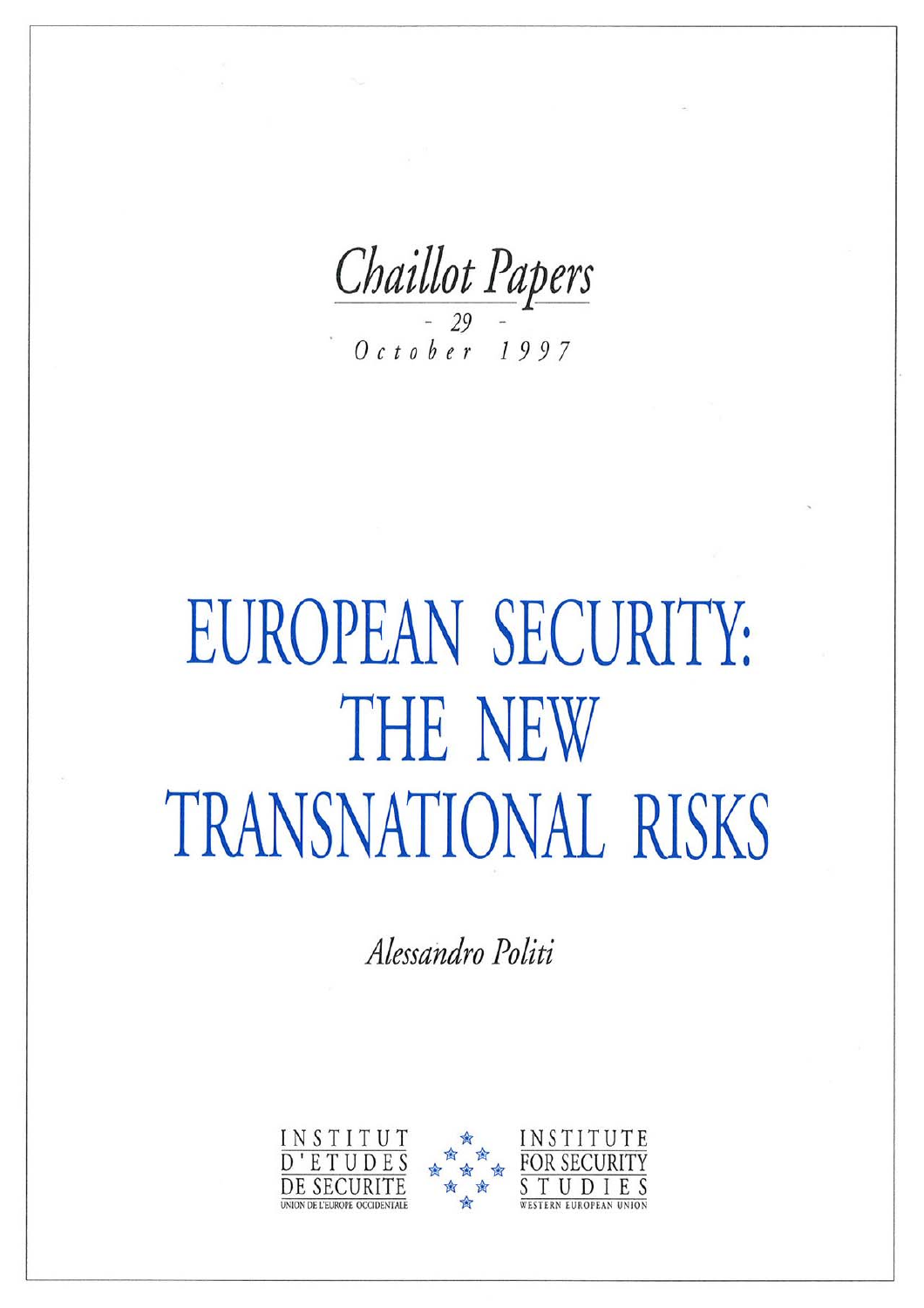Chaillot Papers  $October$  1997

# EUROPEAN SECURITY: **THE NEW** TRANSNATIONAL RISKS

Alessandro Politi

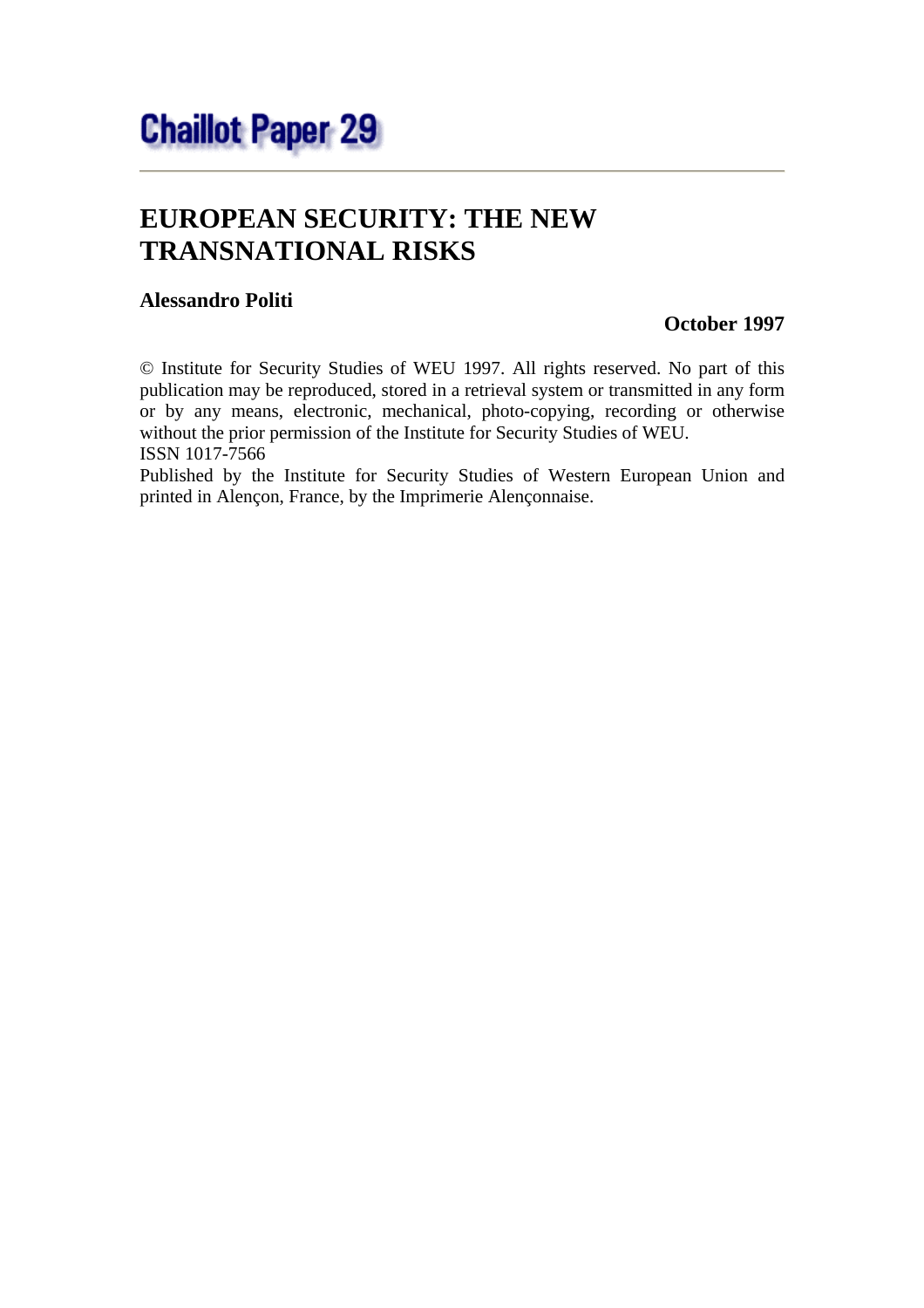# **EUROPEAN SECURITY: THE NEW TRANSNATIONAL RISKS**

#### **Alessandro Politi**

#### **October 1997**

© Institute for Security Studies of WEU 1997. All rights reserved. No part of this publication may be reproduced, stored in a retrieval system or transmitted in any form or by any means, electronic, mechanical, photo-copying, recording or otherwise without the prior permission of the Institute for Security Studies of WEU. ISSN 1017-7566

Published by the Institute for Security Studies of Western European Union and printed in Alençon, France, by the Imprimerie Alençonnaise.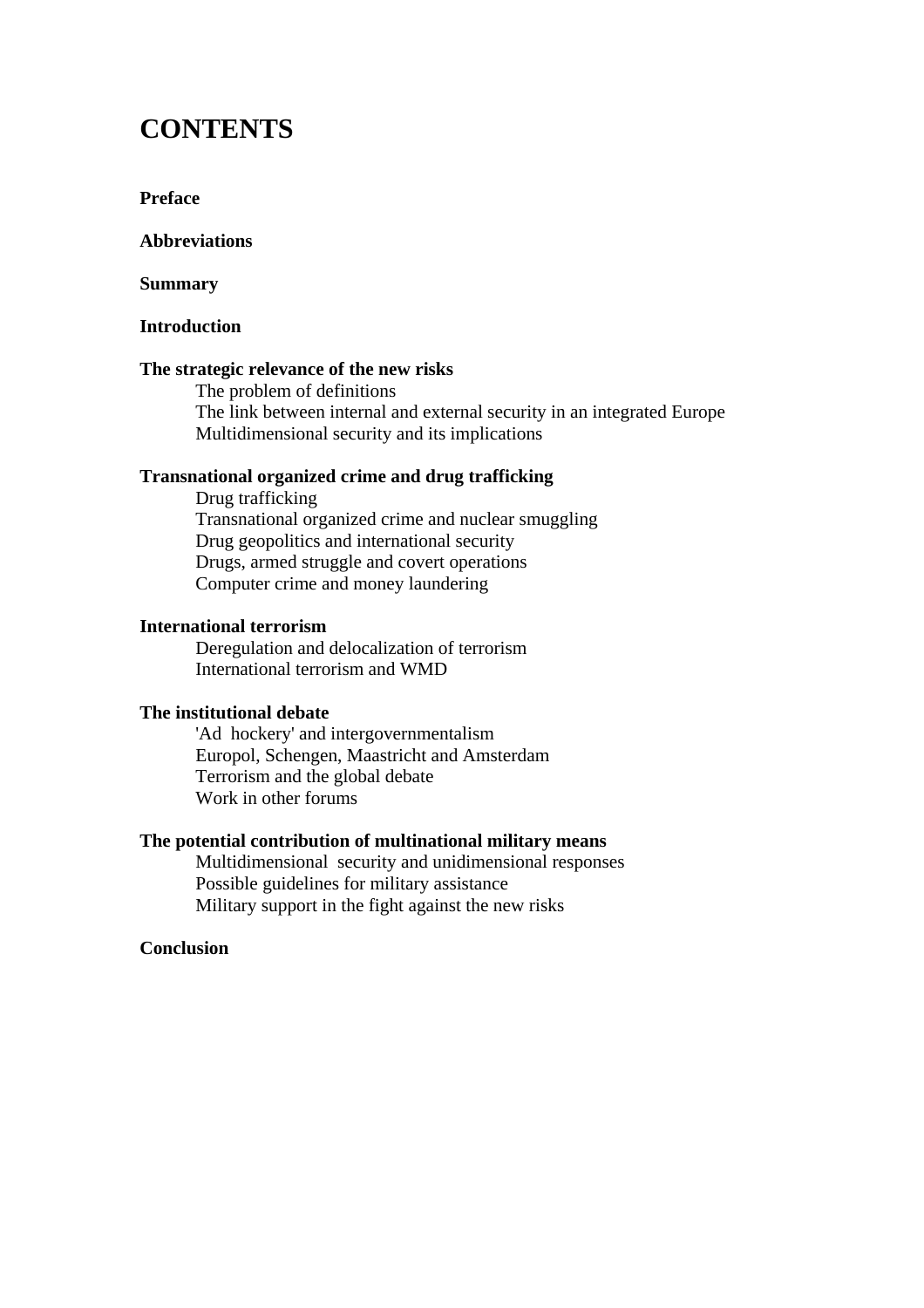### **CONTENTS**

#### **Preface**

#### **Abbreviations**

#### **Summary**

#### **Introduction**

#### **The strategic relevance of the new risks**

 The problem of definitions The link between internal and external security in an integrated Europe Multidimensional security and its implications

#### **Transnational organized crime and drug trafficking**

 Drug trafficking Transnational organized crime and nuclear smuggling Drug geopolitics and international security Drugs, armed struggle and covert operations Computer crime and money laundering

#### **International terrorism**

 Deregulation and delocalization of terrorism International terrorism and WMD

#### **The institutional debate**

 'Ad hockery' and intergovernmentalism Europol, Schengen, Maastricht and Amsterdam Terrorism and the global debate Work in other forums

#### **The potential contribution of multinational military means**

 Multidimensional security and unidimensional responses Possible guidelines for military assistance Military support in the fight against the new risks

#### **Conclusion**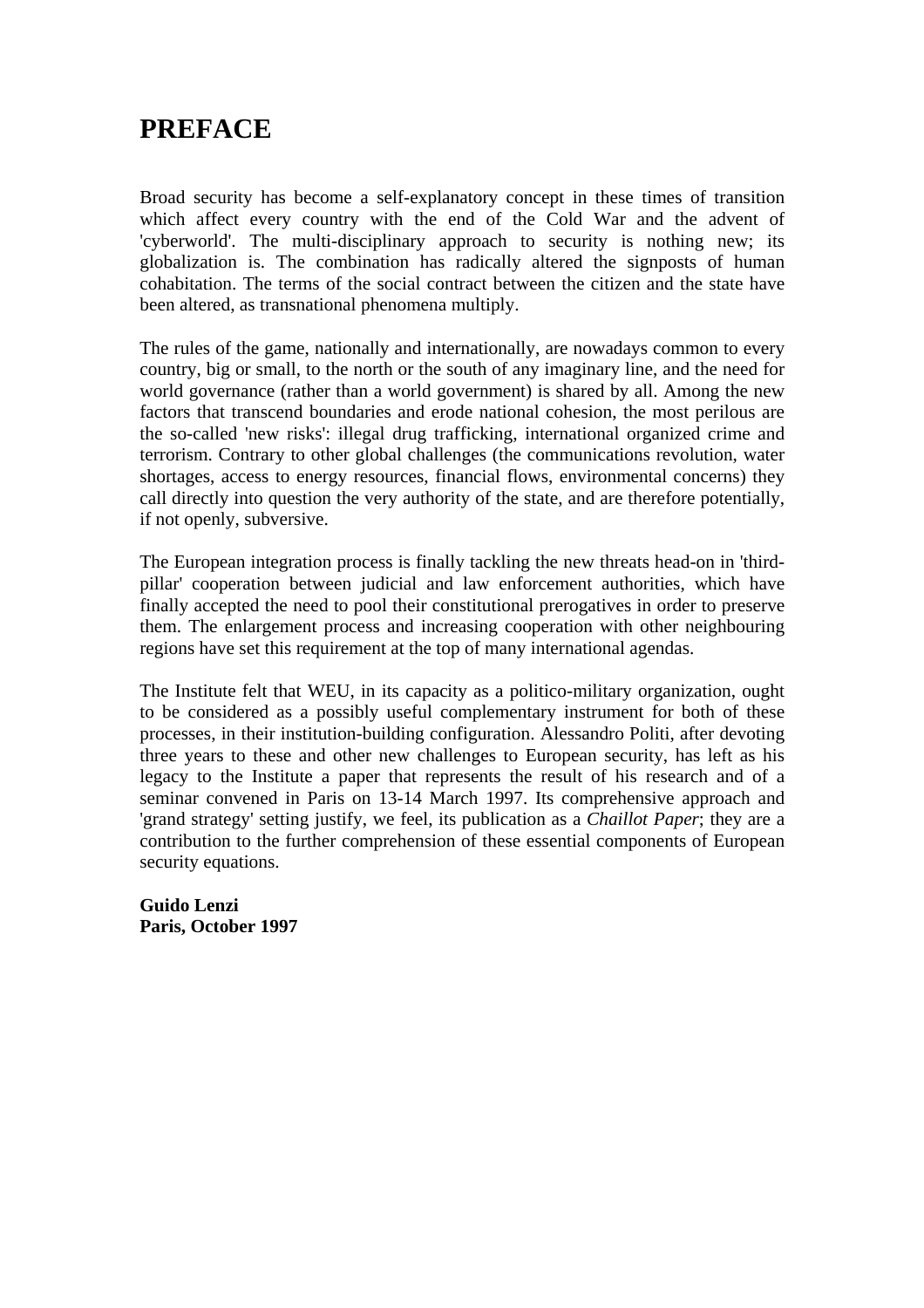## **PREFACE**

Broad security has become a self-explanatory concept in these times of transition which affect every country with the end of the Cold War and the advent of 'cyberworld'. The multi-disciplinary approach to security is nothing new; its globalization is. The combination has radically altered the signposts of human cohabitation. The terms of the social contract between the citizen and the state have been altered, as transnational phenomena multiply.

The rules of the game, nationally and internationally, are nowadays common to every country, big or small, to the north or the south of any imaginary line, and the need for world governance (rather than a world government) is shared by all. Among the new factors that transcend boundaries and erode national cohesion, the most perilous are the so-called 'new risks': illegal drug trafficking, international organized crime and terrorism. Contrary to other global challenges (the communications revolution, water shortages, access to energy resources, financial flows, environmental concerns) they call directly into question the very authority of the state, and are therefore potentially, if not openly, subversive.

The European integration process is finally tackling the new threats head-on in 'thirdpillar' cooperation between judicial and law enforcement authorities, which have finally accepted the need to pool their constitutional prerogatives in order to preserve them. The enlargement process and increasing cooperation with other neighbouring regions have set this requirement at the top of many international agendas.

The Institute felt that WEU, in its capacity as a politico-military organization, ought to be considered as a possibly useful complementary instrument for both of these processes, in their institution-building configuration. Alessandro Politi, after devoting three years to these and other new challenges to European security, has left as his legacy to the Institute a paper that represents the result of his research and of a seminar convened in Paris on 13-14 March 1997. Its comprehensive approach and 'grand strategy' setting justify, we feel, its publication as a *Chaillot Paper*; they are a contribution to the further comprehension of these essential components of European security equations.

**Guido Lenzi Paris, October 1997**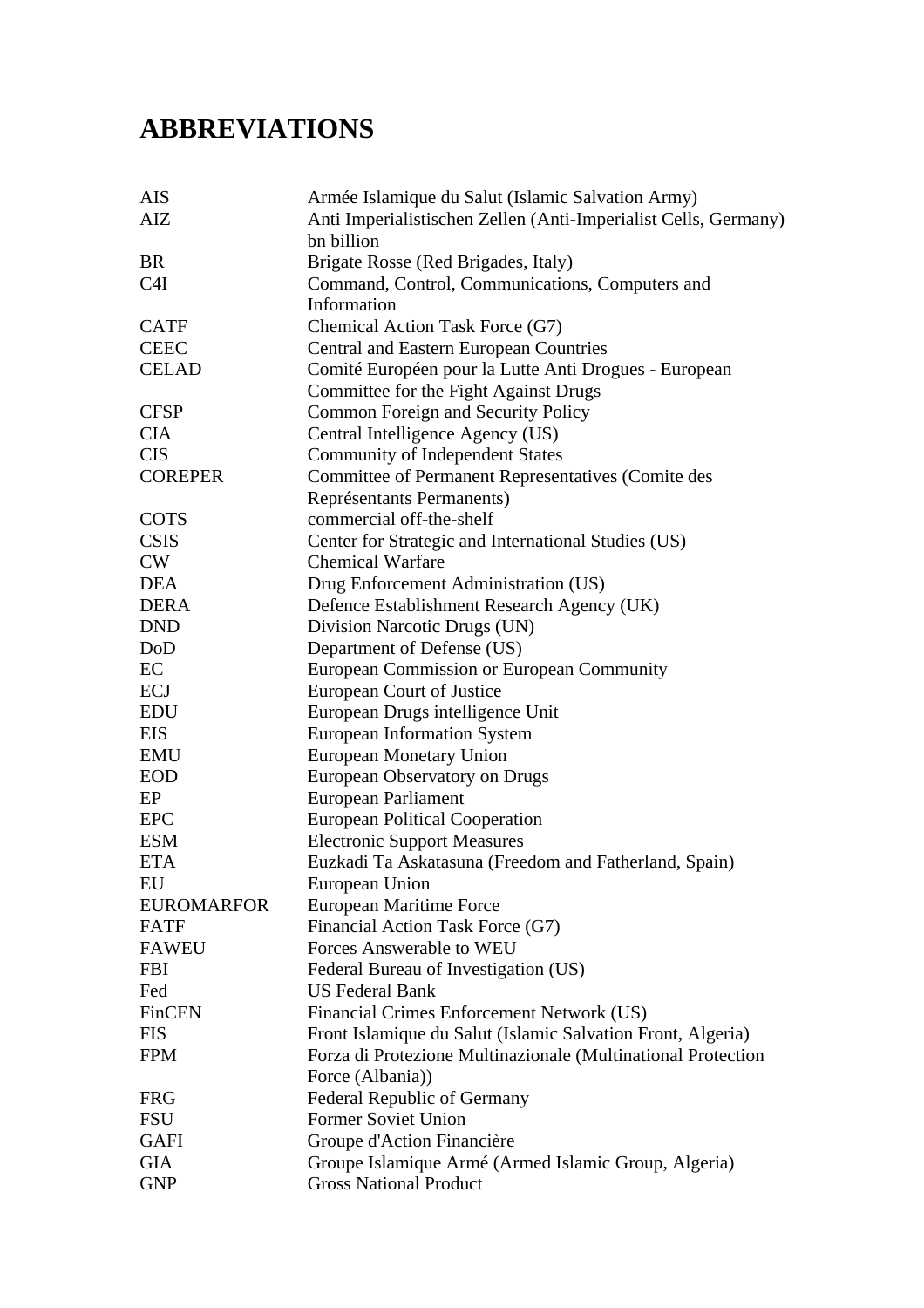# **ABBREVIATIONS**

| <b>AIS</b>        | Armée Islamique du Salut (Islamic Salvation Army)               |
|-------------------|-----------------------------------------------------------------|
| AIZ               | Anti Imperialistischen Zellen (Anti-Imperialist Cells, Germany) |
|                   | bn billion                                                      |
| <b>BR</b>         | Brigate Rosse (Red Brigades, Italy)                             |
| C <sub>4</sub> I  | Command, Control, Communications, Computers and                 |
|                   | Information                                                     |
| <b>CATF</b>       | Chemical Action Task Force (G7)                                 |
| <b>CEEC</b>       | <b>Central and Eastern European Countries</b>                   |
| <b>CELAD</b>      | Comité Européen pour la Lutte Anti Drogues - European           |
|                   | Committee for the Fight Against Drugs                           |
| <b>CFSP</b>       | Common Foreign and Security Policy                              |
| <b>CIA</b>        | Central Intelligence Agency (US)                                |
| <b>CIS</b>        | <b>Community of Independent States</b>                          |
| <b>COREPER</b>    | Committee of Permanent Representatives (Comite des              |
|                   | Représentants Permanents)                                       |
| <b>COTS</b>       | commercial off-the-shelf                                        |
| <b>CSIS</b>       | Center for Strategic and International Studies (US)             |
| CW                | <b>Chemical Warfare</b>                                         |
| <b>DEA</b>        | Drug Enforcement Administration (US)                            |
| <b>DERA</b>       | Defence Establishment Research Agency (UK)                      |
| <b>DND</b>        | Division Narcotic Drugs (UN)                                    |
| DoD               | Department of Defense (US)                                      |
| EC                | European Commission or European Community                       |
| <b>ECJ</b>        | European Court of Justice                                       |
| <b>EDU</b>        | European Drugs intelligence Unit                                |
| <b>EIS</b>        | <b>European Information System</b>                              |
| <b>EMU</b>        | <b>European Monetary Union</b>                                  |
| <b>EOD</b>        | European Observatory on Drugs                                   |
| EP                | European Parliament                                             |
| <b>EPC</b>        | <b>European Political Cooperation</b>                           |
| <b>ESM</b>        | <b>Electronic Support Measures</b>                              |
| <b>ETA</b>        | Euzkadi Ta Askatasuna (Freedom and Fatherland, Spain)           |
| EU                | European Union                                                  |
| <b>EUROMARFOR</b> | European Maritime Force                                         |
| <b>FATF</b>       | Financial Action Task Force (G7)                                |
| <b>FAWEU</b>      | <b>Forces Answerable to WEU</b>                                 |
| <b>FBI</b>        | Federal Bureau of Investigation (US)                            |
| Fed               | <b>US Federal Bank</b>                                          |
| FinCEN            | Financial Crimes Enforcement Network (US)                       |
| <b>FIS</b>        | Front Islamique du Salut (Islamic Salvation Front, Algeria)     |
| <b>FPM</b>        | Forza di Protezione Multinazionale (Multinational Protection    |
|                   | Force (Albania))                                                |
| <b>FRG</b>        | <b>Federal Republic of Germany</b>                              |
| <b>FSU</b>        | <b>Former Soviet Union</b>                                      |
| <b>GAFI</b>       | Groupe d'Action Financière                                      |
| <b>GIA</b>        | Groupe Islamique Armé (Armed Islamic Group, Algeria)            |
| <b>GNP</b>        | <b>Gross National Product</b>                                   |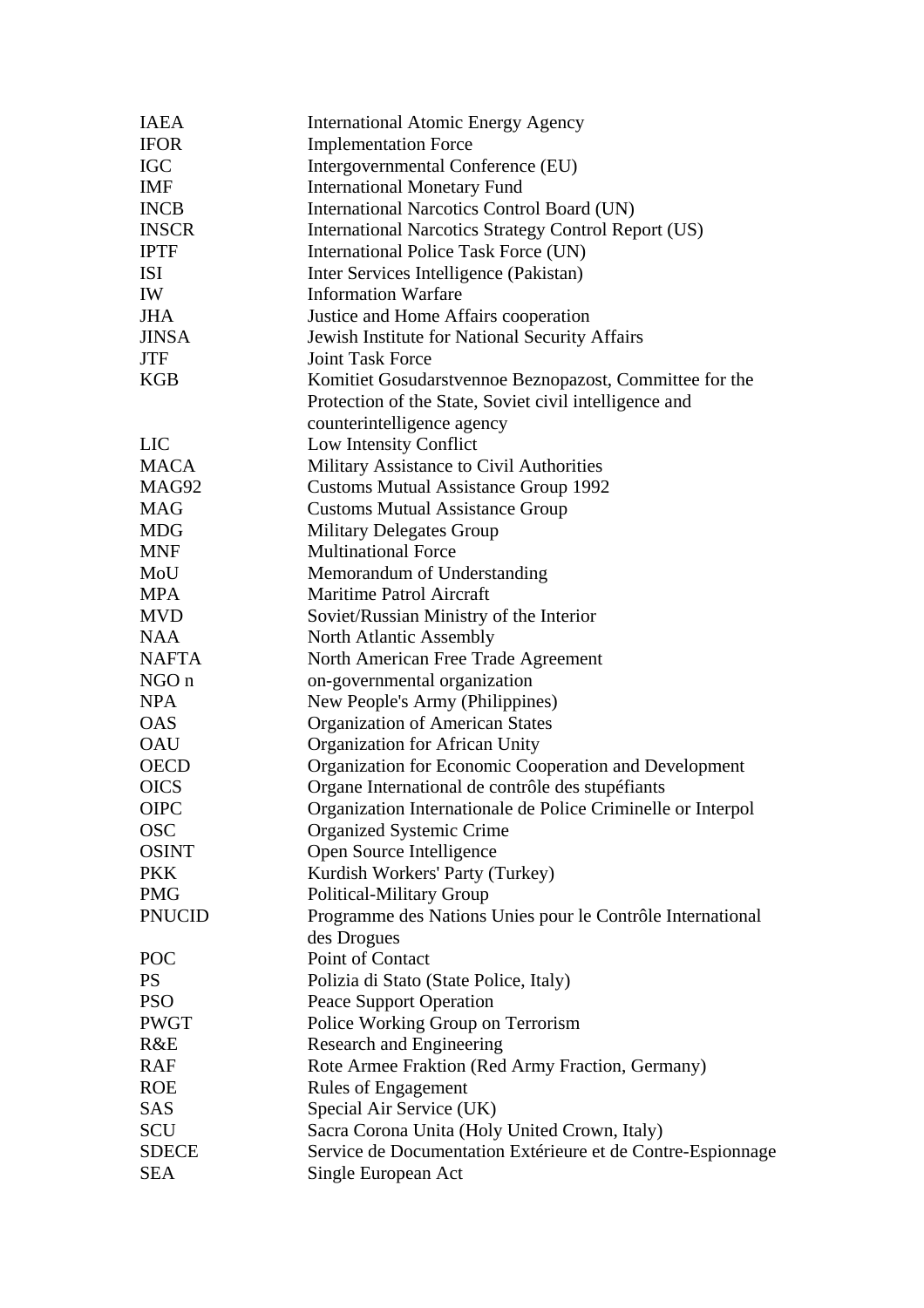| <b>IAEA</b>   | <b>International Atomic Energy Agency</b>                    |
|---------------|--------------------------------------------------------------|
| <b>IFOR</b>   | <b>Implementation Force</b>                                  |
| <b>IGC</b>    | Intergovernmental Conference (EU)                            |
| <b>IMF</b>    | <b>International Monetary Fund</b>                           |
| <b>INCB</b>   | International Narcotics Control Board (UN)                   |
| <b>INSCR</b>  | <b>International Narcotics Strategy Control Report (US)</b>  |
| <b>IPTF</b>   | International Police Task Force (UN)                         |
| <b>ISI</b>    | Inter Services Intelligence (Pakistan)                       |
| IW            | <b>Information Warfare</b>                                   |
| <b>JHA</b>    | Justice and Home Affairs cooperation                         |
| <b>JINSA</b>  | Jewish Institute for National Security Affairs               |
| <b>JTF</b>    | <b>Joint Task Force</b>                                      |
| <b>KGB</b>    | Komitiet Gosudarstvennoe Beznopazost, Committee for the      |
|               | Protection of the State, Soviet civil intelligence and       |
|               | counterintelligence agency                                   |
| <b>LIC</b>    | Low Intensity Conflict                                       |
| <b>MACA</b>   | Military Assistance to Civil Authorities                     |
| MAG92         | <b>Customs Mutual Assistance Group 1992</b>                  |
| <b>MAG</b>    | <b>Customs Mutual Assistance Group</b>                       |
| <b>MDG</b>    | <b>Military Delegates Group</b>                              |
| <b>MNF</b>    | <b>Multinational Force</b>                                   |
| MoU           | Memorandum of Understanding                                  |
| <b>MPA</b>    | <b>Maritime Patrol Aircraft</b>                              |
| <b>MVD</b>    | Soviet/Russian Ministry of the Interior                      |
| <b>NAA</b>    | <b>North Atlantic Assembly</b>                               |
| <b>NAFTA</b>  | North American Free Trade Agreement                          |
| NGO n         | on-governmental organization                                 |
| <b>NPA</b>    | New People's Army (Philippines)                              |
| <b>OAS</b>    | <b>Organization of American States</b>                       |
| <b>OAU</b>    | Organization for African Unity                               |
| <b>OECD</b>   | Organization for Economic Cooperation and Development        |
| <b>OICS</b>   | Organe International de contrôle des stupéfiants             |
| <b>OIPC</b>   | Organization Internationale de Police Criminelle or Interpol |
| <b>OSC</b>    | <b>Organized Systemic Crime</b>                              |
| <b>OSINT</b>  | Open Source Intelligence                                     |
| <b>PKK</b>    | Kurdish Workers' Party (Turkey)                              |
| <b>PMG</b>    | Political-Military Group                                     |
| <b>PNUCID</b> | Programme des Nations Unies pour le Contrôle International   |
|               | des Drogues                                                  |
| POC           | Point of Contact                                             |
| <b>PS</b>     | Polizia di Stato (State Police, Italy)                       |
| <b>PSO</b>    | <b>Peace Support Operation</b>                               |
| <b>PWGT</b>   | Police Working Group on Terrorism                            |
| R&E           | Research and Engineering                                     |
| <b>RAF</b>    | Rote Armee Fraktion (Red Army Fraction, Germany)             |
| <b>ROE</b>    | <b>Rules of Engagement</b>                                   |
| SAS           | Special Air Service (UK)                                     |
| SCU           | Sacra Corona Unita (Holy United Crown, Italy)                |
| <b>SDECE</b>  | Service de Documentation Extérieure et de Contre-Espionnage  |
| <b>SEA</b>    | Single European Act                                          |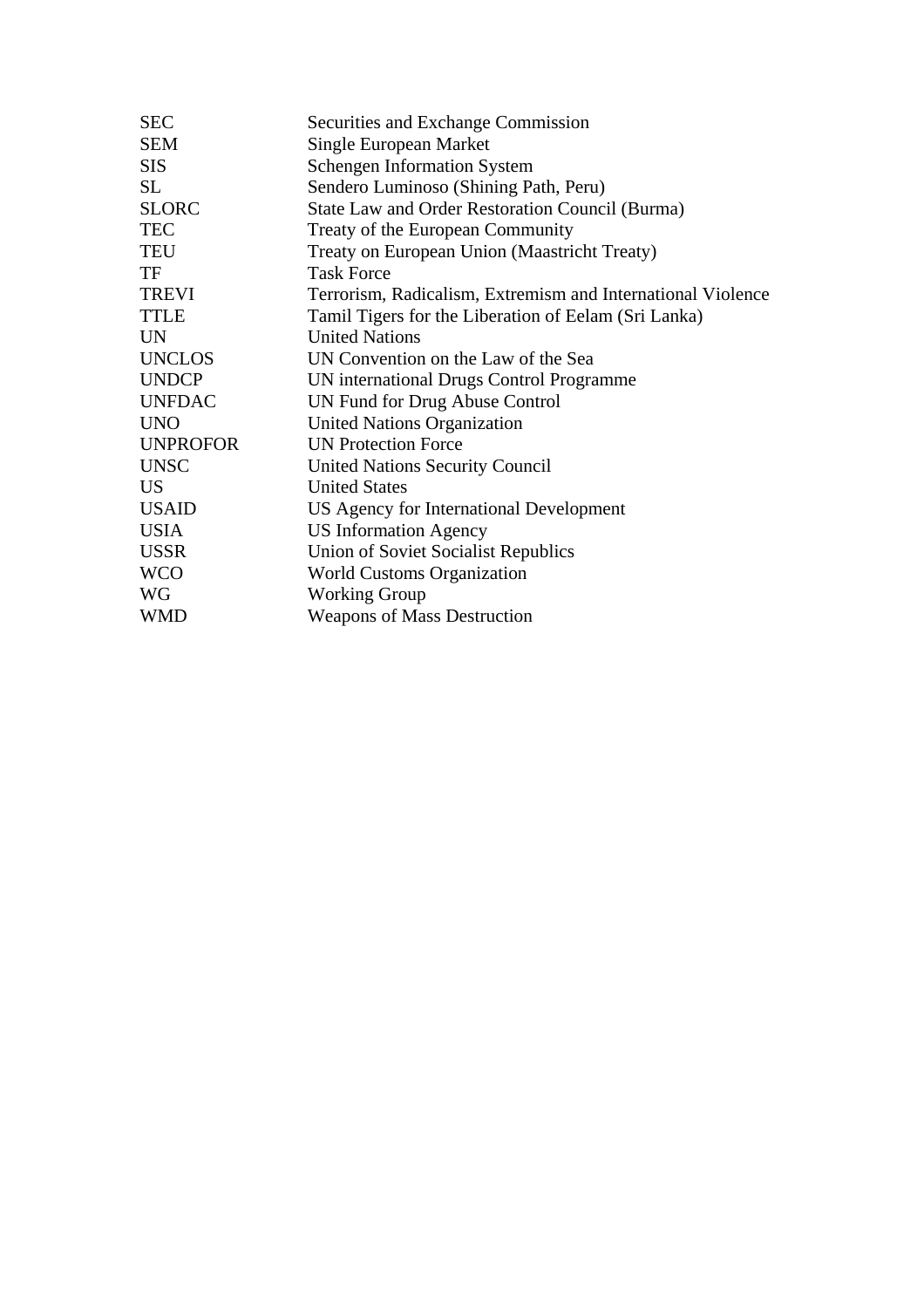| <b>SEC</b>      | Securities and Exchange Commission                          |
|-----------------|-------------------------------------------------------------|
| <b>SEM</b>      | Single European Market                                      |
| <b>SIS</b>      | <b>Schengen Information System</b>                          |
| SL              | Sendero Luminoso (Shining Path, Peru)                       |
| <b>SLORC</b>    | State Law and Order Restoration Council (Burma)             |
| <b>TEC</b>      | Treaty of the European Community                            |
| <b>TEU</b>      | Treaty on European Union (Maastricht Treaty)                |
| TF              | <b>Task Force</b>                                           |
| <b>TREVI</b>    | Terrorism, Radicalism, Extremism and International Violence |
| <b>TTLE</b>     | Tamil Tigers for the Liberation of Eelam (Sri Lanka)        |
| <b>UN</b>       | <b>United Nations</b>                                       |
| <b>UNCLOS</b>   | UN Convention on the Law of the Sea                         |
| <b>UNDCP</b>    | UN international Drugs Control Programme                    |
| <b>UNFDAC</b>   | UN Fund for Drug Abuse Control                              |
| <b>UNO</b>      | <b>United Nations Organization</b>                          |
| <b>UNPROFOR</b> | <b>UN Protection Force</b>                                  |
| <b>UNSC</b>     | <b>United Nations Security Council</b>                      |
| <b>US</b>       | <b>United States</b>                                        |
| <b>USAID</b>    | US Agency for International Development                     |
| <b>USIA</b>     | <b>US Information Agency</b>                                |
| <b>USSR</b>     | Union of Soviet Socialist Republics                         |
| <b>WCO</b>      | <b>World Customs Organization</b>                           |
| WG              | <b>Working Group</b>                                        |
| <b>WMD</b>      | <b>Weapons of Mass Destruction</b>                          |
|                 |                                                             |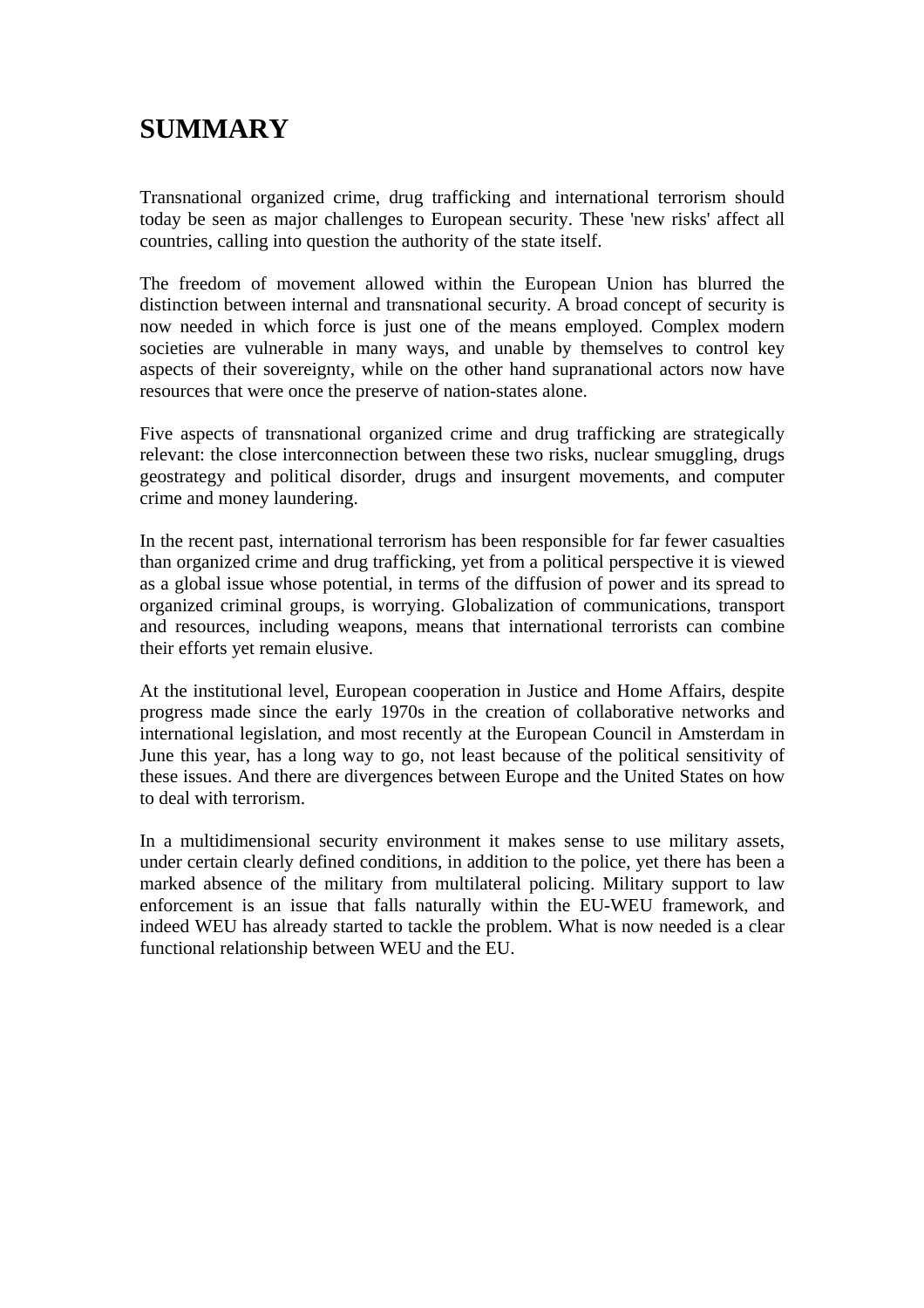# **SUMMARY**

Transnational organized crime, drug trafficking and international terrorism should today be seen as major challenges to European security. These 'new risks' affect all countries, calling into question the authority of the state itself.

The freedom of movement allowed within the European Union has blurred the distinction between internal and transnational security. A broad concept of security is now needed in which force is just one of the means employed. Complex modern societies are vulnerable in many ways, and unable by themselves to control key aspects of their sovereignty, while on the other hand supranational actors now have resources that were once the preserve of nation-states alone.

Five aspects of transnational organized crime and drug trafficking are strategically relevant: the close interconnection between these two risks, nuclear smuggling, drugs geostrategy and political disorder, drugs and insurgent movements, and computer crime and money laundering.

In the recent past, international terrorism has been responsible for far fewer casualties than organized crime and drug trafficking, yet from a political perspective it is viewed as a global issue whose potential, in terms of the diffusion of power and its spread to organized criminal groups, is worrying. Globalization of communications, transport and resources, including weapons, means that international terrorists can combine their efforts yet remain elusive.

At the institutional level, European cooperation in Justice and Home Affairs, despite progress made since the early 1970s in the creation of collaborative networks and international legislation, and most recently at the European Council in Amsterdam in June this year, has a long way to go, not least because of the political sensitivity of these issues. And there are divergences between Europe and the United States on how to deal with terrorism.

In a multidimensional security environment it makes sense to use military assets, under certain clearly defined conditions, in addition to the police, yet there has been a marked absence of the military from multilateral policing. Military support to law enforcement is an issue that falls naturally within the EU-WEU framework, and indeed WEU has already started to tackle the problem. What is now needed is a clear functional relationship between WEU and the EU.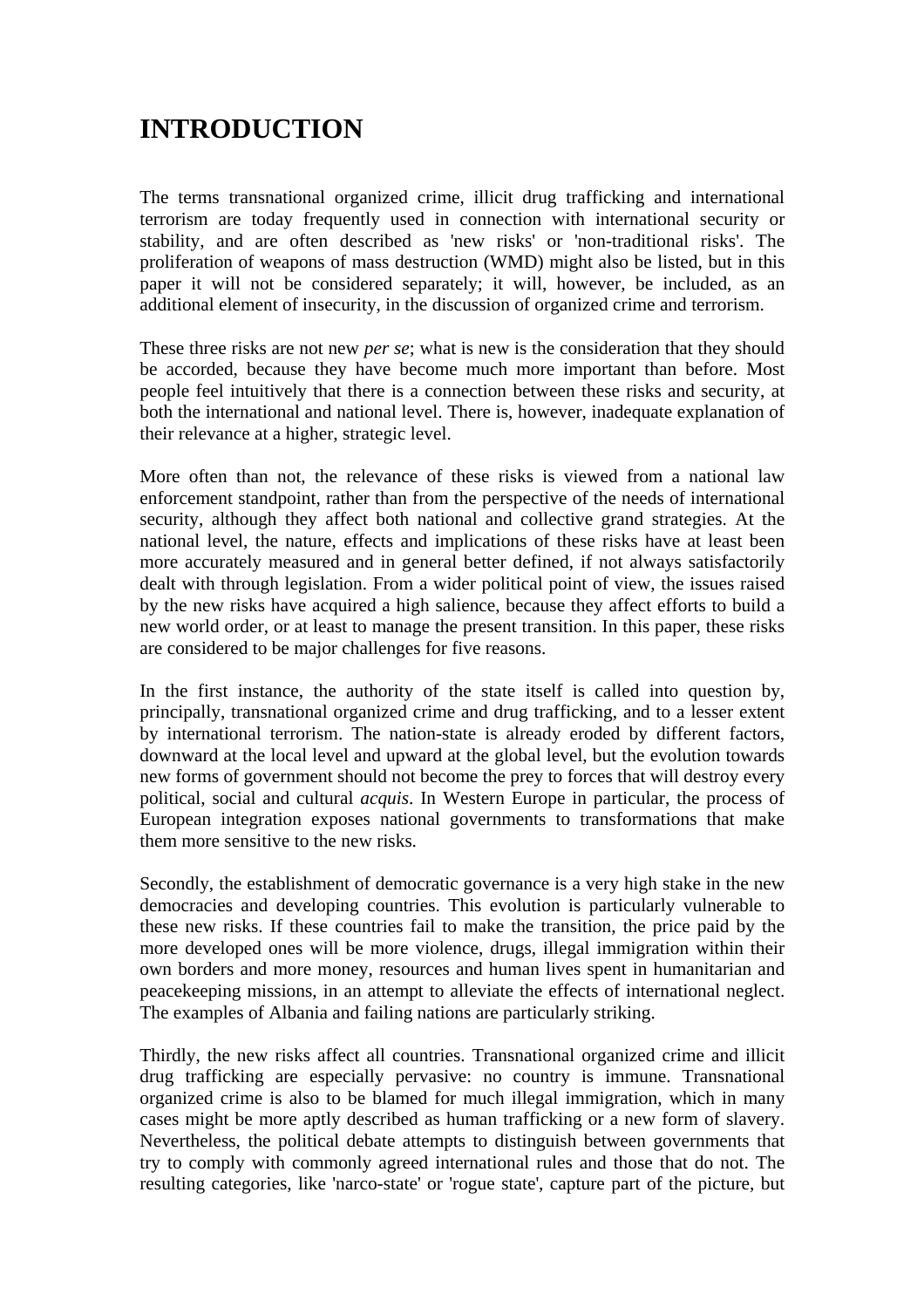# **INTRODUCTION**

The terms transnational organized crime, illicit drug trafficking and international terrorism are today frequently used in connection with international security or stability, and are often described as 'new risks' or 'non-traditional risks'. The proliferation of weapons of mass destruction (WMD) might also be listed, but in this paper it will not be considered separately; it will, however, be included, as an additional element of insecurity, in the discussion of organized crime and terrorism.

These three risks are not new *per se*; what is new is the consideration that they should be accorded, because they have become much more important than before. Most people feel intuitively that there is a connection between these risks and security, at both the international and national level. There is, however, inadequate explanation of their relevance at a higher, strategic level.

More often than not, the relevance of these risks is viewed from a national law enforcement standpoint, rather than from the perspective of the needs of international security, although they affect both national and collective grand strategies. At the national level, the nature, effects and implications of these risks have at least been more accurately measured and in general better defined, if not always satisfactorily dealt with through legislation. From a wider political point of view, the issues raised by the new risks have acquired a high salience, because they affect efforts to build a new world order, or at least to manage the present transition. In this paper, these risks are considered to be major challenges for five reasons.

In the first instance, the authority of the state itself is called into question by, principally, transnational organized crime and drug trafficking, and to a lesser extent by international terrorism. The nation-state is already eroded by different factors, downward at the local level and upward at the global level, but the evolution towards new forms of government should not become the prey to forces that will destroy every political, social and cultural *acquis*. In Western Europe in particular, the process of European integration exposes national governments to transformations that make them more sensitive to the new risks.

Secondly, the establishment of democratic governance is a very high stake in the new democracies and developing countries. This evolution is particularly vulnerable to these new risks. If these countries fail to make the transition, the price paid by the more developed ones will be more violence, drugs, illegal immigration within their own borders and more money, resources and human lives spent in humanitarian and peacekeeping missions, in an attempt to alleviate the effects of international neglect. The examples of Albania and failing nations are particularly striking.

Thirdly, the new risks affect all countries. Transnational organized crime and illicit drug trafficking are especially pervasive: no country is immune. Transnational organized crime is also to be blamed for much illegal immigration, which in many cases might be more aptly described as human trafficking or a new form of slavery. Nevertheless, the political debate attempts to distinguish between governments that try to comply with commonly agreed international rules and those that do not. The resulting categories, like 'narco-state' or 'rogue state', capture part of the picture, but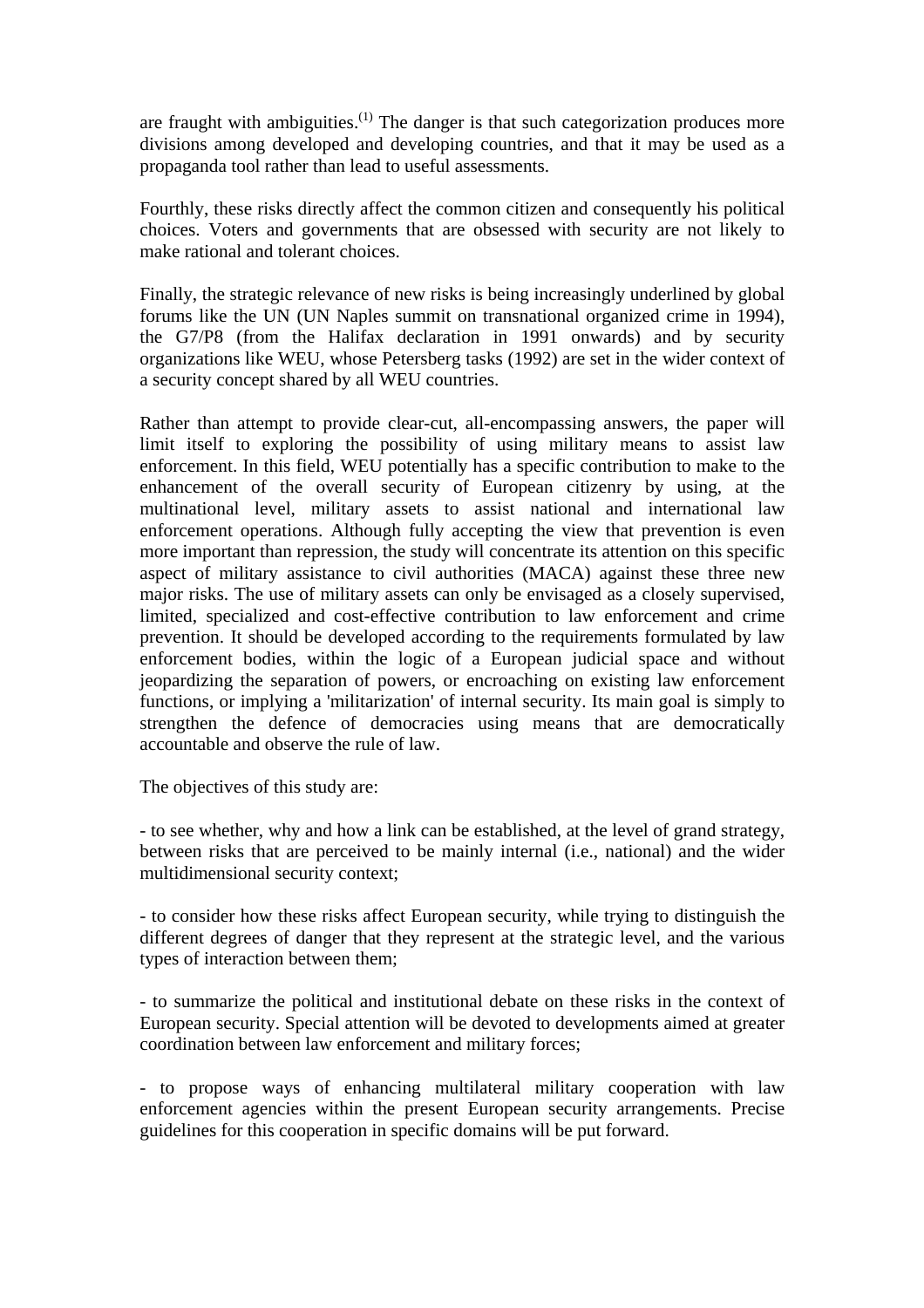are fraught with ambiguities.<sup>(1)</sup> The danger is that such categorization produces more divisions among developed and developing countries, and that it may be used as a propaganda tool rather than lead to useful assessments.

Fourthly, these risks directly affect the common citizen and consequently his political choices. Voters and governments that are obsessed with security are not likely to make rational and tolerant choices.

Finally, the strategic relevance of new risks is being increasingly underlined by global forums like the UN (UN Naples summit on transnational organized crime in 1994), the G7/P8 (from the Halifax declaration in 1991 onwards) and by security organizations like WEU, whose Petersberg tasks (1992) are set in the wider context of a security concept shared by all WEU countries.

Rather than attempt to provide clear-cut, all-encompassing answers, the paper will limit itself to exploring the possibility of using military means to assist law enforcement. In this field, WEU potentially has a specific contribution to make to the enhancement of the overall security of European citizenry by using, at the multinational level, military assets to assist national and international law enforcement operations. Although fully accepting the view that prevention is even more important than repression, the study will concentrate its attention on this specific aspect of military assistance to civil authorities (MACA) against these three new major risks. The use of military assets can only be envisaged as a closely supervised, limited, specialized and cost-effective contribution to law enforcement and crime prevention. It should be developed according to the requirements formulated by law enforcement bodies, within the logic of a European judicial space and without jeopardizing the separation of powers, or encroaching on existing law enforcement functions, or implying a 'militarization' of internal security. Its main goal is simply to strengthen the defence of democracies using means that are democratically accountable and observe the rule of law.

The objectives of this study are:

- to see whether, why and how a link can be established, at the level of grand strategy, between risks that are perceived to be mainly internal (i.e., national) and the wider multidimensional security context;

- to consider how these risks affect European security, while trying to distinguish the different degrees of danger that they represent at the strategic level, and the various types of interaction between them;

- to summarize the political and institutional debate on these risks in the context of European security. Special attention will be devoted to developments aimed at greater coordination between law enforcement and military forces;

- to propose ways of enhancing multilateral military cooperation with law enforcement agencies within the present European security arrangements. Precise guidelines for this cooperation in specific domains will be put forward.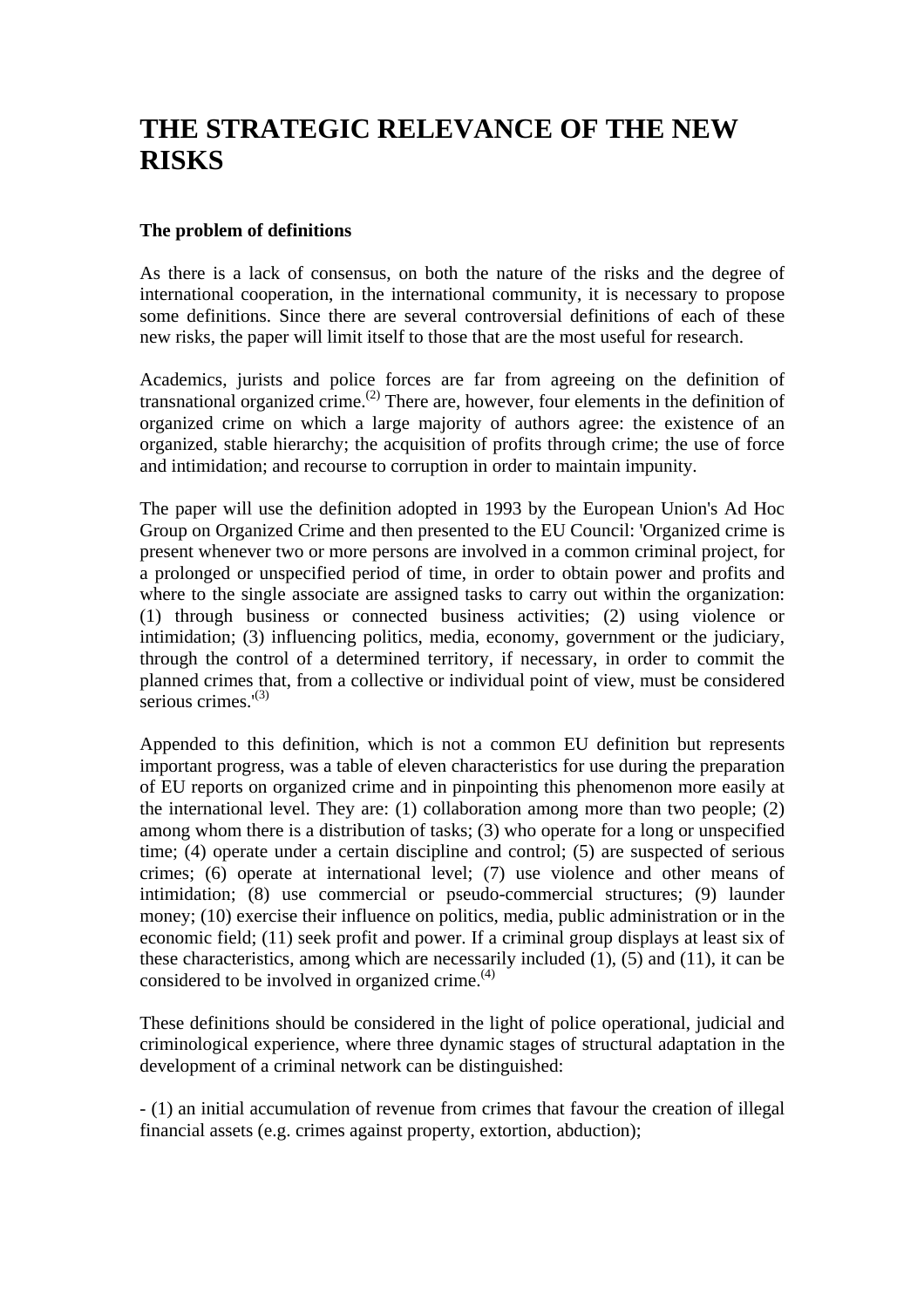# **THE STRATEGIC RELEVANCE OF THE NEW RISKS**

#### **The problem of definitions**

As there is a lack of consensus, on both the nature of the risks and the degree of international cooperation, in the international community, it is necessary to propose some definitions. Since there are several controversial definitions of each of these new risks, the paper will limit itself to those that are the most useful for research.

Academics, jurists and police forces are far from agreeing on the definition of transnational organized crime.<sup>(2)</sup> There are, however, four elements in the definition of organized crime on which a large majority of authors agree: the existence of an organized, stable hierarchy; the acquisition of profits through crime; the use of force and intimidation; and recourse to corruption in order to maintain impunity.

The paper will use the definition adopted in 1993 by the European Union's Ad Hoc Group on Organized Crime and then presented to the EU Council: 'Organized crime is present whenever two or more persons are involved in a common criminal project, for a prolonged or unspecified period of time, in order to obtain power and profits and where to the single associate are assigned tasks to carry out within the organization: (1) through business or connected business activities; (2) using violence or intimidation; (3) influencing politics, media, economy, government or the judiciary, through the control of a determined territory, if necessary, in order to commit the planned crimes that, from a collective or individual point of view, must be considered serious crimes. $(3)$ 

Appended to this definition, which is not a common EU definition but represents important progress, was a table of eleven characteristics for use during the preparation of EU reports on organized crime and in pinpointing this phenomenon more easily at the international level. They are: (1) collaboration among more than two people; (2) among whom there is a distribution of tasks; (3) who operate for a long or unspecified time; (4) operate under a certain discipline and control; (5) are suspected of serious crimes; (6) operate at international level; (7) use violence and other means of intimidation; (8) use commercial or pseudo-commercial structures; (9) launder money; (10) exercise their influence on politics, media, public administration or in the economic field; (11) seek profit and power. If a criminal group displays at least six of these characteristics, among which are necessarily included (1), (5) and (11), it can be considered to be involved in organized crime. $(4)$ 

These definitions should be considered in the light of police operational, judicial and criminological experience, where three dynamic stages of structural adaptation in the development of a criminal network can be distinguished:

- (1) an initial accumulation of revenue from crimes that favour the creation of illegal financial assets (e.g. crimes against property, extortion, abduction);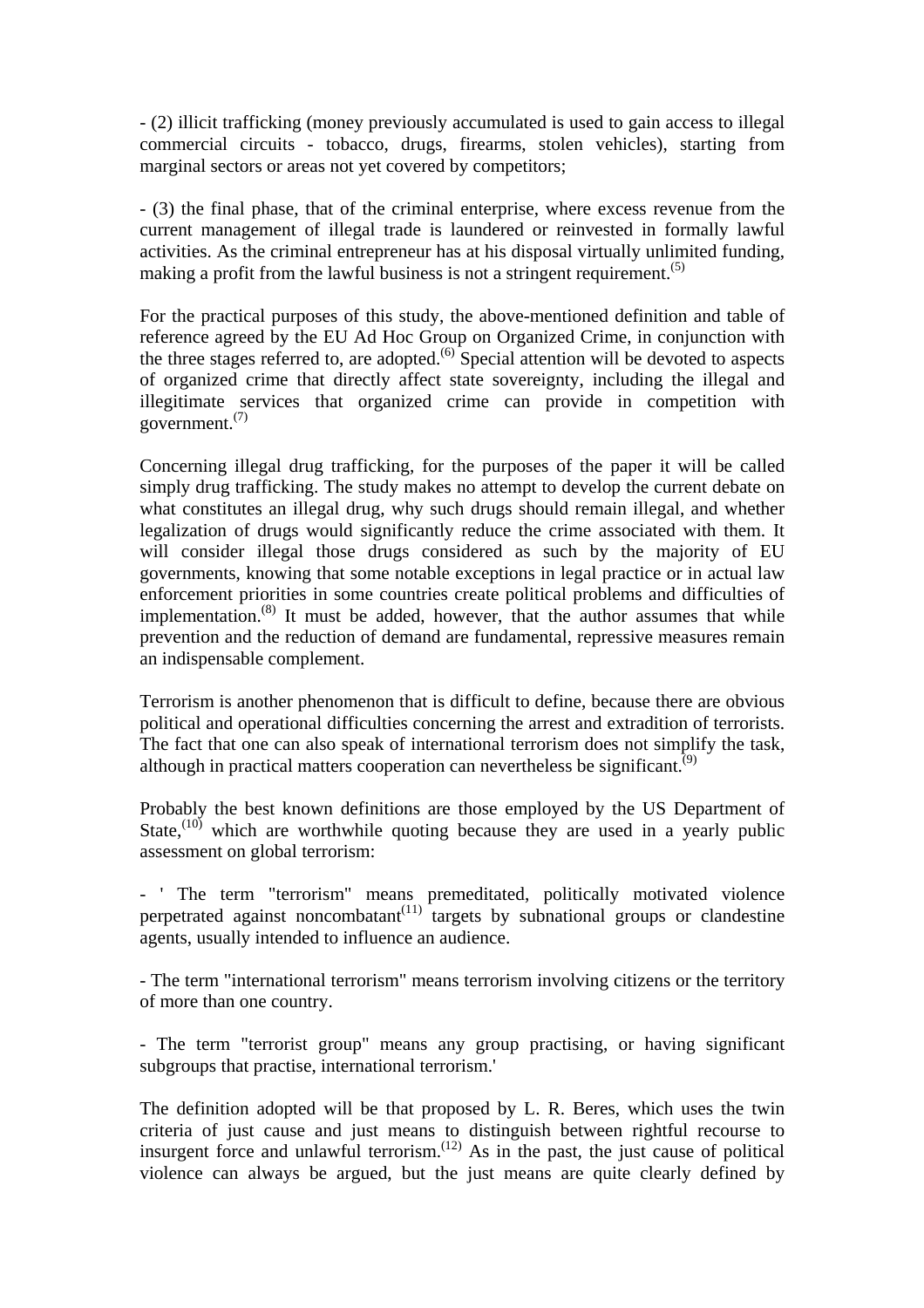- (2) illicit trafficking (money previously accumulated is used to gain access to illegal commercial circuits - tobacco, drugs, firearms, stolen vehicles), starting from marginal sectors or areas not yet covered by competitors;

- (3) the final phase, that of the criminal enterprise, where excess revenue from the current management of illegal trade is laundered or reinvested in formally lawful activities. As the criminal entrepreneur has at his disposal virtually unlimited funding, making a profit from the lawful business is not a stringent requirement.<sup> $(5)$ </sup>

For the practical purposes of this study, the above-mentioned definition and table of reference agreed by the EU Ad Hoc Group on Organized Crime, in conjunction with the three stages referred to, are adopted.<sup> $(6)$ </sup> Special attention will be devoted to aspects of organized crime that directly affect state sovereignty, including the illegal and illegitimate services that organized crime can provide in competition with government.(7)

Concerning illegal drug trafficking, for the purposes of the paper it will be called simply drug trafficking. The study makes no attempt to develop the current debate on what constitutes an illegal drug, why such drugs should remain illegal, and whether legalization of drugs would significantly reduce the crime associated with them. It will consider illegal those drugs considered as such by the majority of EU governments, knowing that some notable exceptions in legal practice or in actual law enforcement priorities in some countries create political problems and difficulties of implementation.<sup>(8)</sup> It must be added, however, that the author assumes that while prevention and the reduction of demand are fundamental, repressive measures remain an indispensable complement.

Terrorism is another phenomenon that is difficult to define, because there are obvious political and operational difficulties concerning the arrest and extradition of terrorists. The fact that one can also speak of international terrorism does not simplify the task, although in practical matters cooperation can nevertheless be significant.<sup> $(9)$ </sup>

Probably the best known definitions are those employed by the US Department of State, $(10)$  which are worthwhile quoting because they are used in a yearly public assessment on global terrorism:

- ' The term "terrorism" means premeditated, politically motivated violence perpetrated against noncombatant<sup>(11)</sup> targets by subnational groups or clandestine agents, usually intended to influence an audience.

- The term "international terrorism" means terrorism involving citizens or the territory of more than one country.

- The term "terrorist group" means any group practising, or having significant subgroups that practise, international terrorism.'

The definition adopted will be that proposed by L. R. Beres, which uses the twin criteria of just cause and just means to distinguish between rightful recourse to insurgent force and unlawful terrorism.<sup> $(12)$ </sup> As in the past, the just cause of political violence can always be argued, but the just means are quite clearly defined by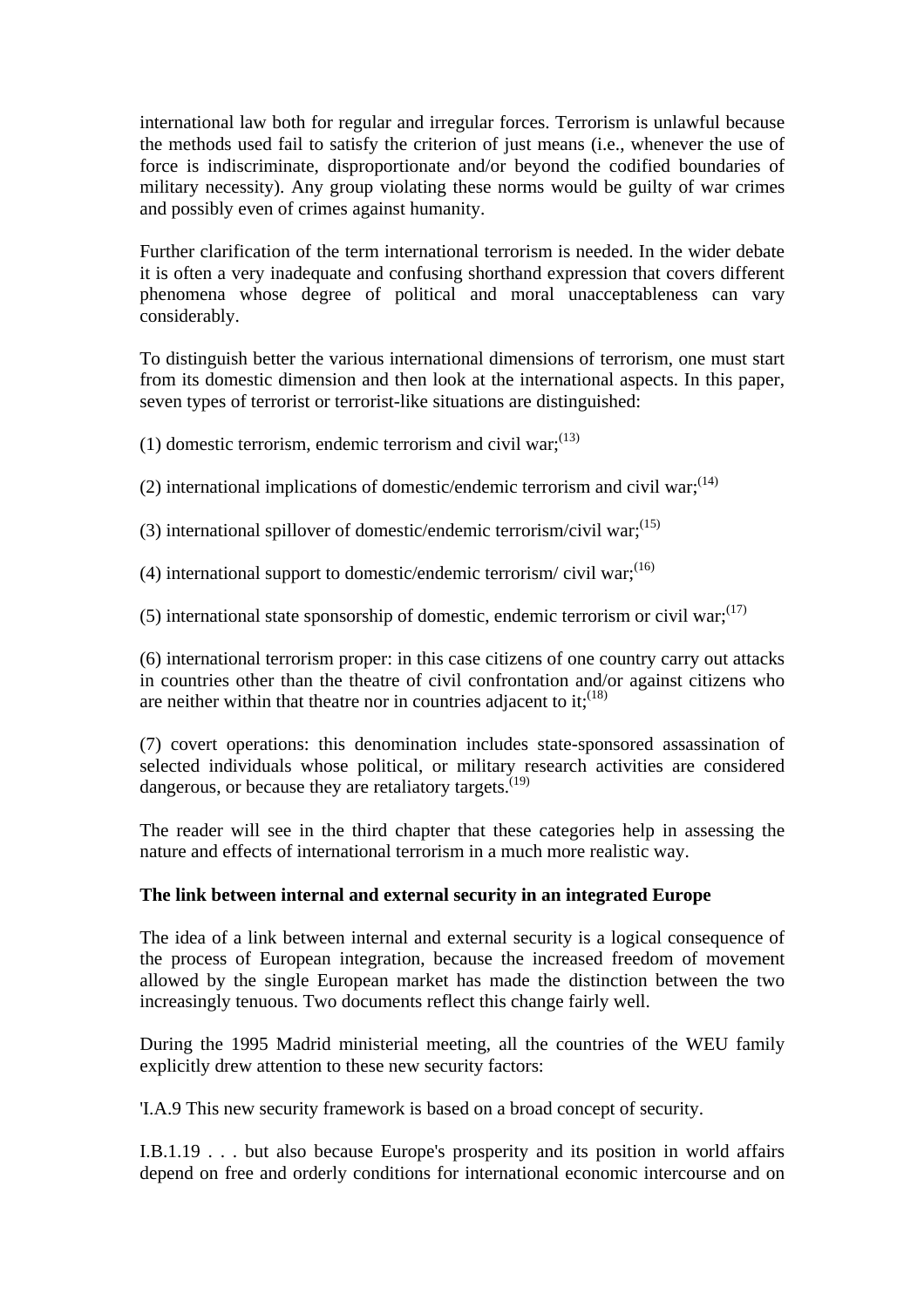international law both for regular and irregular forces. Terrorism is unlawful because the methods used fail to satisfy the criterion of just means (i.e., whenever the use of force is indiscriminate, disproportionate and/or beyond the codified boundaries of military necessity). Any group violating these norms would be guilty of war crimes and possibly even of crimes against humanity.

Further clarification of the term international terrorism is needed. In the wider debate it is often a very inadequate and confusing shorthand expression that covers different phenomena whose degree of political and moral unacceptableness can vary considerably.

To distinguish better the various international dimensions of terrorism, one must start from its domestic dimension and then look at the international aspects. In this paper, seven types of terrorist or terrorist-like situations are distinguished:

(1) domestic terrorism, endemic terrorism and civil war;  $(13)$ 

(2) international implications of domestic/endemic terrorism and civil war; $(14)$ 

(3) international spillover of domestic/endemic terrorism/civil war: $(15)$ 

(4) international support to domestic/endemic terrorism/ civil war;  $(16)$ 

(5) international state sponsorship of domestic, endemic terrorism or civil war; $(17)$ 

(6) international terrorism proper: in this case citizens of one country carry out attacks in countries other than the theatre of civil confrontation and/or against citizens who are neither within that theatre nor in countries adjacent to it;  $(18)$ 

(7) covert operations: this denomination includes state-sponsored assassination of selected individuals whose political, or military research activities are considered dangerous, or because they are retaliatory targets.<sup>(19)</sup>

The reader will see in the third chapter that these categories help in assessing the nature and effects of international terrorism in a much more realistic way.

#### **The link between internal and external security in an integrated Europe**

The idea of a link between internal and external security is a logical consequence of the process of European integration, because the increased freedom of movement allowed by the single European market has made the distinction between the two increasingly tenuous. Two documents reflect this change fairly well.

During the 1995 Madrid ministerial meeting, all the countries of the WEU family explicitly drew attention to these new security factors:

'I.A.9 This new security framework is based on a broad concept of security.

I.B.1.19 . . . but also because Europe's prosperity and its position in world affairs depend on free and orderly conditions for international economic intercourse and on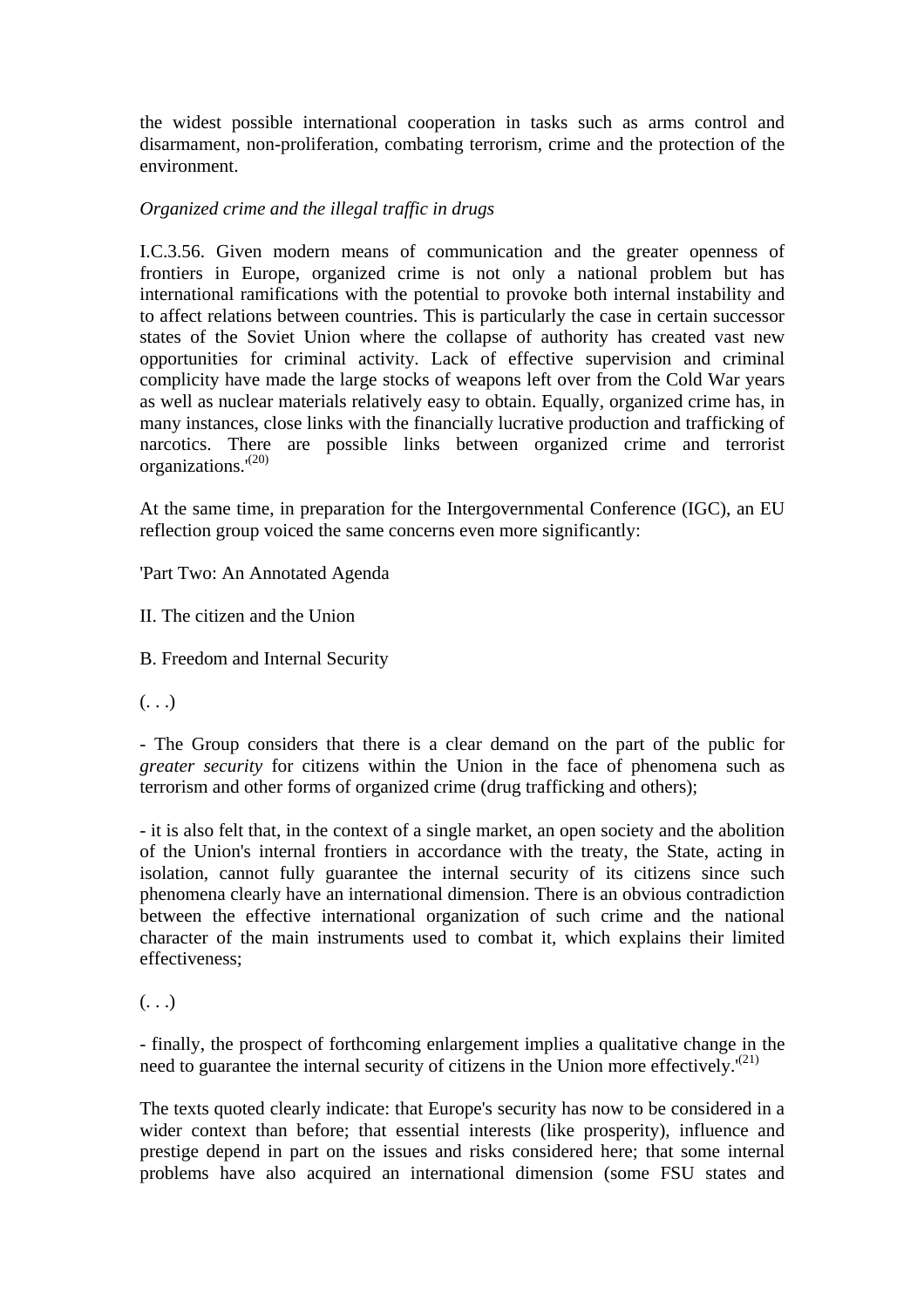the widest possible international cooperation in tasks such as arms control and disarmament, non-proliferation, combating terrorism, crime and the protection of the environment.

#### *Organized crime and the illegal traffic in drugs*

I.C.3.56. Given modern means of communication and the greater openness of frontiers in Europe, organized crime is not only a national problem but has international ramifications with the potential to provoke both internal instability and to affect relations between countries. This is particularly the case in certain successor states of the Soviet Union where the collapse of authority has created vast new opportunities for criminal activity. Lack of effective supervision and criminal complicity have made the large stocks of weapons left over from the Cold War years as well as nuclear materials relatively easy to obtain. Equally, organized crime has, in many instances, close links with the financially lucrative production and trafficking of narcotics. There are possible links between organized crime and terrorist organizations.'(20)

At the same time, in preparation for the Intergovernmental Conference (IGC), an EU reflection group voiced the same concerns even more significantly:

'Part Two: An Annotated Agenda

II. The citizen and the Union

B. Freedom and Internal Security

 $\left( \ldots \right)$ 

- The Group considers that there is a clear demand on the part of the public for *greater security* for citizens within the Union in the face of phenomena such as terrorism and other forms of organized crime (drug trafficking and others);

- it is also felt that, in the context of a single market, an open society and the abolition of the Union's internal frontiers in accordance with the treaty, the State, acting in isolation, cannot fully guarantee the internal security of its citizens since such phenomena clearly have an international dimension. There is an obvious contradiction between the effective international organization of such crime and the national character of the main instruments used to combat it, which explains their limited effectiveness;

 $( \ldots )$ 

- finally, the prospect of forthcoming enlargement implies a qualitative change in the need to guarantee the internal security of citizens in the Union more effectively.<sup> $(21)$ </sup>

The texts quoted clearly indicate: that Europe's security has now to be considered in a wider context than before; that essential interests (like prosperity), influence and prestige depend in part on the issues and risks considered here; that some internal problems have also acquired an international dimension (some FSU states and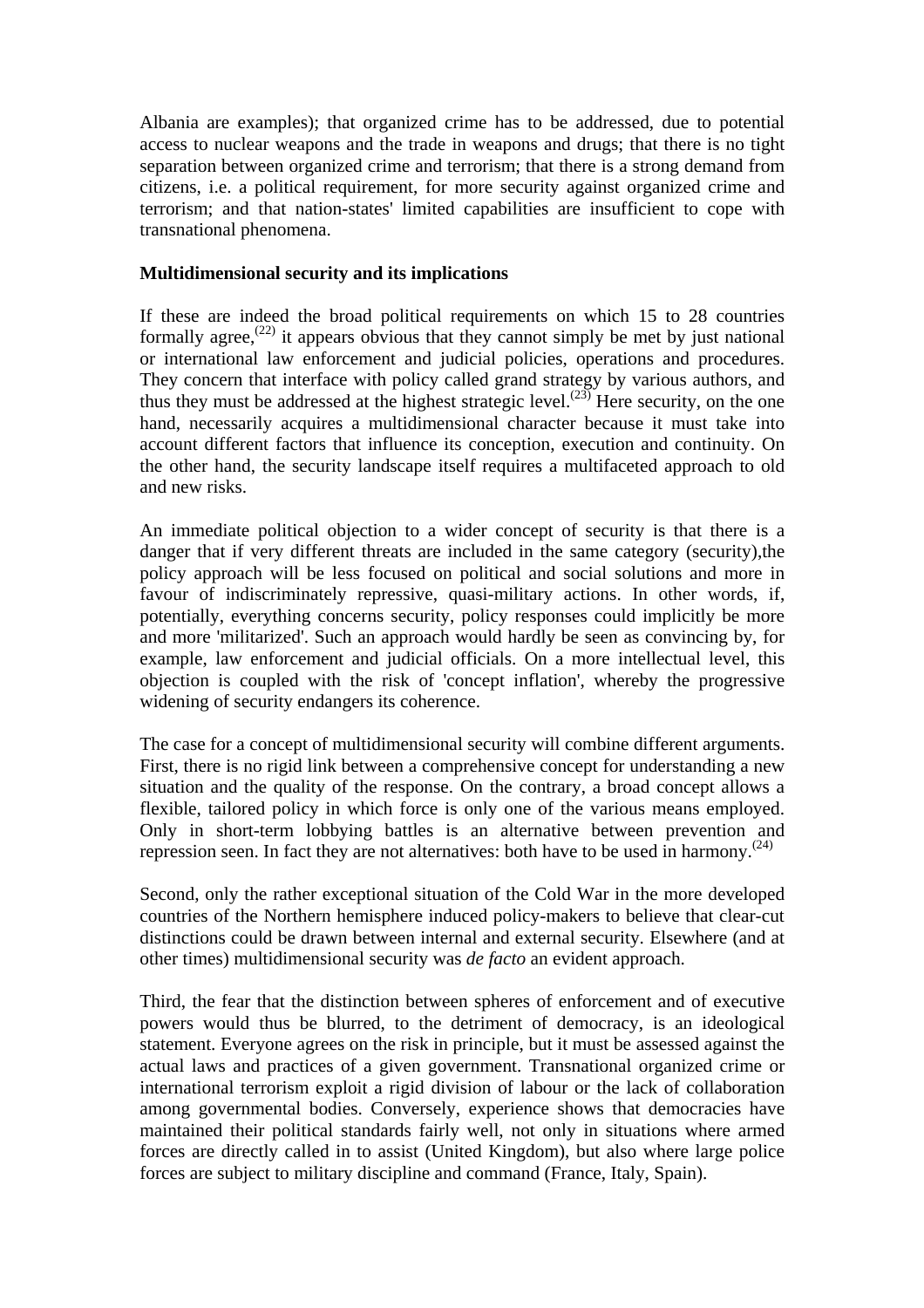Albania are examples); that organized crime has to be addressed, due to potential access to nuclear weapons and the trade in weapons and drugs; that there is no tight separation between organized crime and terrorism; that there is a strong demand from citizens, i.e. a political requirement, for more security against organized crime and terrorism; and that nation-states' limited capabilities are insufficient to cope with transnational phenomena.

#### **Multidimensional security and its implications**

If these are indeed the broad political requirements on which 15 to 28 countries formally agree,<sup> $(22)$ </sup> it appears obvious that they cannot simply be met by just national or international law enforcement and judicial policies, operations and procedures. They concern that interface with policy called grand strategy by various authors, and thus they must be addressed at the highest strategic level.<sup> $(23)$ </sup> Here security, on the one hand, necessarily acquires a multidimensional character because it must take into account different factors that influence its conception, execution and continuity. On the other hand, the security landscape itself requires a multifaceted approach to old and new risks.

An immediate political objection to a wider concept of security is that there is a danger that if very different threats are included in the same category (security),the policy approach will be less focused on political and social solutions and more in favour of indiscriminately repressive, quasi-military actions. In other words, if, potentially, everything concerns security, policy responses could implicitly be more and more 'militarized'. Such an approach would hardly be seen as convincing by, for example, law enforcement and judicial officials. On a more intellectual level, this objection is coupled with the risk of 'concept inflation', whereby the progressive widening of security endangers its coherence.

The case for a concept of multidimensional security will combine different arguments. First, there is no rigid link between a comprehensive concept for understanding a new situation and the quality of the response. On the contrary, a broad concept allows a flexible, tailored policy in which force is only one of the various means employed. Only in short-term lobbying battles is an alternative between prevention and repression seen. In fact they are not alternatives: both have to be used in harmony.<sup> $(24)$ </sup>

Second, only the rather exceptional situation of the Cold War in the more developed countries of the Northern hemisphere induced policy-makers to believe that clear-cut distinctions could be drawn between internal and external security. Elsewhere (and at other times) multidimensional security was *de facto* an evident approach.

Third, the fear that the distinction between spheres of enforcement and of executive powers would thus be blurred, to the detriment of democracy, is an ideological statement. Everyone agrees on the risk in principle, but it must be assessed against the actual laws and practices of a given government. Transnational organized crime or international terrorism exploit a rigid division of labour or the lack of collaboration among governmental bodies. Conversely, experience shows that democracies have maintained their political standards fairly well, not only in situations where armed forces are directly called in to assist (United Kingdom), but also where large police forces are subject to military discipline and command (France, Italy, Spain).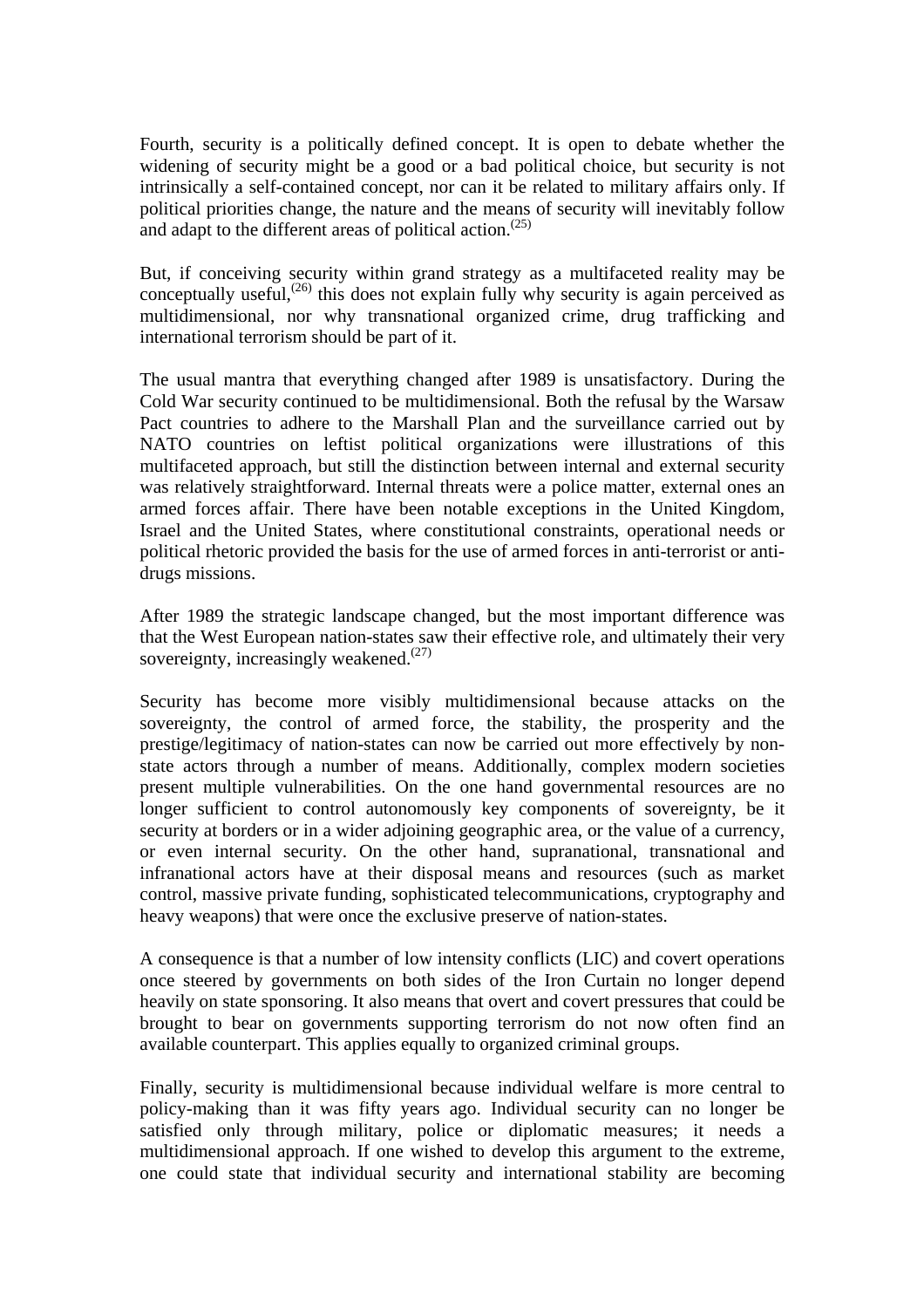Fourth, security is a politically defined concept. It is open to debate whether the widening of security might be a good or a bad political choice, but security is not intrinsically a self-contained concept, nor can it be related to military affairs only. If political priorities change, the nature and the means of security will inevitably follow and adapt to the different areas of political action. $(25)$ 

But, if conceiving security within grand strategy as a multifaceted reality may be conceptually useful, $^{(26)}$  this does not explain fully why security is again perceived as multidimensional, nor why transnational organized crime, drug trafficking and international terrorism should be part of it.

The usual mantra that everything changed after 1989 is unsatisfactory. During the Cold War security continued to be multidimensional. Both the refusal by the Warsaw Pact countries to adhere to the Marshall Plan and the surveillance carried out by NATO countries on leftist political organizations were illustrations of this multifaceted approach, but still the distinction between internal and external security was relatively straightforward. Internal threats were a police matter, external ones an armed forces affair. There have been notable exceptions in the United Kingdom, Israel and the United States, where constitutional constraints, operational needs or political rhetoric provided the basis for the use of armed forces in anti-terrorist or antidrugs missions.

After 1989 the strategic landscape changed, but the most important difference was that the West European nation-states saw their effective role, and ultimately their very sovereignty, increasingly weakened. $(27)$ 

Security has become more visibly multidimensional because attacks on the sovereignty, the control of armed force, the stability, the prosperity and the prestige/legitimacy of nation-states can now be carried out more effectively by nonstate actors through a number of means. Additionally, complex modern societies present multiple vulnerabilities. On the one hand governmental resources are no longer sufficient to control autonomously key components of sovereignty, be it security at borders or in a wider adjoining geographic area, or the value of a currency, or even internal security. On the other hand, supranational, transnational and infranational actors have at their disposal means and resources (such as market control, massive private funding, sophisticated telecommunications, cryptography and heavy weapons) that were once the exclusive preserve of nation-states.

A consequence is that a number of low intensity conflicts (LIC) and covert operations once steered by governments on both sides of the Iron Curtain no longer depend heavily on state sponsoring. It also means that overt and covert pressures that could be brought to bear on governments supporting terrorism do not now often find an available counterpart. This applies equally to organized criminal groups.

Finally, security is multidimensional because individual welfare is more central to policy-making than it was fifty years ago. Individual security can no longer be satisfied only through military, police or diplomatic measures; it needs a multidimensional approach. If one wished to develop this argument to the extreme, one could state that individual security and international stability are becoming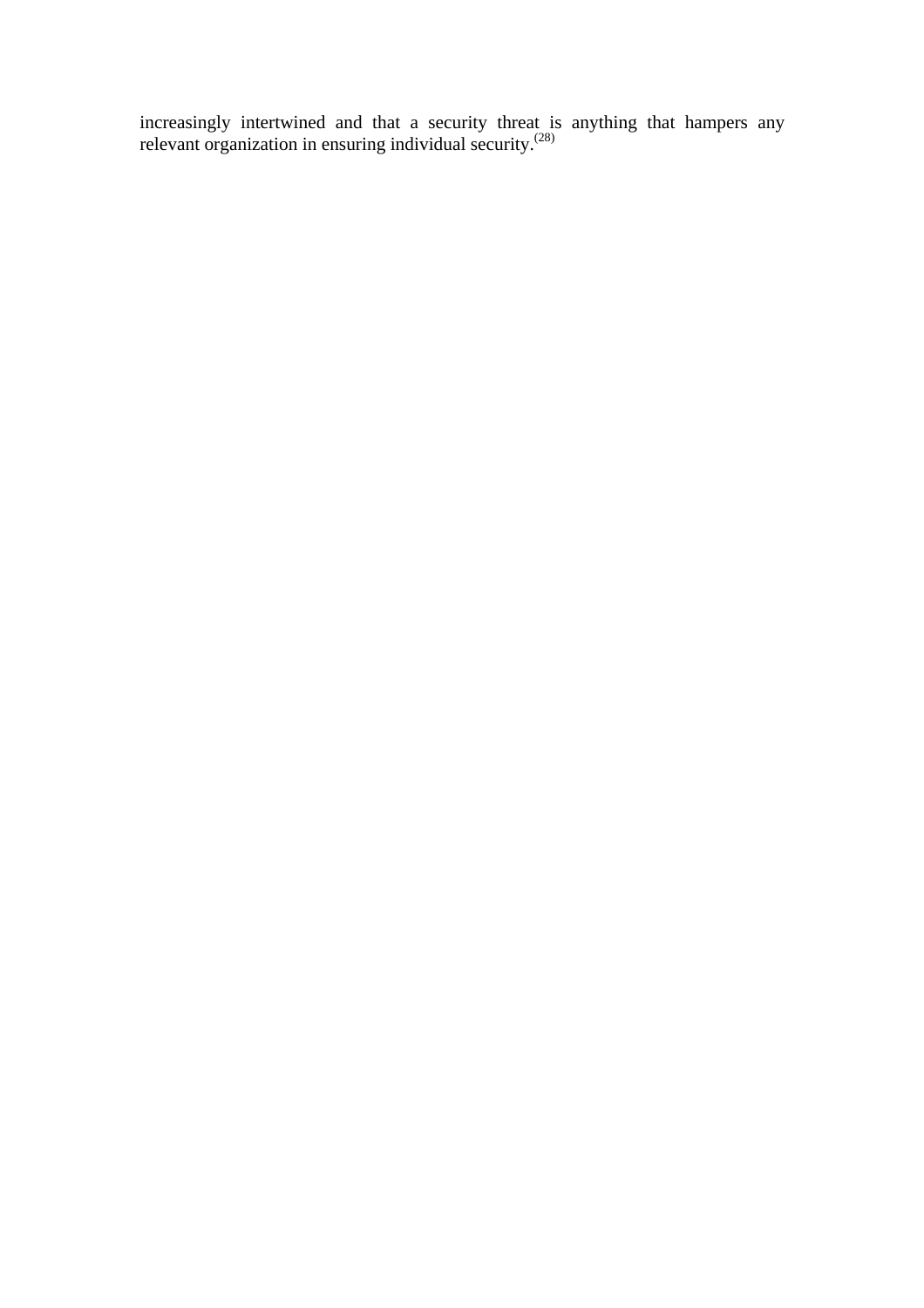increasingly intertwined and that a security threat is anything that hampers any relevant organization in ensuring individual security.<sup>(28)</sup>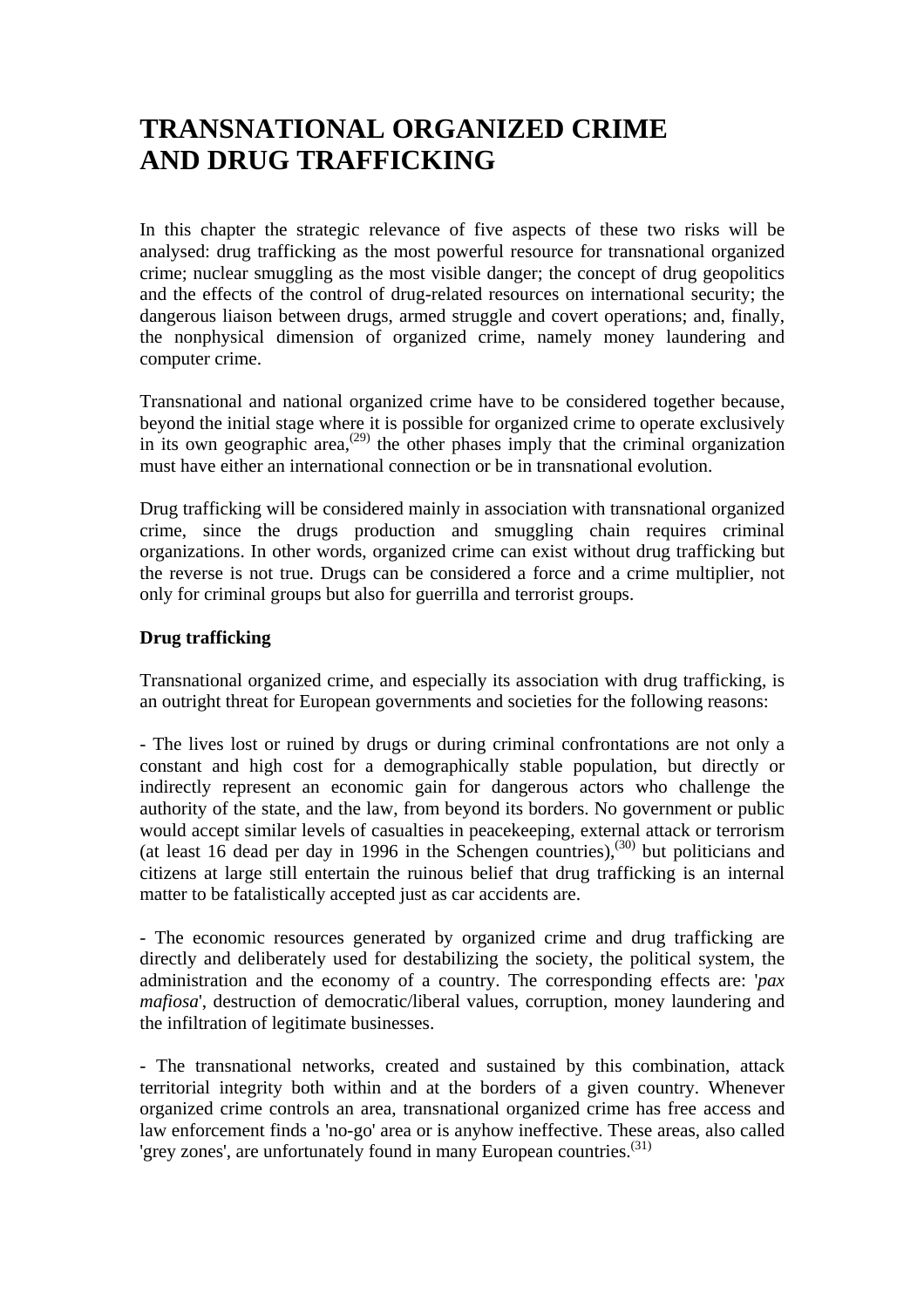## **TRANSNATIONAL ORGANIZED CRIME AND DRUG TRAFFICKING**

In this chapter the strategic relevance of five aspects of these two risks will be analysed: drug trafficking as the most powerful resource for transnational organized crime; nuclear smuggling as the most visible danger; the concept of drug geopolitics and the effects of the control of drug-related resources on international security; the dangerous liaison between drugs, armed struggle and covert operations; and, finally, the nonphysical dimension of organized crime, namely money laundering and computer crime.

Transnational and national organized crime have to be considered together because, beyond the initial stage where it is possible for organized crime to operate exclusively in its own geographic area,<sup> $(29)$ </sup> the other phases imply that the criminal organization must have either an international connection or be in transnational evolution.

Drug trafficking will be considered mainly in association with transnational organized crime, since the drugs production and smuggling chain requires criminal organizations. In other words, organized crime can exist without drug trafficking but the reverse is not true. Drugs can be considered a force and a crime multiplier, not only for criminal groups but also for guerrilla and terrorist groups.

#### **Drug trafficking**

Transnational organized crime, and especially its association with drug trafficking, is an outright threat for European governments and societies for the following reasons:

- The lives lost or ruined by drugs or during criminal confrontations are not only a constant and high cost for a demographically stable population, but directly or indirectly represent an economic gain for dangerous actors who challenge the authority of the state, and the law, from beyond its borders. No government or public would accept similar levels of casualties in peacekeeping, external attack or terrorism (at least 16 dead per day in 1996 in the Schengen countries),(30) but politicians and citizens at large still entertain the ruinous belief that drug trafficking is an internal matter to be fatalistically accepted just as car accidents are.

- The economic resources generated by organized crime and drug trafficking are directly and deliberately used for destabilizing the society, the political system, the administration and the economy of a country. The corresponding effects are: '*pax mafiosa*', destruction of democratic/liberal values, corruption, money laundering and the infiltration of legitimate businesses.

- The transnational networks, created and sustained by this combination, attack territorial integrity both within and at the borders of a given country. Whenever organized crime controls an area, transnational organized crime has free access and law enforcement finds a 'no-go' area or is anyhow ineffective. These areas, also called 'grey zones', are unfortunately found in many European countries.<sup>(31)</sup>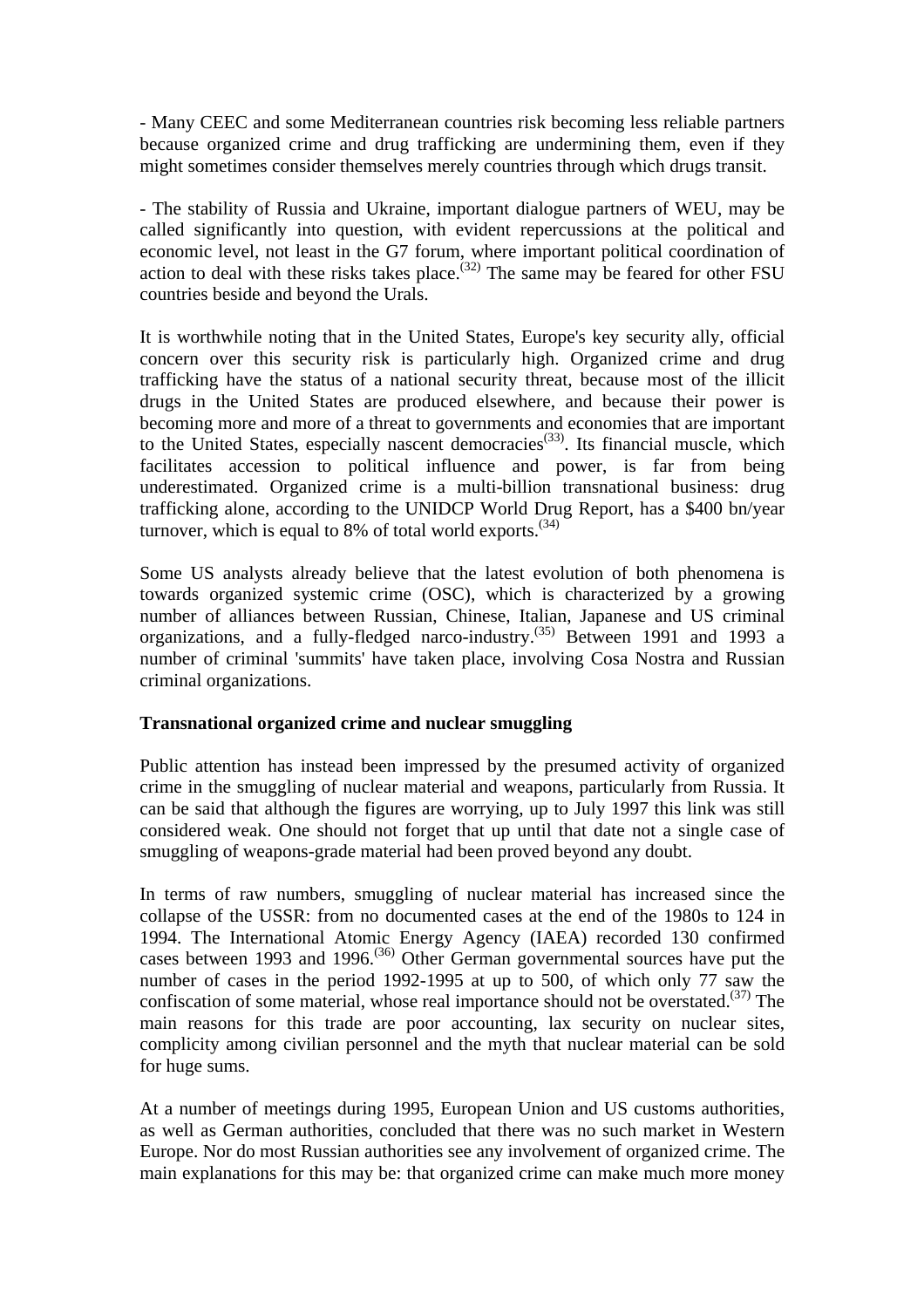- Many CEEC and some Mediterranean countries risk becoming less reliable partners because organized crime and drug trafficking are undermining them, even if they might sometimes consider themselves merely countries through which drugs transit.

- The stability of Russia and Ukraine, important dialogue partners of WEU, may be called significantly into question, with evident repercussions at the political and economic level, not least in the G7 forum, where important political coordination of action to deal with these risks takes place.<sup>(32)</sup> The same may be feared for other FSU countries beside and beyond the Urals.

It is worthwhile noting that in the United States, Europe's key security ally, official concern over this security risk is particularly high. Organized crime and drug trafficking have the status of a national security threat, because most of the illicit drugs in the United States are produced elsewhere, and because their power is becoming more and more of a threat to governments and economies that are important to the United States, especially nascent democracies<sup> $(33)$ </sup>. Its financial muscle, which facilitates accession to political influence and power, is far from being underestimated. Organized crime is a multi-billion transnational business: drug trafficking alone, according to the UNIDCP World Drug Report, has a \$400 bn/year turnover, which is equal to 8% of total world exports.<sup> $(34)$ </sup>

Some US analysts already believe that the latest evolution of both phenomena is towards organized systemic crime (OSC), which is characterized by a growing number of alliances between Russian, Chinese, Italian, Japanese and US criminal organizations, and a fully-fledged narco-industry.<sup>(35)</sup> Between 1991 and 1993 a number of criminal 'summits' have taken place, involving Cosa Nostra and Russian criminal organizations.

#### **Transnational organized crime and nuclear smuggling**

Public attention has instead been impressed by the presumed activity of organized crime in the smuggling of nuclear material and weapons, particularly from Russia. It can be said that although the figures are worrying, up to July 1997 this link was still considered weak. One should not forget that up until that date not a single case of smuggling of weapons-grade material had been proved beyond any doubt.

In terms of raw numbers, smuggling of nuclear material has increased since the collapse of the USSR: from no documented cases at the end of the 1980s to 124 in 1994. The International Atomic Energy Agency (IAEA) recorded 130 confirmed cases between 1993 and 1996.<sup> $(36)$ </sup> Other German governmental sources have put the number of cases in the period 1992-1995 at up to 500, of which only 77 saw the confiscation of some material, whose real importance should not be overstated.<sup> $(37)$ </sup> The main reasons for this trade are poor accounting, lax security on nuclear sites, complicity among civilian personnel and the myth that nuclear material can be sold for huge sums.

At a number of meetings during 1995, European Union and US customs authorities, as well as German authorities, concluded that there was no such market in Western Europe. Nor do most Russian authorities see any involvement of organized crime. The main explanations for this may be: that organized crime can make much more money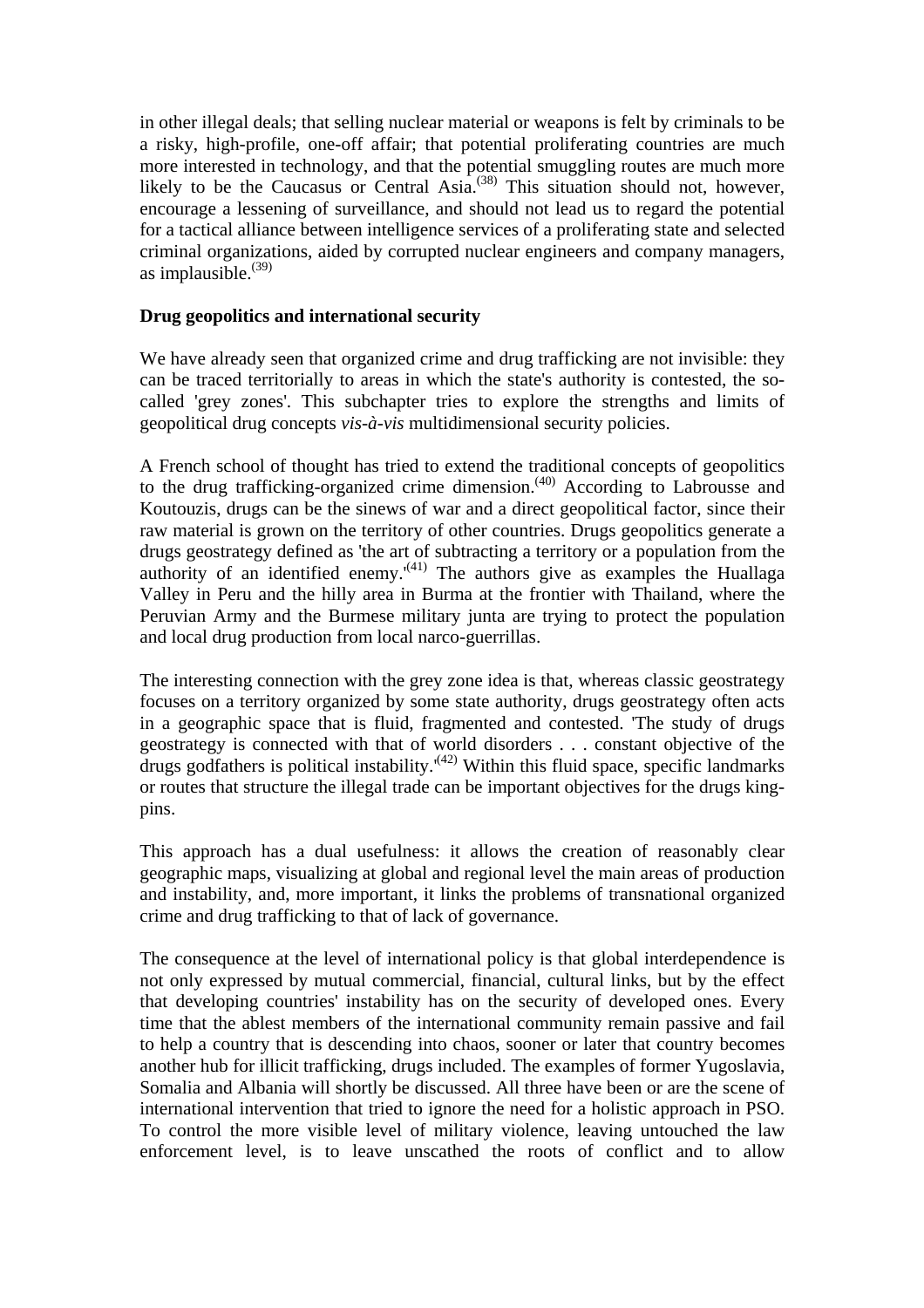in other illegal deals; that selling nuclear material or weapons is felt by criminals to be a risky, high-profile, one-off affair; that potential proliferating countries are much more interested in technology, and that the potential smuggling routes are much more likely to be the Caucasus or Central Asia.<sup>(38)</sup> This situation should not, however, encourage a lessening of surveillance, and should not lead us to regard the potential for a tactical alliance between intelligence services of a proliferating state and selected criminal organizations, aided by corrupted nuclear engineers and company managers, as implausible. $^{(39)}$ 

#### **Drug geopolitics and international security**

We have already seen that organized crime and drug trafficking are not invisible: they can be traced territorially to areas in which the state's authority is contested, the socalled 'grey zones'. This subchapter tries to explore the strengths and limits of geopolitical drug concepts *vis-à-vis* multidimensional security policies.

A French school of thought has tried to extend the traditional concepts of geopolitics to the drug trafficking-organized crime dimension.<sup>(40)</sup> According to Labrousse and Koutouzis, drugs can be the sinews of war and a direct geopolitical factor, since their raw material is grown on the territory of other countries. Drugs geopolitics generate a drugs geostrategy defined as 'the art of subtracting a territory or a population from the authority of an identified enemy. $(41)$  The authors give as examples the Huallaga Valley in Peru and the hilly area in Burma at the frontier with Thailand, where the Peruvian Army and the Burmese military junta are trying to protect the population and local drug production from local narco-guerrillas.

The interesting connection with the grey zone idea is that, whereas classic geostrategy focuses on a territory organized by some state authority, drugs geostrategy often acts in a geographic space that is fluid, fragmented and contested. 'The study of drugs geostrategy is connected with that of world disorders . . . constant objective of the drugs godfathers is political instability.<sup> $(42)$ </sup> Within this fluid space, specific landmarks or routes that structure the illegal trade can be important objectives for the drugs kingpins.

This approach has a dual usefulness: it allows the creation of reasonably clear geographic maps, visualizing at global and regional level the main areas of production and instability, and, more important, it links the problems of transnational organized crime and drug trafficking to that of lack of governance.

The consequence at the level of international policy is that global interdependence is not only expressed by mutual commercial, financial, cultural links, but by the effect that developing countries' instability has on the security of developed ones. Every time that the ablest members of the international community remain passive and fail to help a country that is descending into chaos, sooner or later that country becomes another hub for illicit trafficking, drugs included. The examples of former Yugoslavia, Somalia and Albania will shortly be discussed. All three have been or are the scene of international intervention that tried to ignore the need for a holistic approach in PSO. To control the more visible level of military violence, leaving untouched the law enforcement level, is to leave unscathed the roots of conflict and to allow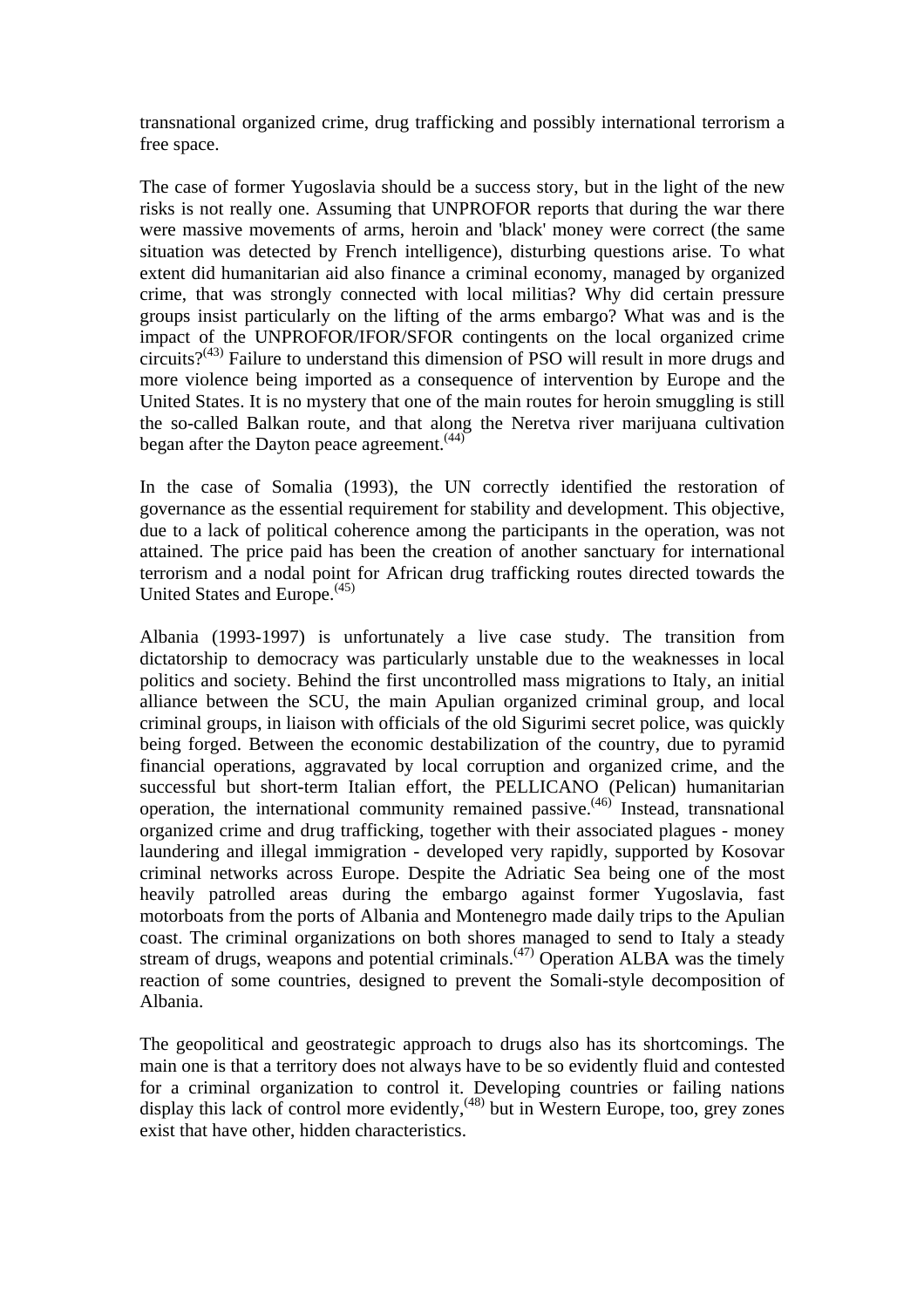transnational organized crime, drug trafficking and possibly international terrorism a free space.

The case of former Yugoslavia should be a success story, but in the light of the new risks is not really one. Assuming that UNPROFOR reports that during the war there were massive movements of arms, heroin and 'black' money were correct (the same situation was detected by French intelligence), disturbing questions arise. To what extent did humanitarian aid also finance a criminal economy, managed by organized crime, that was strongly connected with local militias? Why did certain pressure groups insist particularly on the lifting of the arms embargo? What was and is the impact of the UNPROFOR/IFOR/SFOR contingents on the local organized crime circuits? $(43)$  Failure to understand this dimension of PSO will result in more drugs and more violence being imported as a consequence of intervention by Europe and the United States. It is no mystery that one of the main routes for heroin smuggling is still the so-called Balkan route, and that along the Neretva river marijuana cultivation began after the Dayton peace agreement.<sup>(44)</sup>

In the case of Somalia (1993), the UN correctly identified the restoration of governance as the essential requirement for stability and development. This objective, due to a lack of political coherence among the participants in the operation, was not attained. The price paid has been the creation of another sanctuary for international terrorism and a nodal point for African drug trafficking routes directed towards the United States and Europe.<sup>(45)</sup>

Albania (1993-1997) is unfortunately a live case study. The transition from dictatorship to democracy was particularly unstable due to the weaknesses in local politics and society. Behind the first uncontrolled mass migrations to Italy, an initial alliance between the SCU, the main Apulian organized criminal group, and local criminal groups, in liaison with officials of the old Sigurimi secret police, was quickly being forged. Between the economic destabilization of the country, due to pyramid financial operations, aggravated by local corruption and organized crime, and the successful but short-term Italian effort, the PELLICANO (Pelican) humanitarian operation, the international community remained passive.(46) Instead, transnational organized crime and drug trafficking, together with their associated plagues - money laundering and illegal immigration - developed very rapidly, supported by Kosovar criminal networks across Europe. Despite the Adriatic Sea being one of the most heavily patrolled areas during the embargo against former Yugoslavia, fast motorboats from the ports of Albania and Montenegro made daily trips to the Apulian coast. The criminal organizations on both shores managed to send to Italy a steady stream of drugs, weapons and potential criminals. $(47)$  Operation ALBA was the timely reaction of some countries, designed to prevent the Somali-style decomposition of Albania.

The geopolitical and geostrategic approach to drugs also has its shortcomings. The main one is that a territory does not always have to be so evidently fluid and contested for a criminal organization to control it. Developing countries or failing nations display this lack of control more evidently,<sup>(48)</sup> but in Western Europe, too, grey zones exist that have other, hidden characteristics.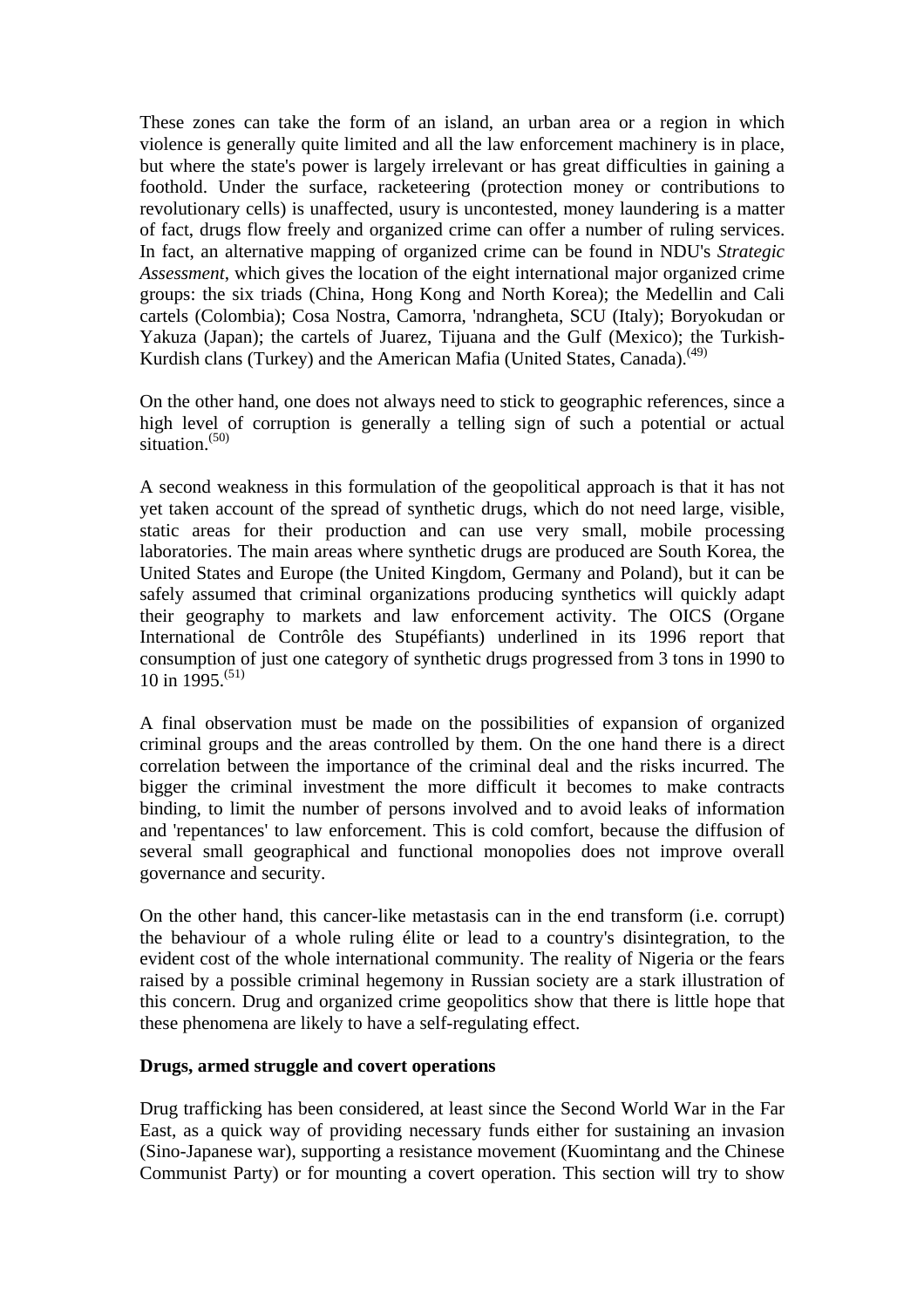These zones can take the form of an island, an urban area or a region in which violence is generally quite limited and all the law enforcement machinery is in place, but where the state's power is largely irrelevant or has great difficulties in gaining a foothold. Under the surface, racketeering (protection money or contributions to revolutionary cells) is unaffected, usury is uncontested, money laundering is a matter of fact, drugs flow freely and organized crime can offer a number of ruling services. In fact, an alternative mapping of organized crime can be found in NDU's *Strategic Assessment*, which gives the location of the eight international major organized crime groups: the six triads (China, Hong Kong and North Korea); the Medellin and Cali cartels (Colombia); Cosa Nostra, Camorra, 'ndrangheta, SCU (Italy); Boryokudan or Yakuza (Japan); the cartels of Juarez, Tijuana and the Gulf (Mexico); the Turkish-Kurdish clans (Turkey) and the American Mafia (United States, Canada).<sup>(49)</sup>

On the other hand, one does not always need to stick to geographic references, since a high level of corruption is generally a telling sign of such a potential or actual situation. $(50)$ 

A second weakness in this formulation of the geopolitical approach is that it has not yet taken account of the spread of synthetic drugs, which do not need large, visible, static areas for their production and can use very small, mobile processing laboratories. The main areas where synthetic drugs are produced are South Korea, the United States and Europe (the United Kingdom, Germany and Poland), but it can be safely assumed that criminal organizations producing synthetics will quickly adapt their geography to markets and law enforcement activity. The OICS (Organe International de Contrôle des Stupéfiants) underlined in its 1996 report that consumption of just one category of synthetic drugs progressed from 3 tons in 1990 to 10 in 1995.<sup>(51)</sup>

A final observation must be made on the possibilities of expansion of organized criminal groups and the areas controlled by them. On the one hand there is a direct correlation between the importance of the criminal deal and the risks incurred. The bigger the criminal investment the more difficult it becomes to make contracts binding, to limit the number of persons involved and to avoid leaks of information and 'repentances' to law enforcement. This is cold comfort, because the diffusion of several small geographical and functional monopolies does not improve overall governance and security.

On the other hand, this cancer-like metastasis can in the end transform (i.e. corrupt) the behaviour of a whole ruling élite or lead to a country's disintegration, to the evident cost of the whole international community. The reality of Nigeria or the fears raised by a possible criminal hegemony in Russian society are a stark illustration of this concern. Drug and organized crime geopolitics show that there is little hope that these phenomena are likely to have a self-regulating effect.

#### **Drugs, armed struggle and covert operations**

Drug trafficking has been considered, at least since the Second World War in the Far East, as a quick way of providing necessary funds either for sustaining an invasion (Sino-Japanese war), supporting a resistance movement (Kuomintang and the Chinese Communist Party) or for mounting a covert operation. This section will try to show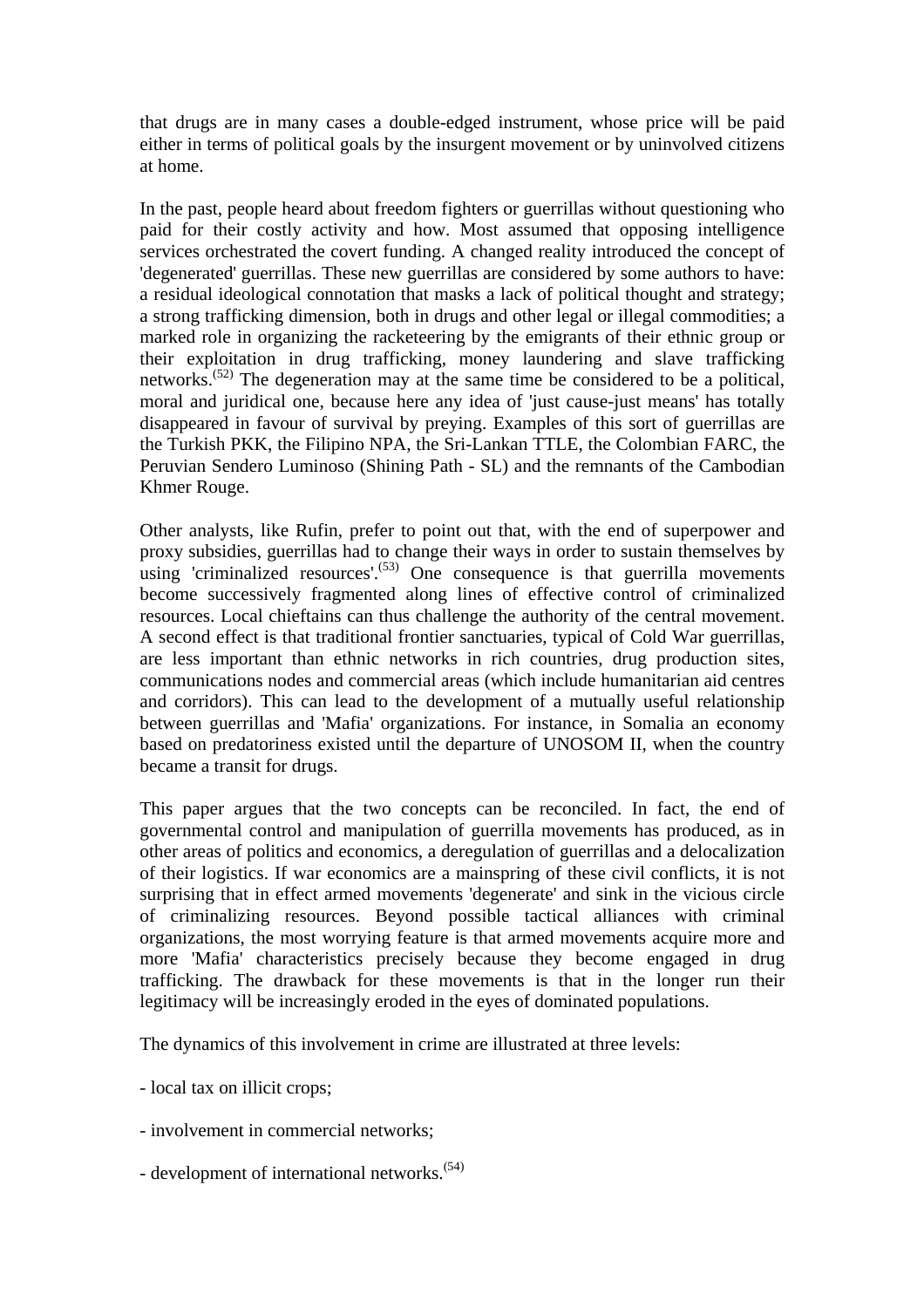that drugs are in many cases a double-edged instrument, whose price will be paid either in terms of political goals by the insurgent movement or by uninvolved citizens at home.

In the past, people heard about freedom fighters or guerrillas without questioning who paid for their costly activity and how. Most assumed that opposing intelligence services orchestrated the covert funding. A changed reality introduced the concept of 'degenerated' guerrillas. These new guerrillas are considered by some authors to have: a residual ideological connotation that masks a lack of political thought and strategy; a strong trafficking dimension, both in drugs and other legal or illegal commodities; a marked role in organizing the racketeering by the emigrants of their ethnic group or their exploitation in drug trafficking, money laundering and slave trafficking networks.(52) The degeneration may at the same time be considered to be a political, moral and juridical one, because here any idea of 'just cause-just means' has totally disappeared in favour of survival by preying. Examples of this sort of guerrillas are the Turkish PKK, the Filipino NPA, the Sri-Lankan TTLE, the Colombian FARC, the Peruvian Sendero Luminoso (Shining Path - SL) and the remnants of the Cambodian Khmer Rouge.

Other analysts, like Rufin, prefer to point out that, with the end of superpower and proxy subsidies, guerrillas had to change their ways in order to sustain themselves by using 'criminalized resources'.<sup>(53)</sup> One consequence is that guerrilla movements become successively fragmented along lines of effective control of criminalized resources. Local chieftains can thus challenge the authority of the central movement. A second effect is that traditional frontier sanctuaries, typical of Cold War guerrillas, are less important than ethnic networks in rich countries, drug production sites, communications nodes and commercial areas (which include humanitarian aid centres and corridors). This can lead to the development of a mutually useful relationship between guerrillas and 'Mafia' organizations. For instance, in Somalia an economy based on predatoriness existed until the departure of UNOSOM II, when the country became a transit for drugs.

This paper argues that the two concepts can be reconciled. In fact, the end of governmental control and manipulation of guerrilla movements has produced, as in other areas of politics and economics, a deregulation of guerrillas and a delocalization of their logistics. If war economics are a mainspring of these civil conflicts, it is not surprising that in effect armed movements 'degenerate' and sink in the vicious circle of criminalizing resources. Beyond possible tactical alliances with criminal organizations, the most worrying feature is that armed movements acquire more and more 'Mafia' characteristics precisely because they become engaged in drug trafficking. The drawback for these movements is that in the longer run their legitimacy will be increasingly eroded in the eyes of dominated populations.

The dynamics of this involvement in crime are illustrated at three levels:

- local tax on illicit crops;
- involvement in commercial networks;
- development of international networks.<sup>(54)</sup>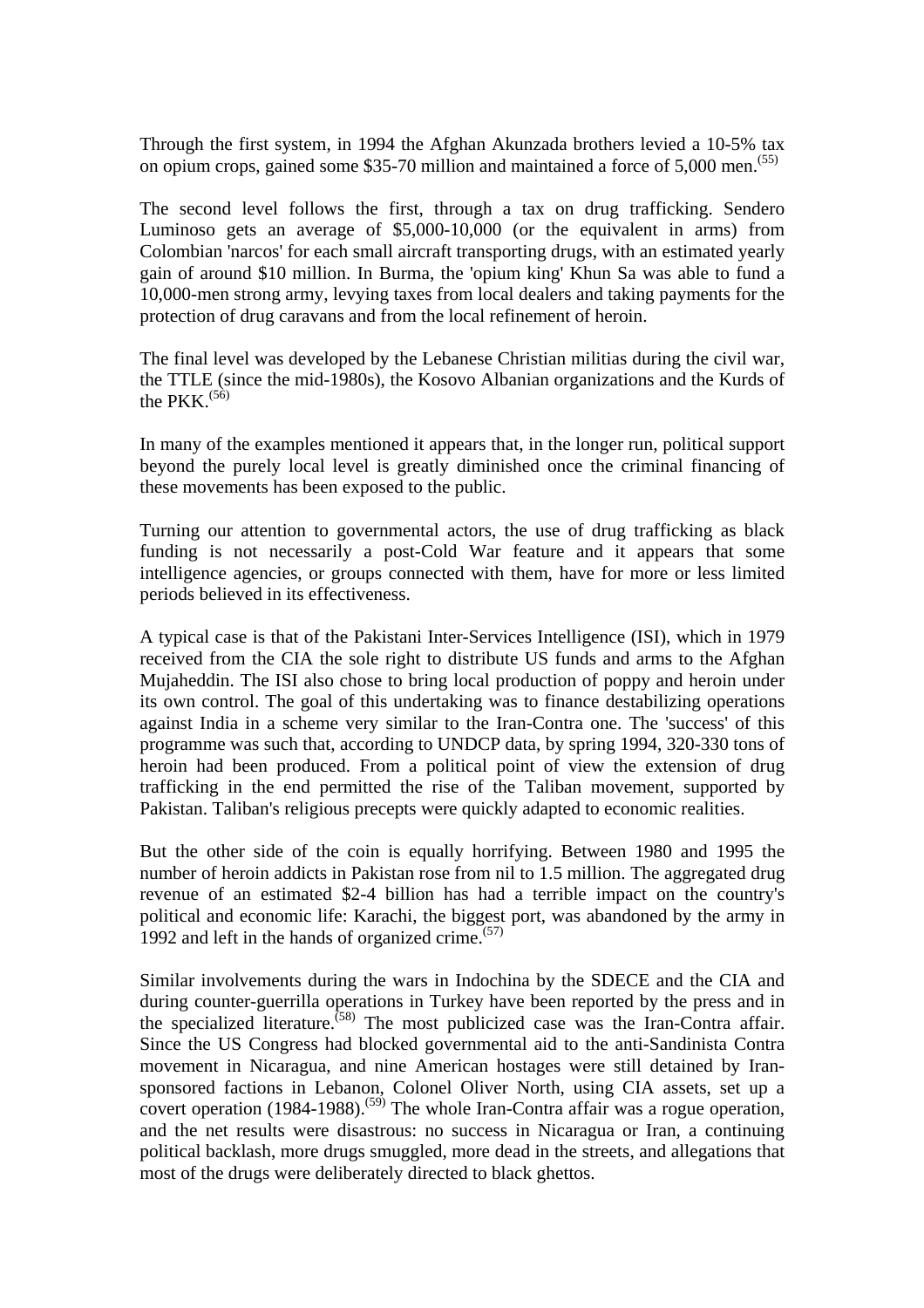Through the first system, in 1994 the Afghan Akunzada brothers levied a 10-5% tax on opium crops, gained some \$35-70 million and maintained a force of 5,000 men.<sup>(55)</sup>

The second level follows the first, through a tax on drug trafficking. Sendero Luminoso gets an average of \$5,000-10,000 (or the equivalent in arms) from Colombian 'narcos' for each small aircraft transporting drugs, with an estimated yearly gain of around \$10 million. In Burma, the 'opium king' Khun Sa was able to fund a 10,000-men strong army, levying taxes from local dealers and taking payments for the protection of drug caravans and from the local refinement of heroin.

The final level was developed by the Lebanese Christian militias during the civil war, the TTLE (since the mid-1980s), the Kosovo Albanian organizations and the Kurds of the PKK. $^{(56)}$ 

In many of the examples mentioned it appears that, in the longer run, political support beyond the purely local level is greatly diminished once the criminal financing of these movements has been exposed to the public.

Turning our attention to governmental actors, the use of drug trafficking as black funding is not necessarily a post-Cold War feature and it appears that some intelligence agencies, or groups connected with them, have for more or less limited periods believed in its effectiveness.

A typical case is that of the Pakistani Inter-Services Intelligence (ISI), which in 1979 received from the CIA the sole right to distribute US funds and arms to the Afghan Mujaheddin. The ISI also chose to bring local production of poppy and heroin under its own control. The goal of this undertaking was to finance destabilizing operations against India in a scheme very similar to the Iran-Contra one. The 'success' of this programme was such that, according to UNDCP data, by spring 1994, 320-330 tons of heroin had been produced. From a political point of view the extension of drug trafficking in the end permitted the rise of the Taliban movement, supported by Pakistan. Taliban's religious precepts were quickly adapted to economic realities.

But the other side of the coin is equally horrifying. Between 1980 and 1995 the number of heroin addicts in Pakistan rose from nil to 1.5 million. The aggregated drug revenue of an estimated \$2-4 billion has had a terrible impact on the country's political and economic life: Karachi, the biggest port, was abandoned by the army in 1992 and left in the hands of organized crime. $(57)$ 

Similar involvements during the wars in Indochina by the SDECE and the CIA and during counter-guerrilla operations in Turkey have been reported by the press and in the specialized literature.<sup> $(58)$ </sup> The most publicized case was the Iran-Contra affair. Since the US Congress had blocked governmental aid to the anti-Sandinista Contra movement in Nicaragua, and nine American hostages were still detained by Iransponsored factions in Lebanon, Colonel Oliver North, using CIA assets, set up a covert operation  $(1984-1988)$ .<sup>(59)</sup> The whole Iran-Contra affair was a rogue operation, and the net results were disastrous: no success in Nicaragua or Iran, a continuing political backlash, more drugs smuggled, more dead in the streets, and allegations that most of the drugs were deliberately directed to black ghettos.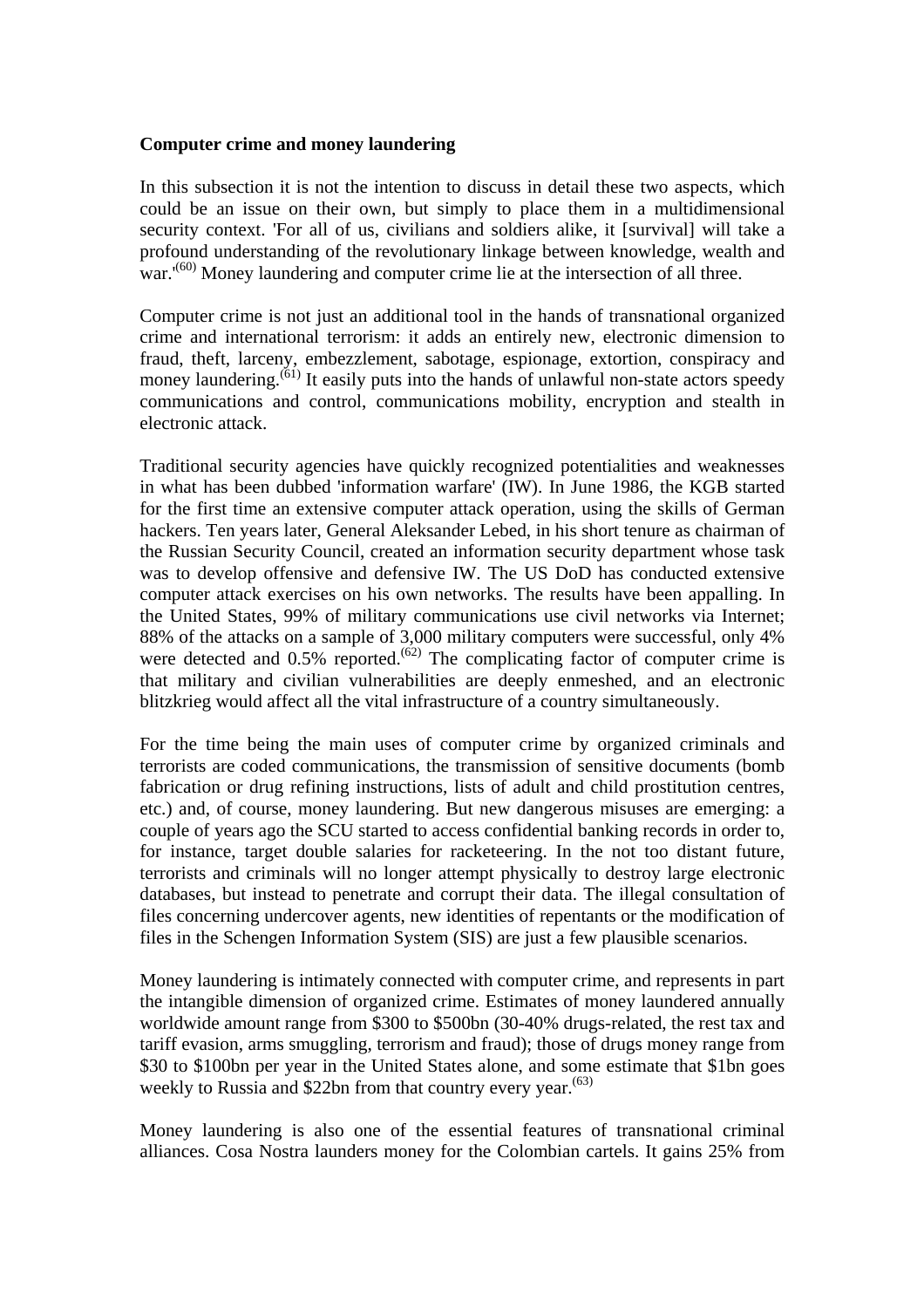#### **Computer crime and money laundering**

In this subsection it is not the intention to discuss in detail these two aspects, which could be an issue on their own, but simply to place them in a multidimensional security context. 'For all of us, civilians and soldiers alike, it [survival] will take a profound understanding of the revolutionary linkage between knowledge, wealth and war.<sup>'(60)</sup> Money laundering and computer crime lie at the intersection of all three.

Computer crime is not just an additional tool in the hands of transnational organized crime and international terrorism: it adds an entirely new, electronic dimension to fraud, theft, larceny, embezzlement, sabotage, espionage, extortion, conspiracy and money laundering.<sup>(61)</sup> It easily puts into the hands of unlawful non-state actors speedy communications and control, communications mobility, encryption and stealth in electronic attack.

Traditional security agencies have quickly recognized potentialities and weaknesses in what has been dubbed 'information warfare' (IW). In June 1986, the KGB started for the first time an extensive computer attack operation, using the skills of German hackers. Ten years later, General Aleksander Lebed, in his short tenure as chairman of the Russian Security Council, created an information security department whose task was to develop offensive and defensive IW. The US DoD has conducted extensive computer attack exercises on his own networks. The results have been appalling. In the United States, 99% of military communications use civil networks via Internet; 88% of the attacks on a sample of 3,000 military computers were successful, only 4% were detected and  $0.5\%$  reported.<sup> $(62)$ </sup> The complicating factor of computer crime is that military and civilian vulnerabilities are deeply enmeshed, and an electronic blitzkrieg would affect all the vital infrastructure of a country simultaneously.

For the time being the main uses of computer crime by organized criminals and terrorists are coded communications, the transmission of sensitive documents (bomb fabrication or drug refining instructions, lists of adult and child prostitution centres, etc.) and, of course, money laundering. But new dangerous misuses are emerging: a couple of years ago the SCU started to access confidential banking records in order to, for instance, target double salaries for racketeering. In the not too distant future, terrorists and criminals will no longer attempt physically to destroy large electronic databases, but instead to penetrate and corrupt their data. The illegal consultation of files concerning undercover agents, new identities of repentants or the modification of files in the Schengen Information System (SIS) are just a few plausible scenarios.

Money laundering is intimately connected with computer crime, and represents in part the intangible dimension of organized crime. Estimates of money laundered annually worldwide amount range from \$300 to \$500bn (30-40% drugs-related, the rest tax and tariff evasion, arms smuggling, terrorism and fraud); those of drugs money range from \$30 to \$100bn per year in the United States alone, and some estimate that \$1bn goes weekly to Russia and \$22bn from that country every year.  $(63)$ 

Money laundering is also one of the essential features of transnational criminal alliances. Cosa Nostra launders money for the Colombian cartels. It gains 25% from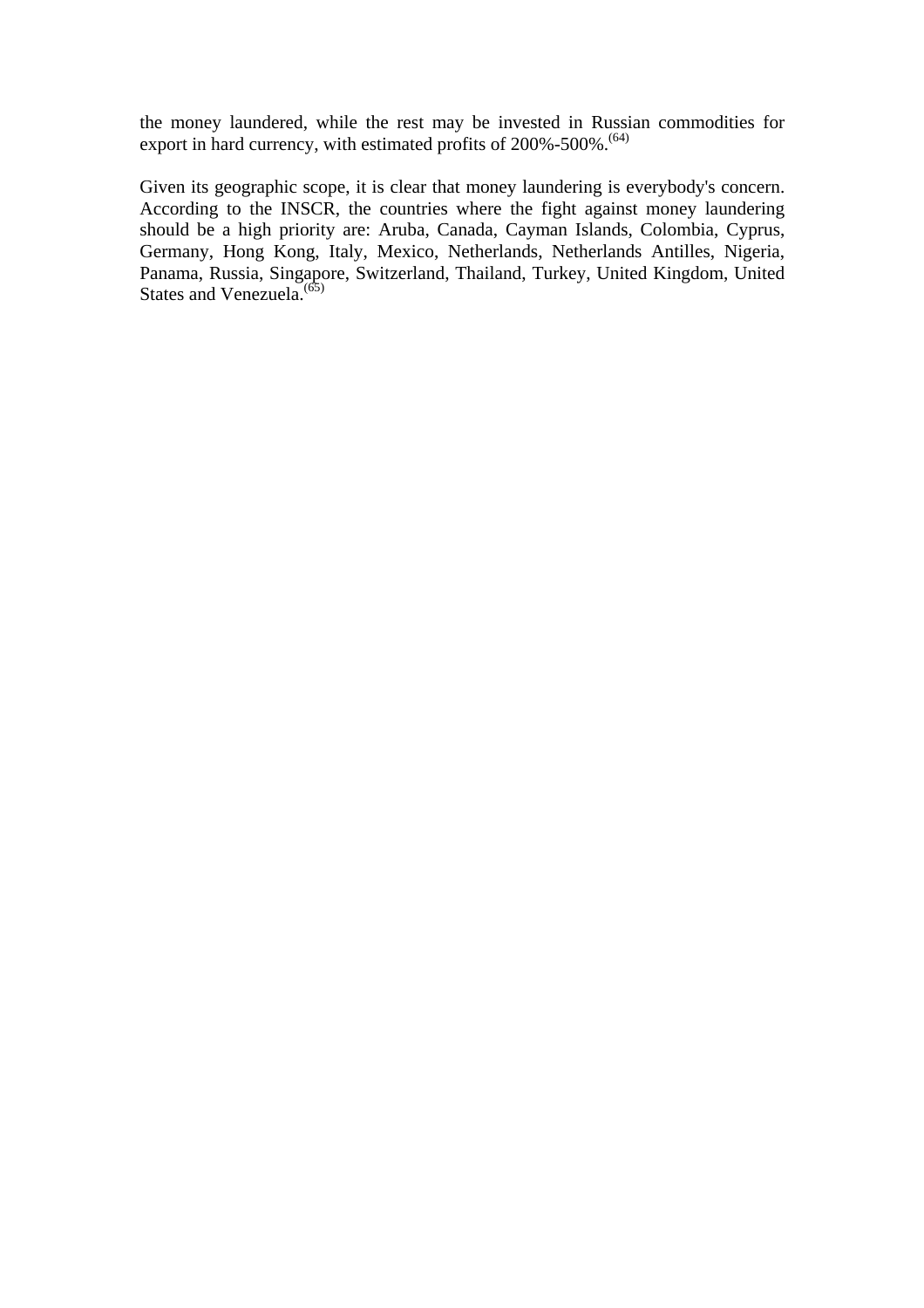the money laundered, while the rest may be invested in Russian commodities for export in hard currency, with estimated profits of 200%-500%.<sup>(64)</sup>

Given its geographic scope, it is clear that money laundering is everybody's concern. According to the INSCR, the countries where the fight against money laundering should be a high priority are: Aruba, Canada, Cayman Islands, Colombia, Cyprus, Germany, Hong Kong, Italy, Mexico, Netherlands, Netherlands Antilles, Nigeria, Panama, Russia, Singapore, Switzerland, Thailand, Turkey, United Kingdom, United States and Venezuela. $^{(65)}$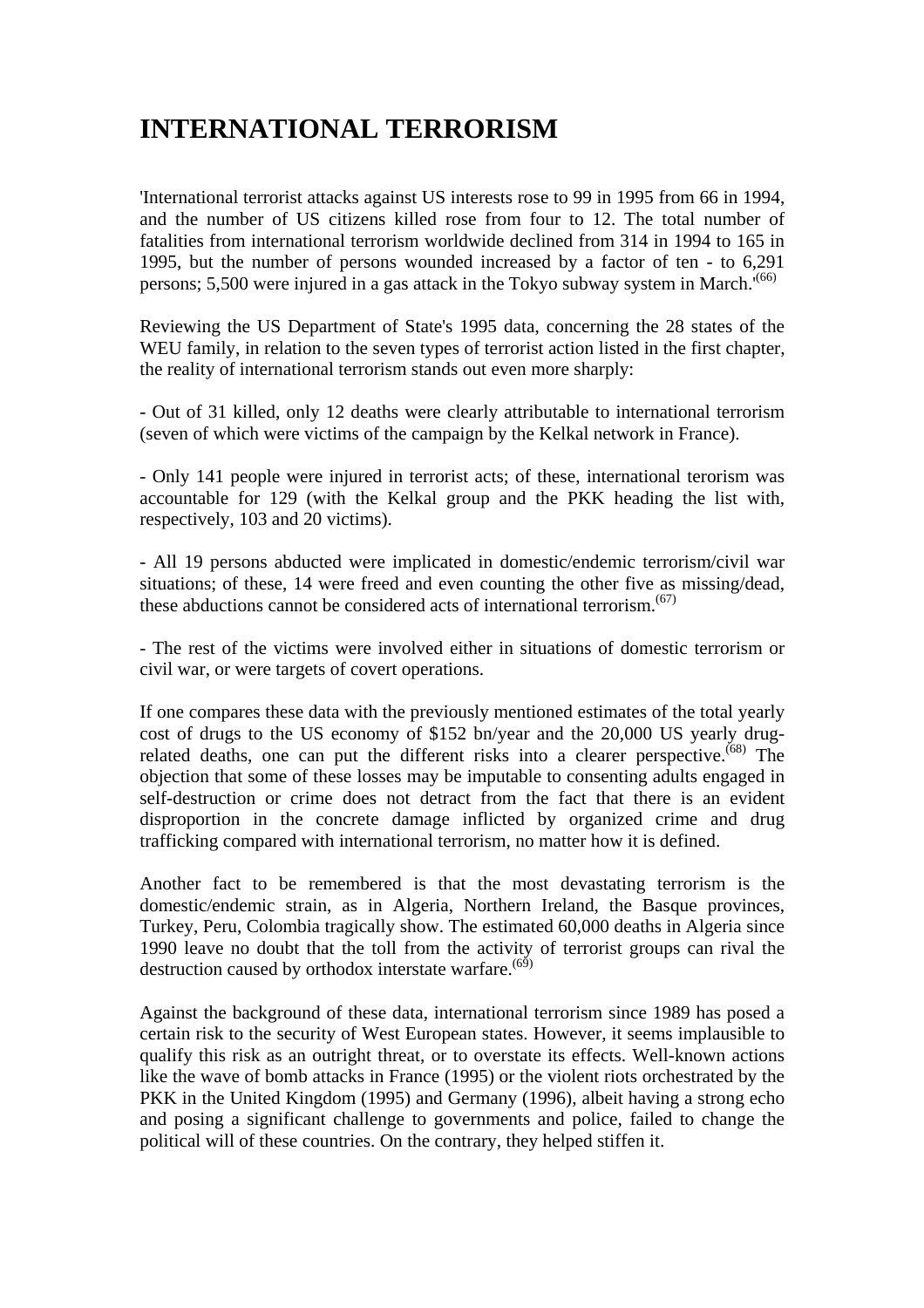# **INTERNATIONAL TERRORISM**

'International terrorist attacks against US interests rose to 99 in 1995 from 66 in 1994, and the number of US citizens killed rose from four to 12. The total number of fatalities from international terrorism worldwide declined from 314 in 1994 to 165 in 1995, but the number of persons wounded increased by a factor of ten - to 6,291 persons; 5,500 were injured in a gas attack in the Tokyo subway system in March.'(66)

Reviewing the US Department of State's 1995 data, concerning the 28 states of the WEU family, in relation to the seven types of terrorist action listed in the first chapter, the reality of international terrorism stands out even more sharply:

- Out of 31 killed, only 12 deaths were clearly attributable to international terrorism (seven of which were victims of the campaign by the Kelkal network in France).

- Only 141 people were injured in terrorist acts; of these, international terorism was accountable for 129 (with the Kelkal group and the PKK heading the list with, respectively, 103 and 20 victims).

- All 19 persons abducted were implicated in domestic/endemic terrorism/civil war situations; of these, 14 were freed and even counting the other five as missing/dead, these abductions cannot be considered acts of international terrorism.<sup> $(67)$ </sup>

- The rest of the victims were involved either in situations of domestic terrorism or civil war, or were targets of covert operations.

If one compares these data with the previously mentioned estimates of the total yearly cost of drugs to the US economy of \$152 bn/year and the 20,000 US yearly drugrelated deaths, one can put the different risks into a clearer perspective.<sup> $(68)$ </sup> The objection that some of these losses may be imputable to consenting adults engaged in self-destruction or crime does not detract from the fact that there is an evident disproportion in the concrete damage inflicted by organized crime and drug trafficking compared with international terrorism, no matter how it is defined.

Another fact to be remembered is that the most devastating terrorism is the domestic/endemic strain, as in Algeria, Northern Ireland, the Basque provinces, Turkey, Peru, Colombia tragically show. The estimated 60,000 deaths in Algeria since 1990 leave no doubt that the toll from the activity of terrorist groups can rival the destruction caused by orthodox interstate warfare.<sup> $(65)$ </sup>

Against the background of these data, international terrorism since 1989 has posed a certain risk to the security of West European states. However, it seems implausible to qualify this risk as an outright threat, or to overstate its effects. Well-known actions like the wave of bomb attacks in France (1995) or the violent riots orchestrated by the PKK in the United Kingdom (1995) and Germany (1996), albeit having a strong echo and posing a significant challenge to governments and police, failed to change the political will of these countries. On the contrary, they helped stiffen it.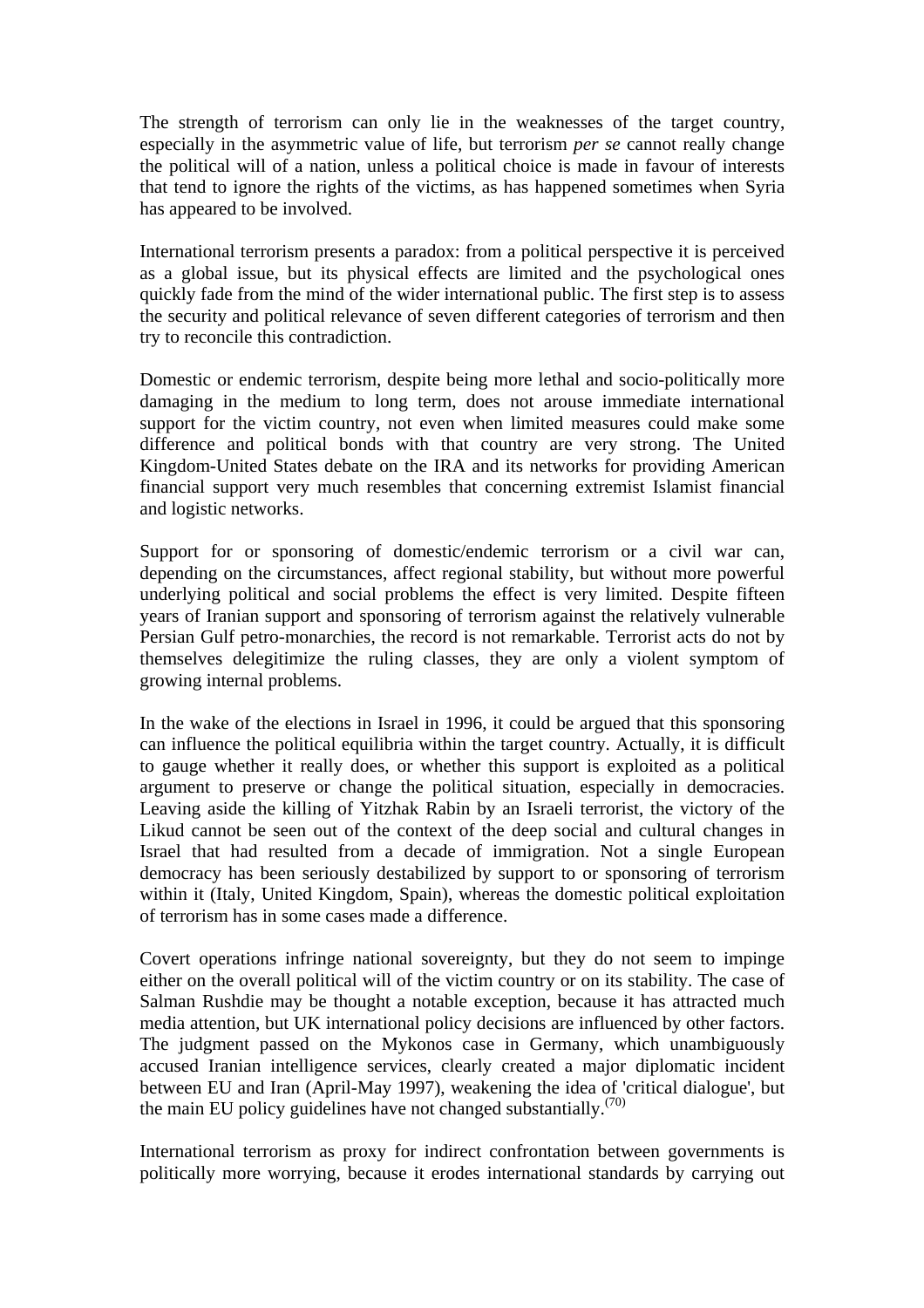The strength of terrorism can only lie in the weaknesses of the target country, especially in the asymmetric value of life, but terrorism *per se* cannot really change the political will of a nation, unless a political choice is made in favour of interests that tend to ignore the rights of the victims, as has happened sometimes when Syria has appeared to be involved.

International terrorism presents a paradox: from a political perspective it is perceived as a global issue, but its physical effects are limited and the psychological ones quickly fade from the mind of the wider international public. The first step is to assess the security and political relevance of seven different categories of terrorism and then try to reconcile this contradiction.

Domestic or endemic terrorism, despite being more lethal and socio-politically more damaging in the medium to long term, does not arouse immediate international support for the victim country, not even when limited measures could make some difference and political bonds with that country are very strong. The United Kingdom-United States debate on the IRA and its networks for providing American financial support very much resembles that concerning extremist Islamist financial and logistic networks.

Support for or sponsoring of domestic/endemic terrorism or a civil war can, depending on the circumstances, affect regional stability, but without more powerful underlying political and social problems the effect is very limited. Despite fifteen years of Iranian support and sponsoring of terrorism against the relatively vulnerable Persian Gulf petro-monarchies, the record is not remarkable. Terrorist acts do not by themselves delegitimize the ruling classes, they are only a violent symptom of growing internal problems.

In the wake of the elections in Israel in 1996, it could be argued that this sponsoring can influence the political equilibria within the target country. Actually, it is difficult to gauge whether it really does, or whether this support is exploited as a political argument to preserve or change the political situation, especially in democracies. Leaving aside the killing of Yitzhak Rabin by an Israeli terrorist, the victory of the Likud cannot be seen out of the context of the deep social and cultural changes in Israel that had resulted from a decade of immigration. Not a single European democracy has been seriously destabilized by support to or sponsoring of terrorism within it (Italy, United Kingdom, Spain), whereas the domestic political exploitation of terrorism has in some cases made a difference.

Covert operations infringe national sovereignty, but they do not seem to impinge either on the overall political will of the victim country or on its stability. The case of Salman Rushdie may be thought a notable exception, because it has attracted much media attention, but UK international policy decisions are influenced by other factors. The judgment passed on the Mykonos case in Germany, which unambiguously accused Iranian intelligence services, clearly created a major diplomatic incident between EU and Iran (April-May 1997), weakening the idea of 'critical dialogue', but the main EU policy guidelines have not changed substantially. $(70)$ 

International terrorism as proxy for indirect confrontation between governments is politically more worrying, because it erodes international standards by carrying out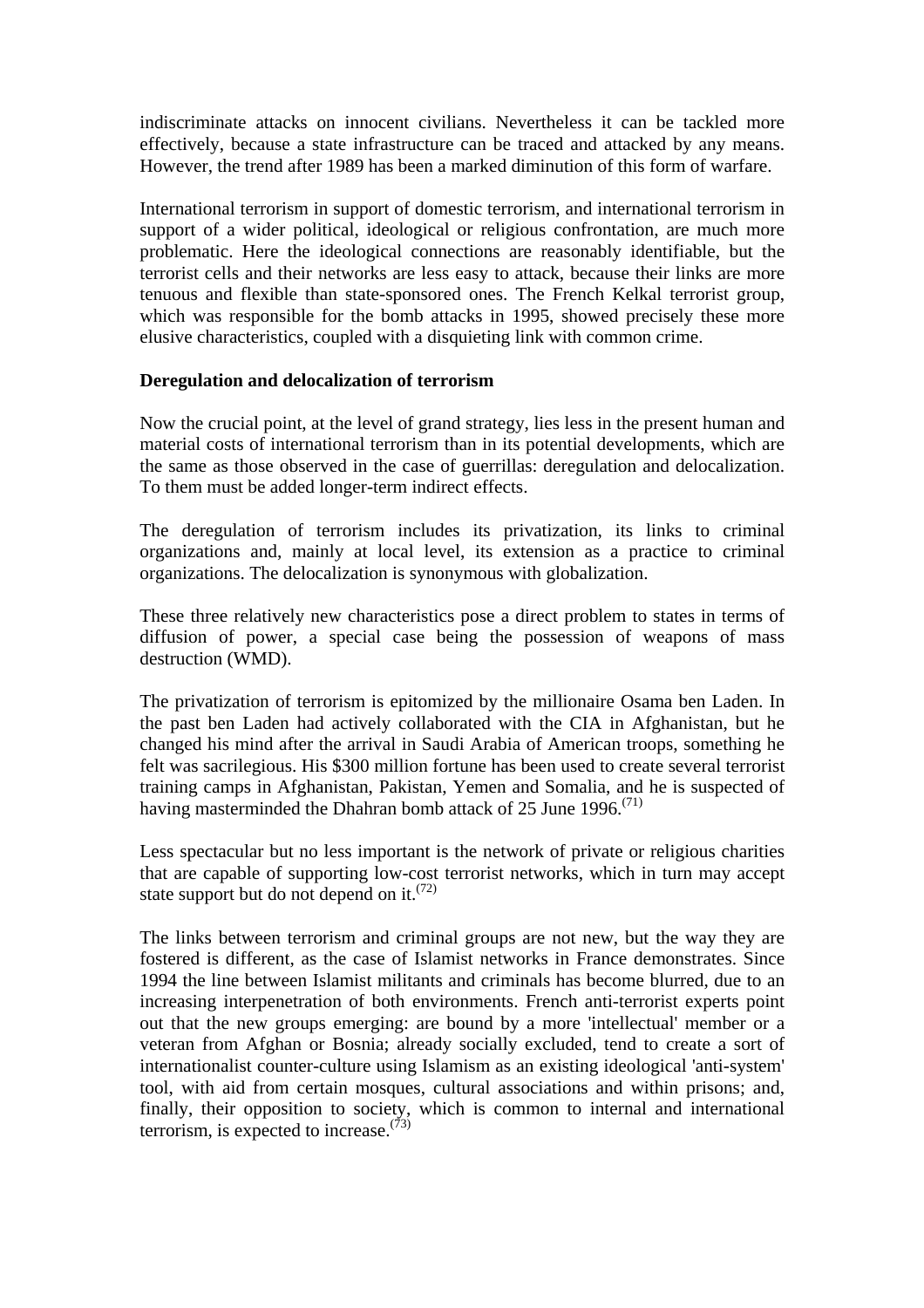indiscriminate attacks on innocent civilians. Nevertheless it can be tackled more effectively, because a state infrastructure can be traced and attacked by any means. However, the trend after 1989 has been a marked diminution of this form of warfare.

International terrorism in support of domestic terrorism, and international terrorism in support of a wider political, ideological or religious confrontation, are much more problematic. Here the ideological connections are reasonably identifiable, but the terrorist cells and their networks are less easy to attack, because their links are more tenuous and flexible than state-sponsored ones. The French Kelkal terrorist group, which was responsible for the bomb attacks in 1995, showed precisely these more elusive characteristics, coupled with a disquieting link with common crime.

#### **Deregulation and delocalization of terrorism**

Now the crucial point, at the level of grand strategy, lies less in the present human and material costs of international terrorism than in its potential developments, which are the same as those observed in the case of guerrillas: deregulation and delocalization. To them must be added longer-term indirect effects.

The deregulation of terrorism includes its privatization, its links to criminal organizations and, mainly at local level, its extension as a practice to criminal organizations. The delocalization is synonymous with globalization.

These three relatively new characteristics pose a direct problem to states in terms of diffusion of power, a special case being the possession of weapons of mass destruction (WMD).

The privatization of terrorism is epitomized by the millionaire Osama ben Laden. In the past ben Laden had actively collaborated with the CIA in Afghanistan, but he changed his mind after the arrival in Saudi Arabia of American troops, something he felt was sacrilegious. His \$300 million fortune has been used to create several terrorist training camps in Afghanistan, Pakistan, Yemen and Somalia, and he is suspected of having masterminded the Dhahran bomb attack of 25 June 1996.<sup> $(71)$ </sup>

Less spectacular but no less important is the network of private or religious charities that are capable of supporting low-cost terrorist networks, which in turn may accept state support but do not depend on it.<sup> $(72)$ </sup>

The links between terrorism and criminal groups are not new, but the way they are fostered is different, as the case of Islamist networks in France demonstrates. Since 1994 the line between Islamist militants and criminals has become blurred, due to an increasing interpenetration of both environments. French anti-terrorist experts point out that the new groups emerging: are bound by a more 'intellectual' member or a veteran from Afghan or Bosnia; already socially excluded, tend to create a sort of internationalist counter-culture using Islamism as an existing ideological 'anti-system' tool, with aid from certain mosques, cultural associations and within prisons; and, finally, their opposition to society, which is common to internal and international terrorism, is expected to increase. $(73)$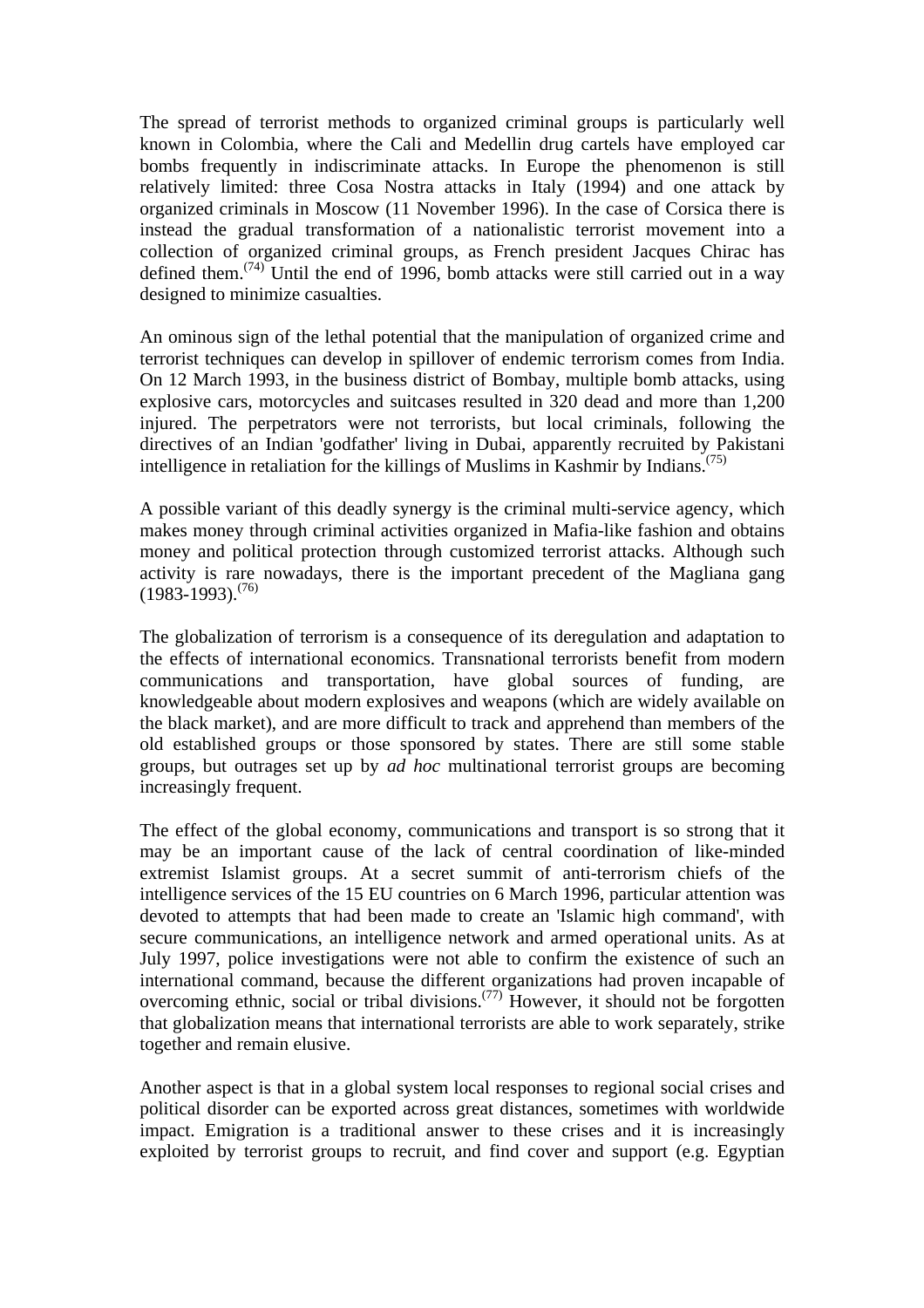The spread of terrorist methods to organized criminal groups is particularly well known in Colombia, where the Cali and Medellin drug cartels have employed car bombs frequently in indiscriminate attacks. In Europe the phenomenon is still relatively limited: three Cosa Nostra attacks in Italy (1994) and one attack by organized criminals in Moscow (11 November 1996). In the case of Corsica there is instead the gradual transformation of a nationalistic terrorist movement into a collection of organized criminal groups, as French president Jacques Chirac has defined them.<sup> $(74)$ </sup> Until the end of 1996, bomb attacks were still carried out in a way designed to minimize casualties.

An ominous sign of the lethal potential that the manipulation of organized crime and terrorist techniques can develop in spillover of endemic terrorism comes from India. On 12 March 1993, in the business district of Bombay, multiple bomb attacks, using explosive cars, motorcycles and suitcases resulted in 320 dead and more than 1,200 injured. The perpetrators were not terrorists, but local criminals, following the directives of an Indian 'godfather' living in Dubai, apparently recruited by Pakistani intelligence in retaliation for the killings of Muslims in Kashmir by Indians.<sup> $(75)$ </sup>

A possible variant of this deadly synergy is the criminal multi-service agency, which makes money through criminal activities organized in Mafia-like fashion and obtains money and political protection through customized terrorist attacks. Although such activity is rare nowadays, there is the important precedent of the Magliana gang  $(1983-1993)^{(76)}$ 

The globalization of terrorism is a consequence of its deregulation and adaptation to the effects of international economics. Transnational terrorists benefit from modern communications and transportation, have global sources of funding, are knowledgeable about modern explosives and weapons (which are widely available on the black market), and are more difficult to track and apprehend than members of the old established groups or those sponsored by states. There are still some stable groups, but outrages set up by *ad hoc* multinational terrorist groups are becoming increasingly frequent.

The effect of the global economy, communications and transport is so strong that it may be an important cause of the lack of central coordination of like-minded extremist Islamist groups. At a secret summit of anti-terrorism chiefs of the intelligence services of the 15 EU countries on 6 March 1996, particular attention was devoted to attempts that had been made to create an 'Islamic high command', with secure communications, an intelligence network and armed operational units. As at July 1997, police investigations were not able to confirm the existence of such an international command, because the different organizations had proven incapable of overcoming ethnic, social or tribal divisions.(77) However, it should not be forgotten that globalization means that international terrorists are able to work separately, strike together and remain elusive.

Another aspect is that in a global system local responses to regional social crises and political disorder can be exported across great distances, sometimes with worldwide impact. Emigration is a traditional answer to these crises and it is increasingly exploited by terrorist groups to recruit, and find cover and support (e.g. Egyptian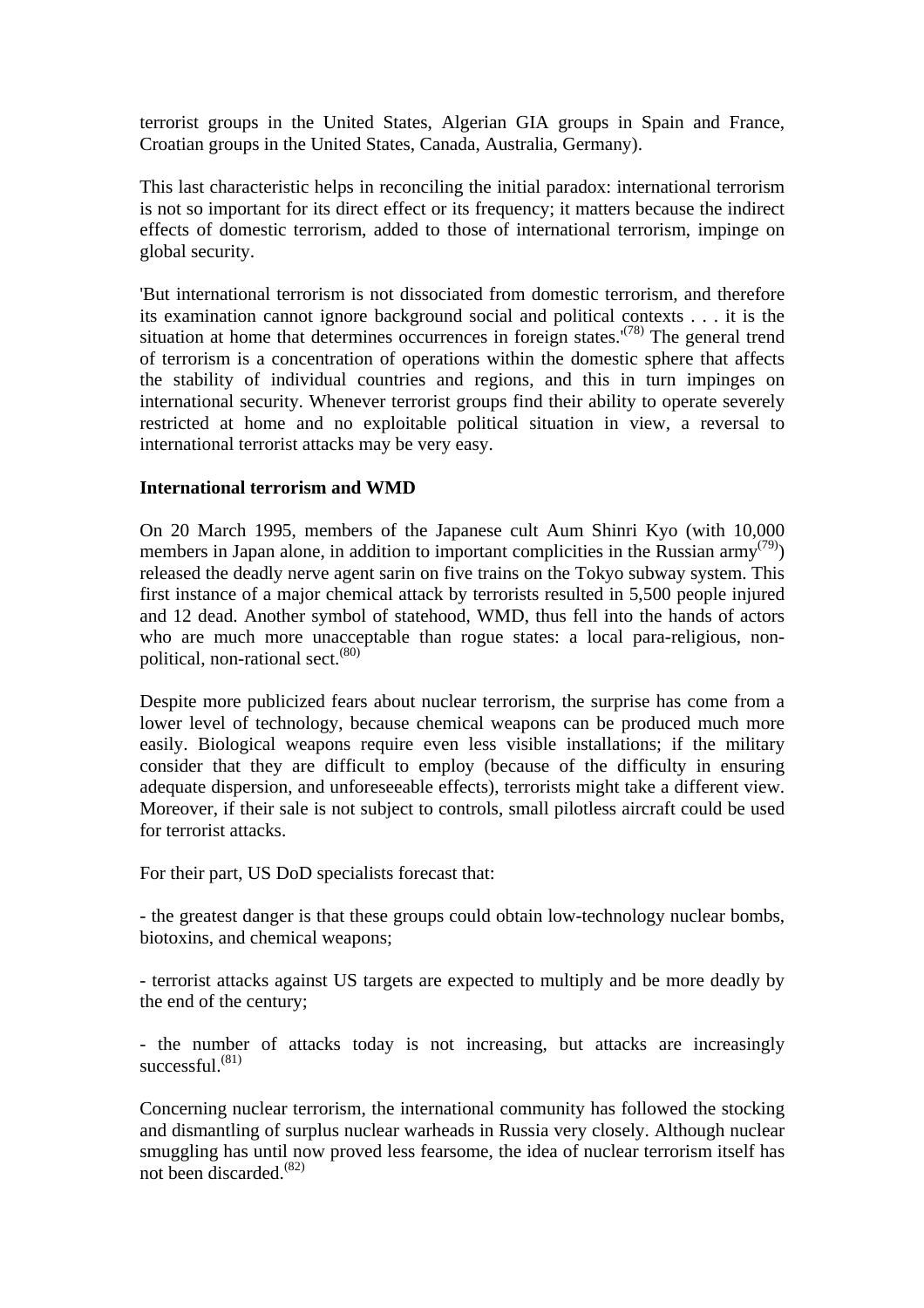terrorist groups in the United States, Algerian GIA groups in Spain and France, Croatian groups in the United States, Canada, Australia, Germany).

This last characteristic helps in reconciling the initial paradox: international terrorism is not so important for its direct effect or its frequency; it matters because the indirect effects of domestic terrorism, added to those of international terrorism, impinge on global security.

'But international terrorism is not dissociated from domestic terrorism, and therefore its examination cannot ignore background social and political contexts . . . it is the situation at home that determines occurrences in foreign states.<sup> $(78)$ </sup> The general trend of terrorism is a concentration of operations within the domestic sphere that affects the stability of individual countries and regions, and this in turn impinges on international security. Whenever terrorist groups find their ability to operate severely restricted at home and no exploitable political situation in view, a reversal to international terrorist attacks may be very easy.

#### **International terrorism and WMD**

On 20 March 1995, members of the Japanese cult Aum Shinri Kyo (with 10,000 members in Japan alone, in addition to important complicities in the Russian army<sup>(79)</sup>) released the deadly nerve agent sarin on five trains on the Tokyo subway system. This first instance of a major chemical attack by terrorists resulted in 5,500 people injured and 12 dead. Another symbol of statehood, WMD, thus fell into the hands of actors who are much more unacceptable than rogue states: a local para-religious, nonpolitical, non-rational sect.<sup>(80)</sup>

Despite more publicized fears about nuclear terrorism, the surprise has come from a lower level of technology, because chemical weapons can be produced much more easily. Biological weapons require even less visible installations; if the military consider that they are difficult to employ (because of the difficulty in ensuring adequate dispersion, and unforeseeable effects), terrorists might take a different view. Moreover, if their sale is not subject to controls, small pilotless aircraft could be used for terrorist attacks.

For their part, US DoD specialists forecast that:

- the greatest danger is that these groups could obtain low-technology nuclear bombs, biotoxins, and chemical weapons;

- terrorist attacks against US targets are expected to multiply and be more deadly by the end of the century;

- the number of attacks today is not increasing, but attacks are increasingly successful.<sup>(81)</sup>

Concerning nuclear terrorism, the international community has followed the stocking and dismantling of surplus nuclear warheads in Russia very closely. Although nuclear smuggling has until now proved less fearsome, the idea of nuclear terrorism itself has not been discarded.<sup>(82)</sup>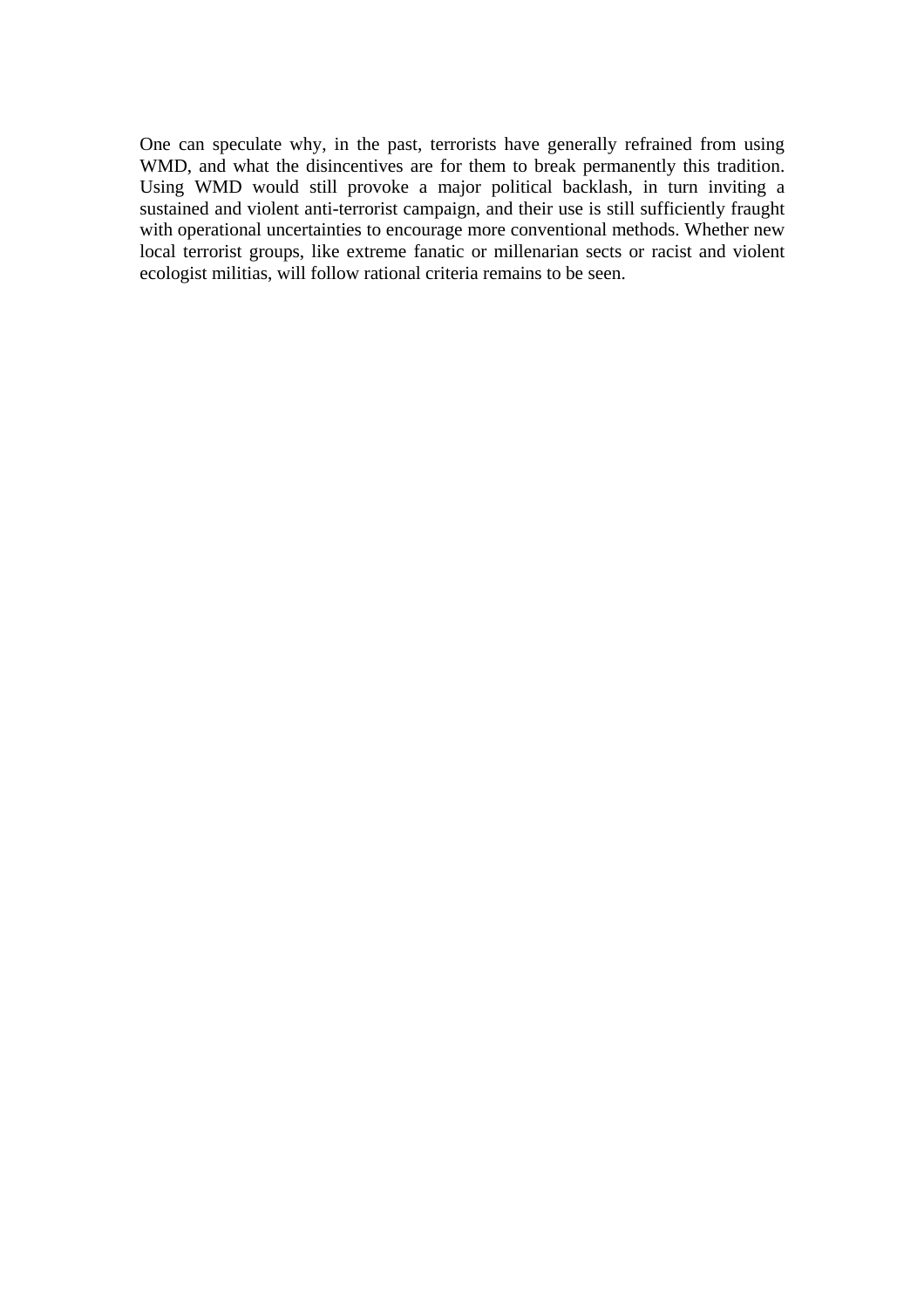One can speculate why, in the past, terrorists have generally refrained from using WMD, and what the disincentives are for them to break permanently this tradition. Using WMD would still provoke a major political backlash, in turn inviting a sustained and violent anti-terrorist campaign, and their use is still sufficiently fraught with operational uncertainties to encourage more conventional methods. Whether new local terrorist groups, like extreme fanatic or millenarian sects or racist and violent ecologist militias, will follow rational criteria remains to be seen.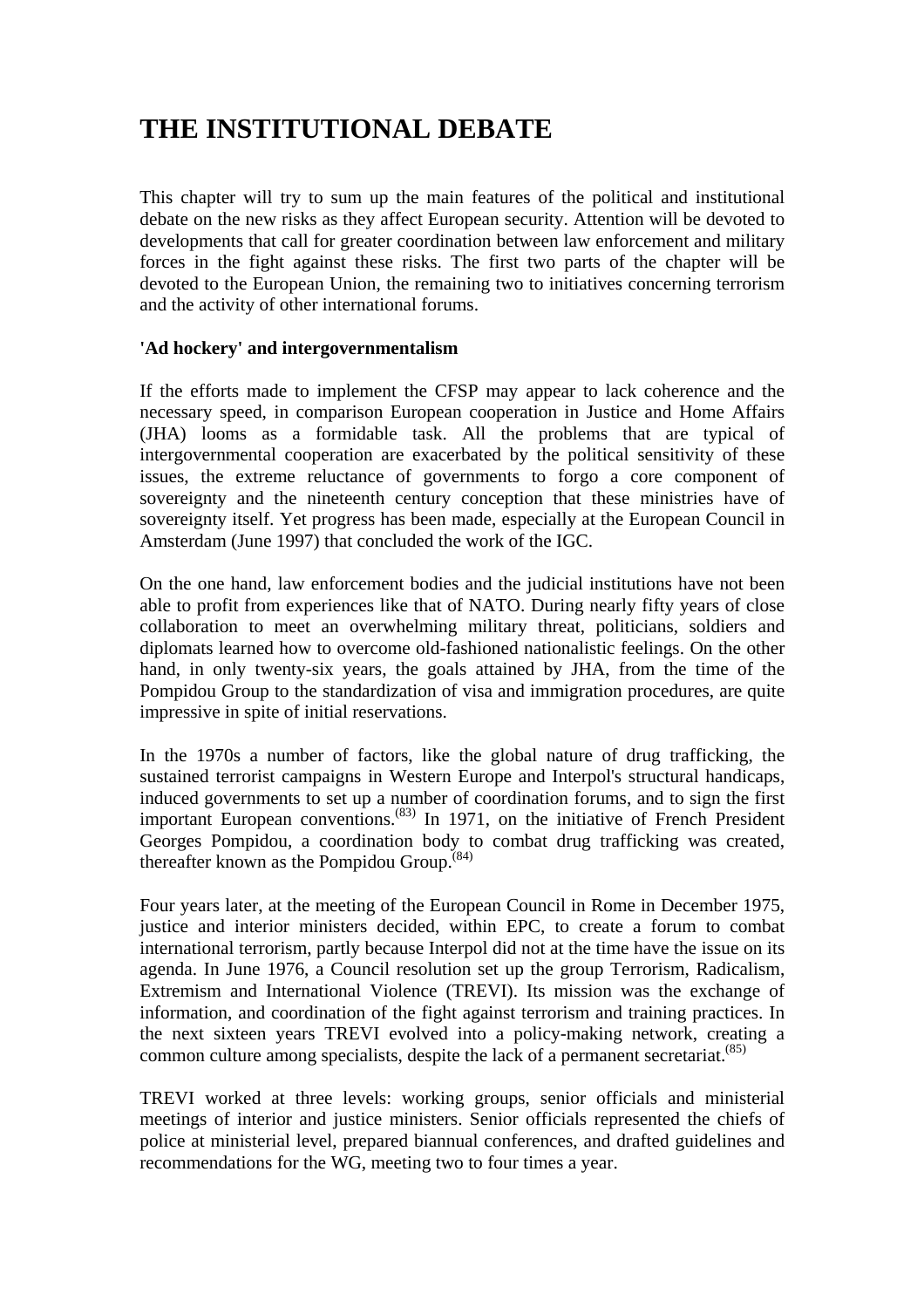# **THE INSTITUTIONAL DEBATE**

This chapter will try to sum up the main features of the political and institutional debate on the new risks as they affect European security. Attention will be devoted to developments that call for greater coordination between law enforcement and military forces in the fight against these risks. The first two parts of the chapter will be devoted to the European Union, the remaining two to initiatives concerning terrorism and the activity of other international forums.

#### **'Ad hockery' and intergovernmentalism**

If the efforts made to implement the CFSP may appear to lack coherence and the necessary speed, in comparison European cooperation in Justice and Home Affairs (JHA) looms as a formidable task. All the problems that are typical of intergovernmental cooperation are exacerbated by the political sensitivity of these issues, the extreme reluctance of governments to forgo a core component of sovereignty and the nineteenth century conception that these ministries have of sovereignty itself. Yet progress has been made, especially at the European Council in Amsterdam (June 1997) that concluded the work of the IGC.

On the one hand, law enforcement bodies and the judicial institutions have not been able to profit from experiences like that of NATO. During nearly fifty years of close collaboration to meet an overwhelming military threat, politicians, soldiers and diplomats learned how to overcome old-fashioned nationalistic feelings. On the other hand, in only twenty-six years, the goals attained by JHA, from the time of the Pompidou Group to the standardization of visa and immigration procedures, are quite impressive in spite of initial reservations.

In the 1970s a number of factors, like the global nature of drug trafficking, the sustained terrorist campaigns in Western Europe and Interpol's structural handicaps, induced governments to set up a number of coordination forums, and to sign the first important European conventions.(83) In 1971, on the initiative of French President Georges Pompidou, a coordination body to combat drug trafficking was created, thereafter known as the Pompidou Group. $^{(84)}$ 

Four years later, at the meeting of the European Council in Rome in December 1975, justice and interior ministers decided, within EPC, to create a forum to combat international terrorism, partly because Interpol did not at the time have the issue on its agenda. In June 1976, a Council resolution set up the group Terrorism, Radicalism, Extremism and International Violence (TREVI). Its mission was the exchange of information, and coordination of the fight against terrorism and training practices. In the next sixteen years TREVI evolved into a policy-making network, creating a common culture among specialists, despite the lack of a permanent secretariat.<sup> $(85)$ </sup>

TREVI worked at three levels: working groups, senior officials and ministerial meetings of interior and justice ministers. Senior officials represented the chiefs of police at ministerial level, prepared biannual conferences, and drafted guidelines and recommendations for the WG, meeting two to four times a year.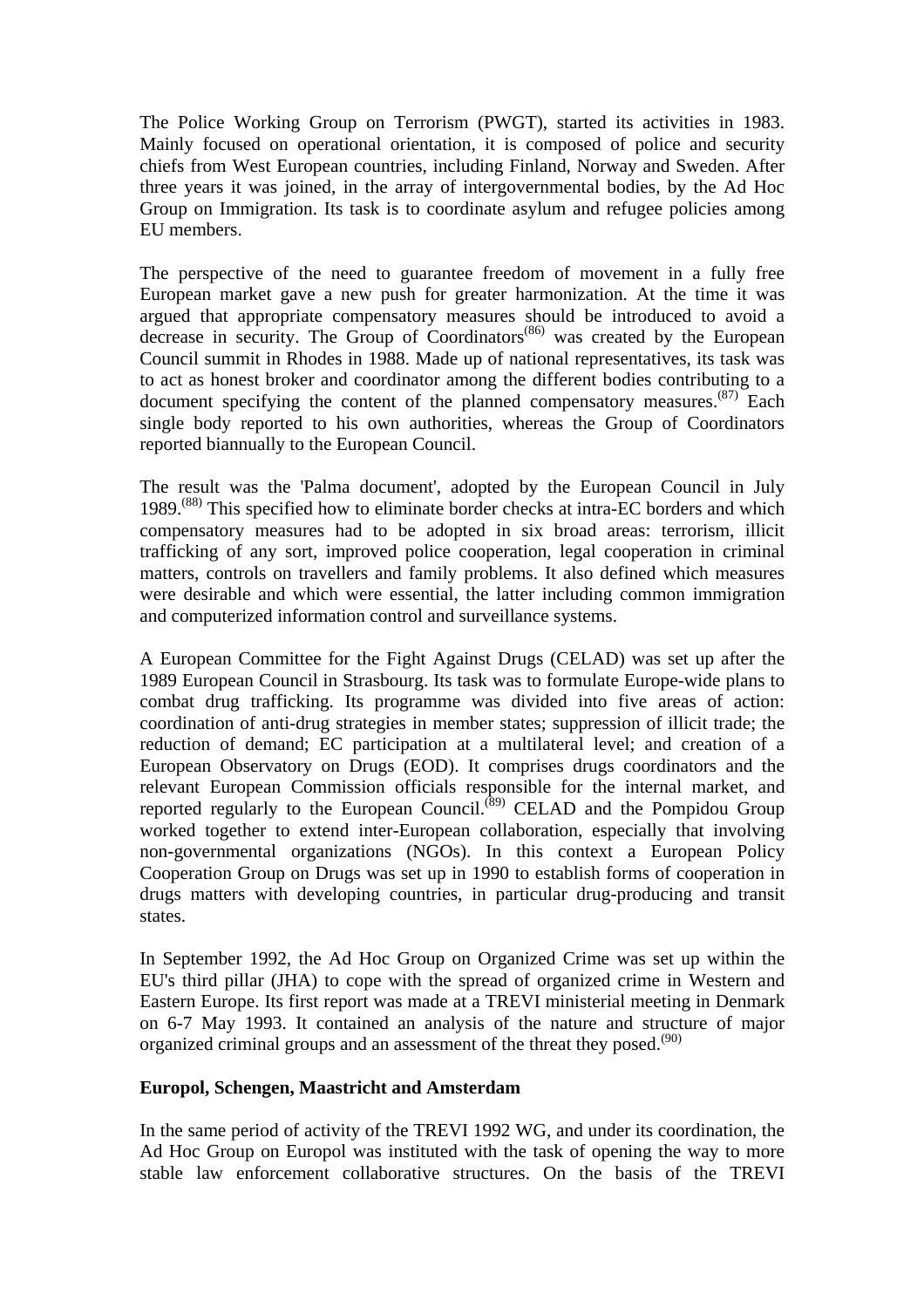The Police Working Group on Terrorism (PWGT), started its activities in 1983. Mainly focused on operational orientation, it is composed of police and security chiefs from West European countries, including Finland, Norway and Sweden. After three years it was joined, in the array of intergovernmental bodies, by the Ad Hoc Group on Immigration. Its task is to coordinate asylum and refugee policies among EU members.

The perspective of the need to guarantee freedom of movement in a fully free European market gave a new push for greater harmonization. At the time it was argued that appropriate compensatory measures should be introduced to avoid a decrease in security. The Group of Coordinators<sup>(86)</sup> was created by the European Council summit in Rhodes in 1988. Made up of national representatives, its task was to act as honest broker and coordinator among the different bodies contributing to a document specifying the content of the planned compensatory measures.<sup> $(87)$ </sup> Each single body reported to his own authorities, whereas the Group of Coordinators reported biannually to the European Council.

The result was the 'Palma document', adopted by the European Council in July 1989.<sup>(88)</sup> This specified how to eliminate border checks at intra-EC borders and which compensatory measures had to be adopted in six broad areas: terrorism, illicit trafficking of any sort, improved police cooperation, legal cooperation in criminal matters, controls on travellers and family problems. It also defined which measures were desirable and which were essential, the latter including common immigration and computerized information control and surveillance systems.

A European Committee for the Fight Against Drugs (CELAD) was set up after the 1989 European Council in Strasbourg. Its task was to formulate Europe-wide plans to combat drug trafficking. Its programme was divided into five areas of action: coordination of anti-drug strategies in member states; suppression of illicit trade; the reduction of demand; EC participation at a multilateral level; and creation of a European Observatory on Drugs (EOD). It comprises drugs coordinators and the relevant European Commission officials responsible for the internal market, and reported regularly to the European Council.<sup>(89)</sup> CELAD and the Pompidou Group worked together to extend inter-European collaboration, especially that involving non-governmental organizations (NGOs). In this context a European Policy Cooperation Group on Drugs was set up in 1990 to establish forms of cooperation in drugs matters with developing countries, in particular drug-producing and transit states.

In September 1992, the Ad Hoc Group on Organized Crime was set up within the EU's third pillar (JHA) to cope with the spread of organized crime in Western and Eastern Europe. Its first report was made at a TREVI ministerial meeting in Denmark on 6-7 May 1993. It contained an analysis of the nature and structure of major organized criminal groups and an assessment of the threat they posed. $(90)$ 

#### **Europol, Schengen, Maastricht and Amsterdam**

In the same period of activity of the TREVI 1992 WG, and under its coordination, the Ad Hoc Group on Europol was instituted with the task of opening the way to more stable law enforcement collaborative structures. On the basis of the TREVI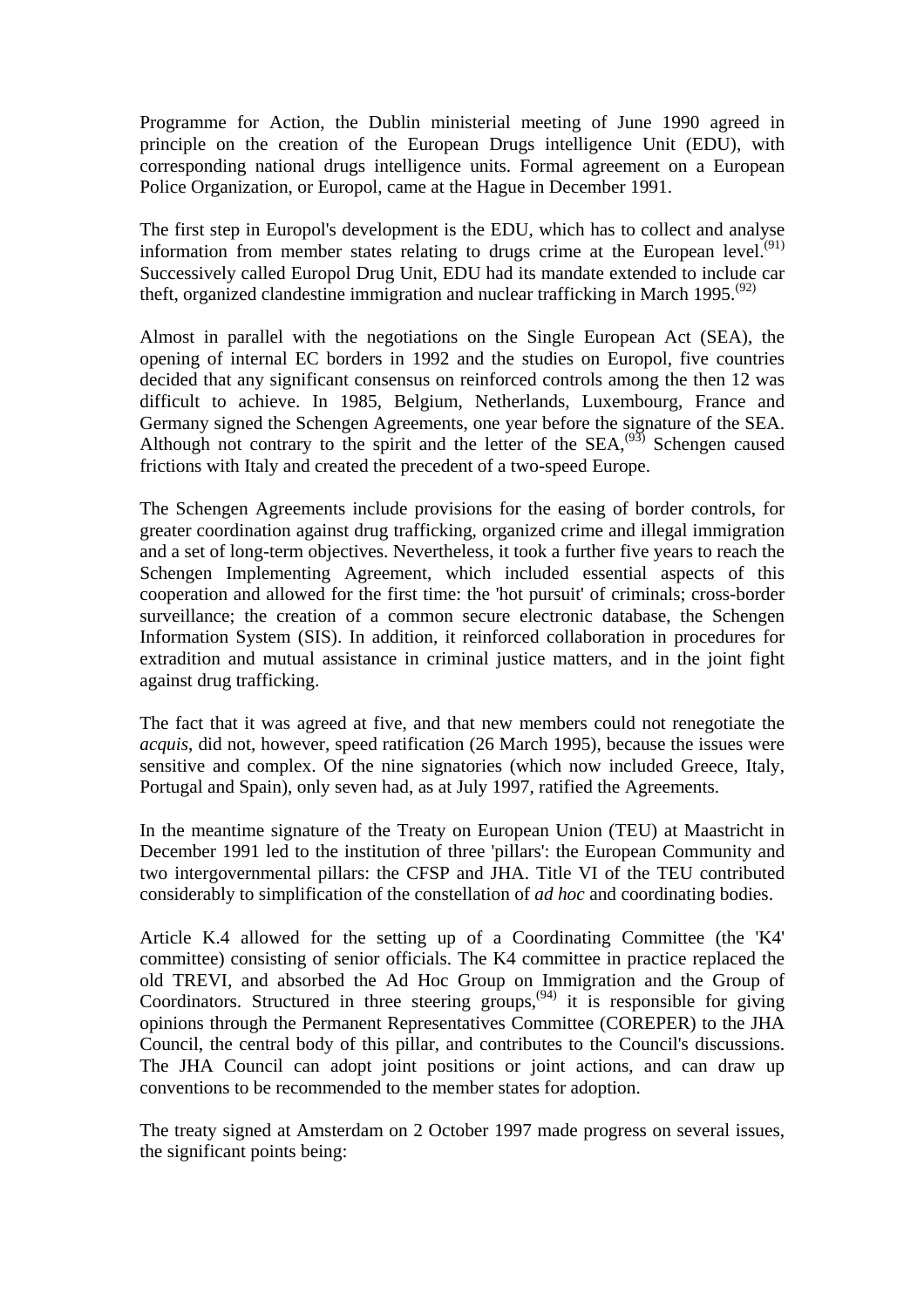Programme for Action, the Dublin ministerial meeting of June 1990 agreed in principle on the creation of the European Drugs intelligence Unit (EDU), with corresponding national drugs intelligence units. Formal agreement on a European Police Organization, or Europol, came at the Hague in December 1991.

The first step in Europol's development is the EDU, which has to collect and analyse information from member states relating to drugs crime at the European level.<sup> $(91)$ </sup> Successively called Europol Drug Unit, EDU had its mandate extended to include car theft, organized clandestine immigration and nuclear trafficking in March 1995.<sup> $(92)$ </sup>

Almost in parallel with the negotiations on the Single European Act (SEA), the opening of internal EC borders in 1992 and the studies on Europol, five countries decided that any significant consensus on reinforced controls among the then 12 was difficult to achieve. In 1985, Belgium, Netherlands, Luxembourg, France and Germany signed the Schengen Agreements, one year before the signature of the SEA. Although not contrary to the spirit and the letter of the  $SEA$ ,<sup> $(93)$ </sup> Schengen caused frictions with Italy and created the precedent of a two-speed Europe.

The Schengen Agreements include provisions for the easing of border controls, for greater coordination against drug trafficking, organized crime and illegal immigration and a set of long-term objectives. Nevertheless, it took a further five years to reach the Schengen Implementing Agreement, which included essential aspects of this cooperation and allowed for the first time: the 'hot pursuit' of criminals; cross-border surveillance; the creation of a common secure electronic database, the Schengen Information System (SIS). In addition, it reinforced collaboration in procedures for extradition and mutual assistance in criminal justice matters, and in the joint fight against drug trafficking.

The fact that it was agreed at five, and that new members could not renegotiate the *acquis*, did not, however, speed ratification (26 March 1995), because the issues were sensitive and complex. Of the nine signatories (which now included Greece, Italy, Portugal and Spain), only seven had, as at July 1997, ratified the Agreements.

In the meantime signature of the Treaty on European Union (TEU) at Maastricht in December 1991 led to the institution of three 'pillars': the European Community and two intergovernmental pillars: the CFSP and JHA. Title VI of the TEU contributed considerably to simplification of the constellation of *ad hoc* and coordinating bodies.

Article K.4 allowed for the setting up of a Coordinating Committee (the 'K4' committee) consisting of senior officials. The K4 committee in practice replaced the old TREVI, and absorbed the Ad Hoc Group on Immigration and the Group of Coordinators. Structured in three steering groups,  $(94)$  it is responsible for giving opinions through the Permanent Representatives Committee (COREPER) to the JHA Council, the central body of this pillar, and contributes to the Council's discussions. The JHA Council can adopt joint positions or joint actions, and can draw up conventions to be recommended to the member states for adoption.

The treaty signed at Amsterdam on 2 October 1997 made progress on several issues, the significant points being: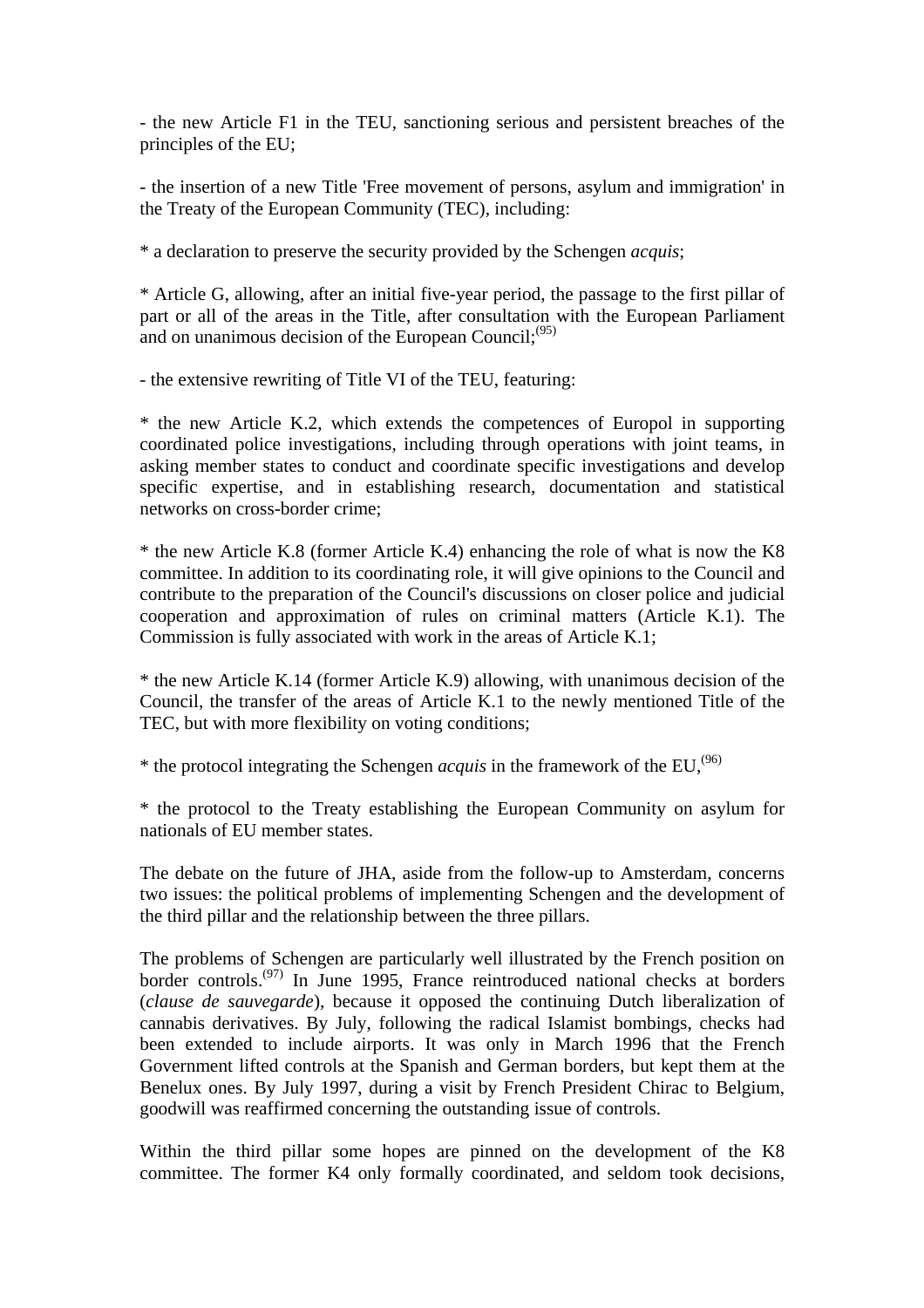- the new Article F1 in the TEU, sanctioning serious and persistent breaches of the principles of the EU;

- the insertion of a new Title 'Free movement of persons, asylum and immigration' in the Treaty of the European Community (TEC), including:

\* a declaration to preserve the security provided by the Schengen *acquis*;

\* Article G, allowing, after an initial five-year period, the passage to the first pillar of part or all of the areas in the Title, after consultation with the European Parliament and on unanimous decision of the European Council;<sup>(95)</sup>

- the extensive rewriting of Title VI of the TEU, featuring:

\* the new Article K.2, which extends the competences of Europol in supporting coordinated police investigations, including through operations with joint teams, in asking member states to conduct and coordinate specific investigations and develop specific expertise, and in establishing research, documentation and statistical networks on cross-border crime;

\* the new Article K.8 (former Article K.4) enhancing the role of what is now the K8 committee. In addition to its coordinating role, it will give opinions to the Council and contribute to the preparation of the Council's discussions on closer police and judicial cooperation and approximation of rules on criminal matters (Article K.1). The Commission is fully associated with work in the areas of Article K.1;

\* the new Article K.14 (former Article K.9) allowing, with unanimous decision of the Council, the transfer of the areas of Article K.1 to the newly mentioned Title of the TEC, but with more flexibility on voting conditions;

\* the protocol integrating the Schengen *acquis* in the framework of the EU,<sup> $(96)$ </sup>

\* the protocol to the Treaty establishing the European Community on asylum for nationals of EU member states.

The debate on the future of JHA, aside from the follow-up to Amsterdam, concerns two issues: the political problems of implementing Schengen and the development of the third pillar and the relationship between the three pillars.

The problems of Schengen are particularly well illustrated by the French position on border controls.(97) In June 1995, France reintroduced national checks at borders (*clause de sauvegarde*), because it opposed the continuing Dutch liberalization of cannabis derivatives. By July, following the radical Islamist bombings, checks had been extended to include airports. It was only in March 1996 that the French Government lifted controls at the Spanish and German borders, but kept them at the Benelux ones. By July 1997, during a visit by French President Chirac to Belgium, goodwill was reaffirmed concerning the outstanding issue of controls.

Within the third pillar some hopes are pinned on the development of the K8 committee. The former K4 only formally coordinated, and seldom took decisions,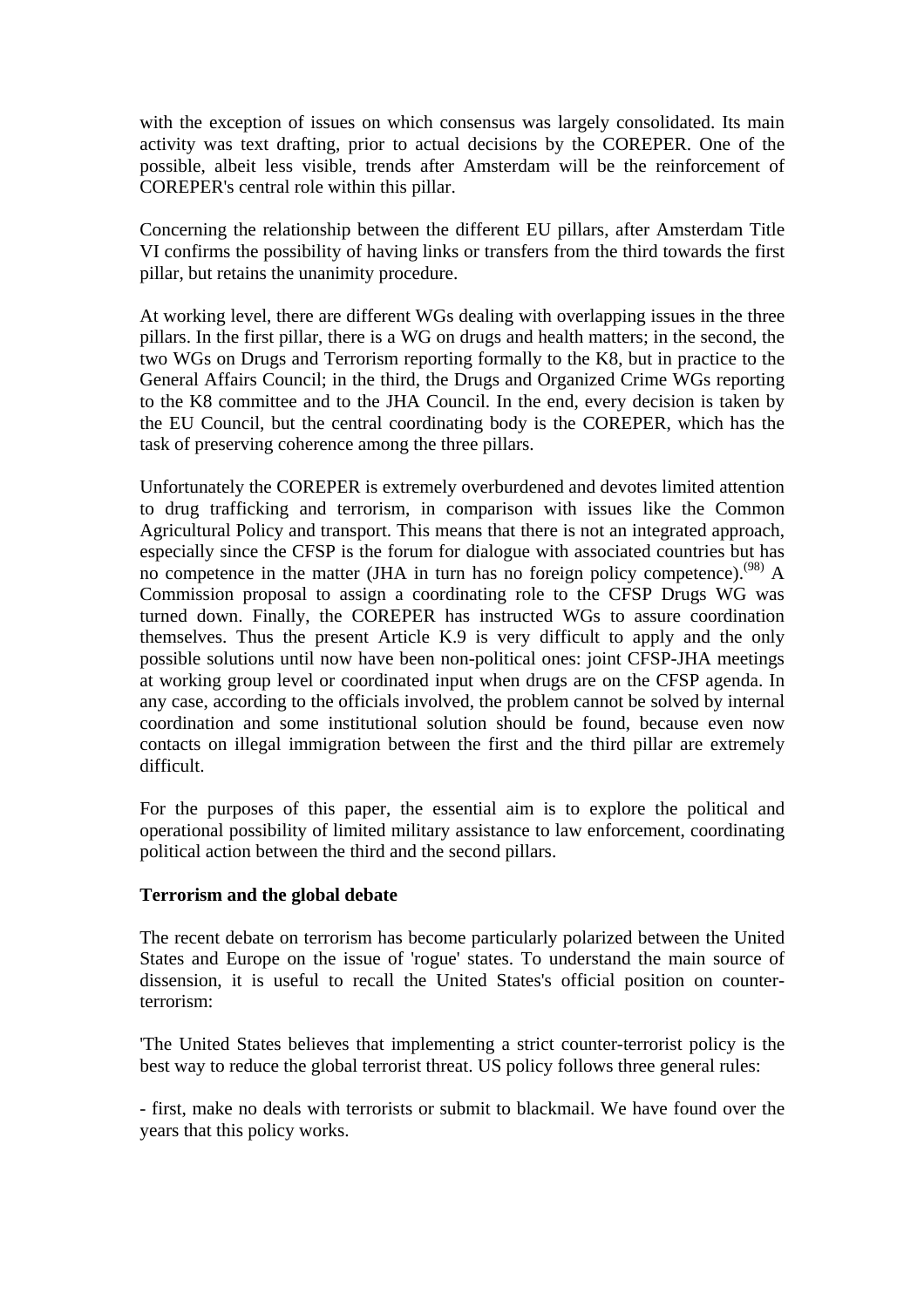with the exception of issues on which consensus was largely consolidated. Its main activity was text drafting, prior to actual decisions by the COREPER. One of the possible, albeit less visible, trends after Amsterdam will be the reinforcement of COREPER's central role within this pillar.

Concerning the relationship between the different EU pillars, after Amsterdam Title VI confirms the possibility of having links or transfers from the third towards the first pillar, but retains the unanimity procedure.

At working level, there are different WGs dealing with overlapping issues in the three pillars. In the first pillar, there is a WG on drugs and health matters; in the second, the two WGs on Drugs and Terrorism reporting formally to the K8, but in practice to the General Affairs Council; in the third, the Drugs and Organized Crime WGs reporting to the K8 committee and to the JHA Council. In the end, every decision is taken by the EU Council, but the central coordinating body is the COREPER, which has the task of preserving coherence among the three pillars.

Unfortunately the COREPER is extremely overburdened and devotes limited attention to drug trafficking and terrorism, in comparison with issues like the Common Agricultural Policy and transport. This means that there is not an integrated approach, especially since the CFSP is the forum for dialogue with associated countries but has no competence in the matter (JHA in turn has no foreign policy competence).<sup>(98)</sup> A Commission proposal to assign a coordinating role to the CFSP Drugs WG was turned down. Finally, the COREPER has instructed WGs to assure coordination themselves. Thus the present Article K.9 is very difficult to apply and the only possible solutions until now have been non-political ones: joint CFSP-JHA meetings at working group level or coordinated input when drugs are on the CFSP agenda. In any case, according to the officials involved, the problem cannot be solved by internal coordination and some institutional solution should be found, because even now contacts on illegal immigration between the first and the third pillar are extremely difficult.

For the purposes of this paper, the essential aim is to explore the political and operational possibility of limited military assistance to law enforcement, coordinating political action between the third and the second pillars.

#### **Terrorism and the global debate**

The recent debate on terrorism has become particularly polarized between the United States and Europe on the issue of 'rogue' states. To understand the main source of dissension, it is useful to recall the United States's official position on counterterrorism:

'The United States believes that implementing a strict counter-terrorist policy is the best way to reduce the global terrorist threat. US policy follows three general rules:

- first, make no deals with terrorists or submit to blackmail. We have found over the years that this policy works.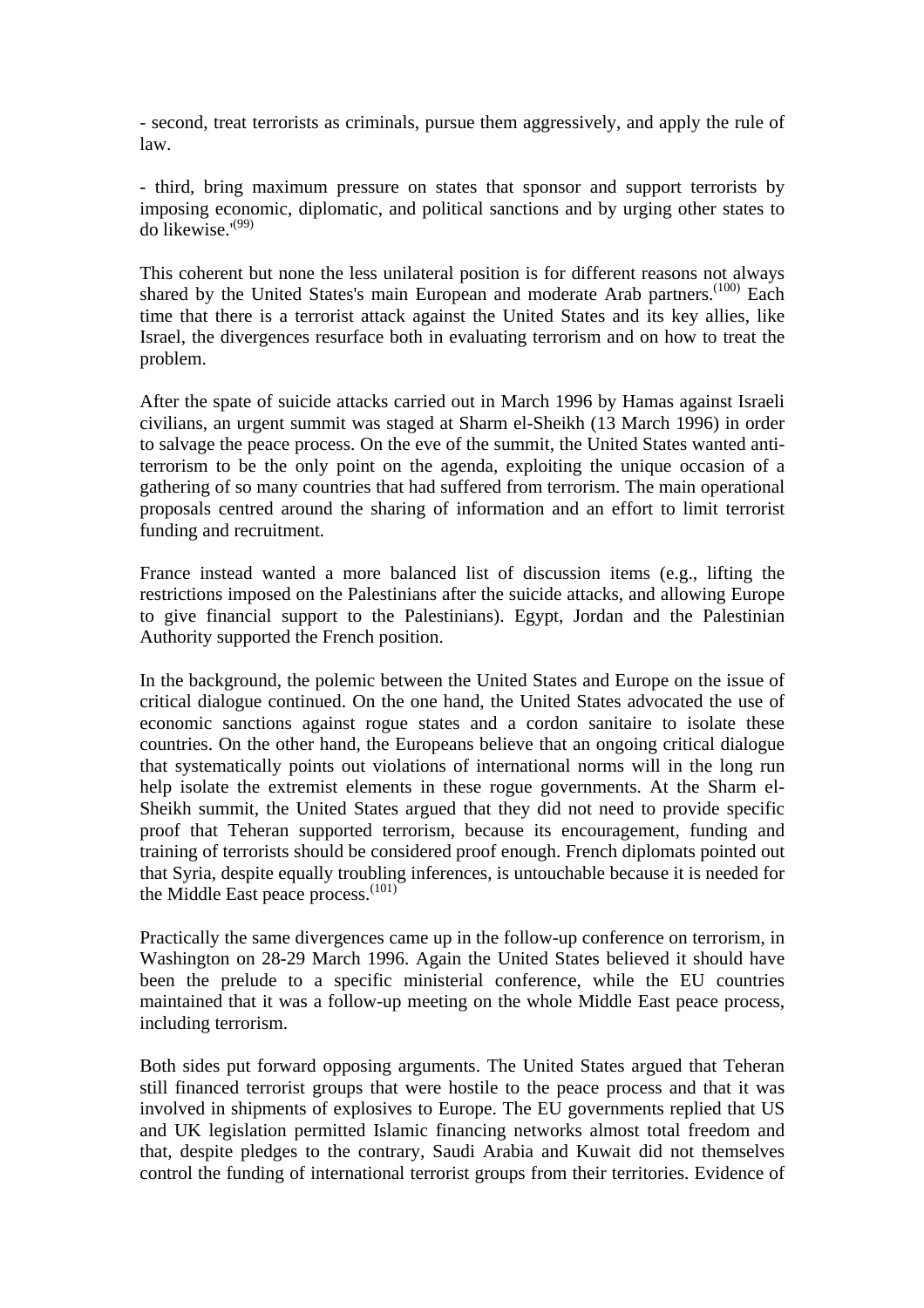- second, treat terrorists as criminals, pursue them aggressively, and apply the rule of law.

- third, bring maximum pressure on states that sponsor and support terrorists by imposing economic, diplomatic, and political sanctions and by urging other states to do likewise.'(99)

This coherent but none the less unilateral position is for different reasons not always shared by the United States's main European and moderate Arab partners.<sup>(100)</sup> Each time that there is a terrorist attack against the United States and its key allies, like Israel, the divergences resurface both in evaluating terrorism and on how to treat the problem.

After the spate of suicide attacks carried out in March 1996 by Hamas against Israeli civilians, an urgent summit was staged at Sharm el-Sheikh (13 March 1996) in order to salvage the peace process. On the eve of the summit, the United States wanted antiterrorism to be the only point on the agenda, exploiting the unique occasion of a gathering of so many countries that had suffered from terrorism. The main operational proposals centred around the sharing of information and an effort to limit terrorist funding and recruitment.

France instead wanted a more balanced list of discussion items (e.g., lifting the restrictions imposed on the Palestinians after the suicide attacks, and allowing Europe to give financial support to the Palestinians). Egypt, Jordan and the Palestinian Authority supported the French position.

In the background, the polemic between the United States and Europe on the issue of critical dialogue continued. On the one hand, the United States advocated the use of economic sanctions against rogue states and a cordon sanitaire to isolate these countries. On the other hand, the Europeans believe that an ongoing critical dialogue that systematically points out violations of international norms will in the long run help isolate the extremist elements in these rogue governments. At the Sharm el-Sheikh summit, the United States argued that they did not need to provide specific proof that Teheran supported terrorism, because its encouragement, funding and training of terrorists should be considered proof enough. French diplomats pointed out that Syria, despite equally troubling inferences, is untouchable because it is needed for the Middle East peace process.<sup>(101)</sup>

Practically the same divergences came up in the follow-up conference on terrorism, in Washington on 28-29 March 1996. Again the United States believed it should have been the prelude to a specific ministerial conference, while the EU countries maintained that it was a follow-up meeting on the whole Middle East peace process, including terrorism.

Both sides put forward opposing arguments. The United States argued that Teheran still financed terrorist groups that were hostile to the peace process and that it was involved in shipments of explosives to Europe. The EU governments replied that US and UK legislation permitted Islamic financing networks almost total freedom and that, despite pledges to the contrary, Saudi Arabia and Kuwait did not themselves control the funding of international terrorist groups from their territories. Evidence of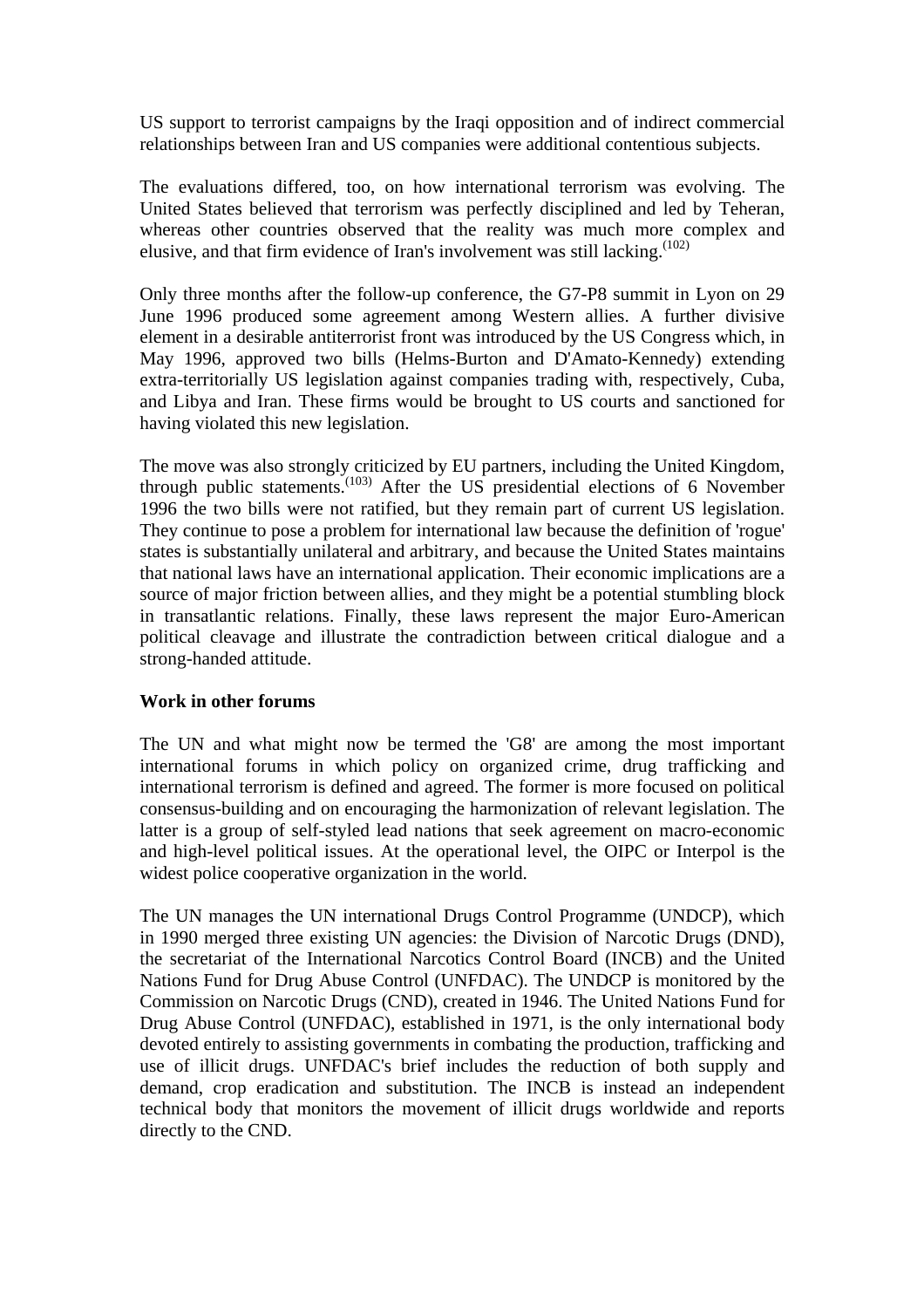US support to terrorist campaigns by the Iraqi opposition and of indirect commercial relationships between Iran and US companies were additional contentious subjects.

The evaluations differed, too, on how international terrorism was evolving. The United States believed that terrorism was perfectly disciplined and led by Teheran, whereas other countries observed that the reality was much more complex and elusive, and that firm evidence of Iran's involvement was still lacking.(102)

Only three months after the follow-up conference, the G7-P8 summit in Lyon on 29 June 1996 produced some agreement among Western allies. A further divisive element in a desirable antiterrorist front was introduced by the US Congress which, in May 1996, approved two bills (Helms-Burton and D'Amato-Kennedy) extending extra-territorially US legislation against companies trading with, respectively, Cuba, and Libya and Iran. These firms would be brought to US courts and sanctioned for having violated this new legislation.

The move was also strongly criticized by EU partners, including the United Kingdom, through public statements.<sup>(103)</sup> After the US presidential elections of 6 November 1996 the two bills were not ratified, but they remain part of current US legislation. They continue to pose a problem for international law because the definition of 'rogue' states is substantially unilateral and arbitrary, and because the United States maintains that national laws have an international application. Their economic implications are a source of major friction between allies, and they might be a potential stumbling block in transatlantic relations. Finally, these laws represent the major Euro-American political cleavage and illustrate the contradiction between critical dialogue and a strong-handed attitude.

#### **Work in other forums**

The UN and what might now be termed the 'G8' are among the most important international forums in which policy on organized crime, drug trafficking and international terrorism is defined and agreed. The former is more focused on political consensus-building and on encouraging the harmonization of relevant legislation. The latter is a group of self-styled lead nations that seek agreement on macro-economic and high-level political issues. At the operational level, the OIPC or Interpol is the widest police cooperative organization in the world.

The UN manages the UN international Drugs Control Programme (UNDCP), which in 1990 merged three existing UN agencies: the Division of Narcotic Drugs (DND), the secretariat of the International Narcotics Control Board (INCB) and the United Nations Fund for Drug Abuse Control (UNFDAC). The UNDCP is monitored by the Commission on Narcotic Drugs (CND), created in 1946. The United Nations Fund for Drug Abuse Control (UNFDAC), established in 1971, is the only international body devoted entirely to assisting governments in combating the production, trafficking and use of illicit drugs. UNFDAC's brief includes the reduction of both supply and demand, crop eradication and substitution. The INCB is instead an independent technical body that monitors the movement of illicit drugs worldwide and reports directly to the CND.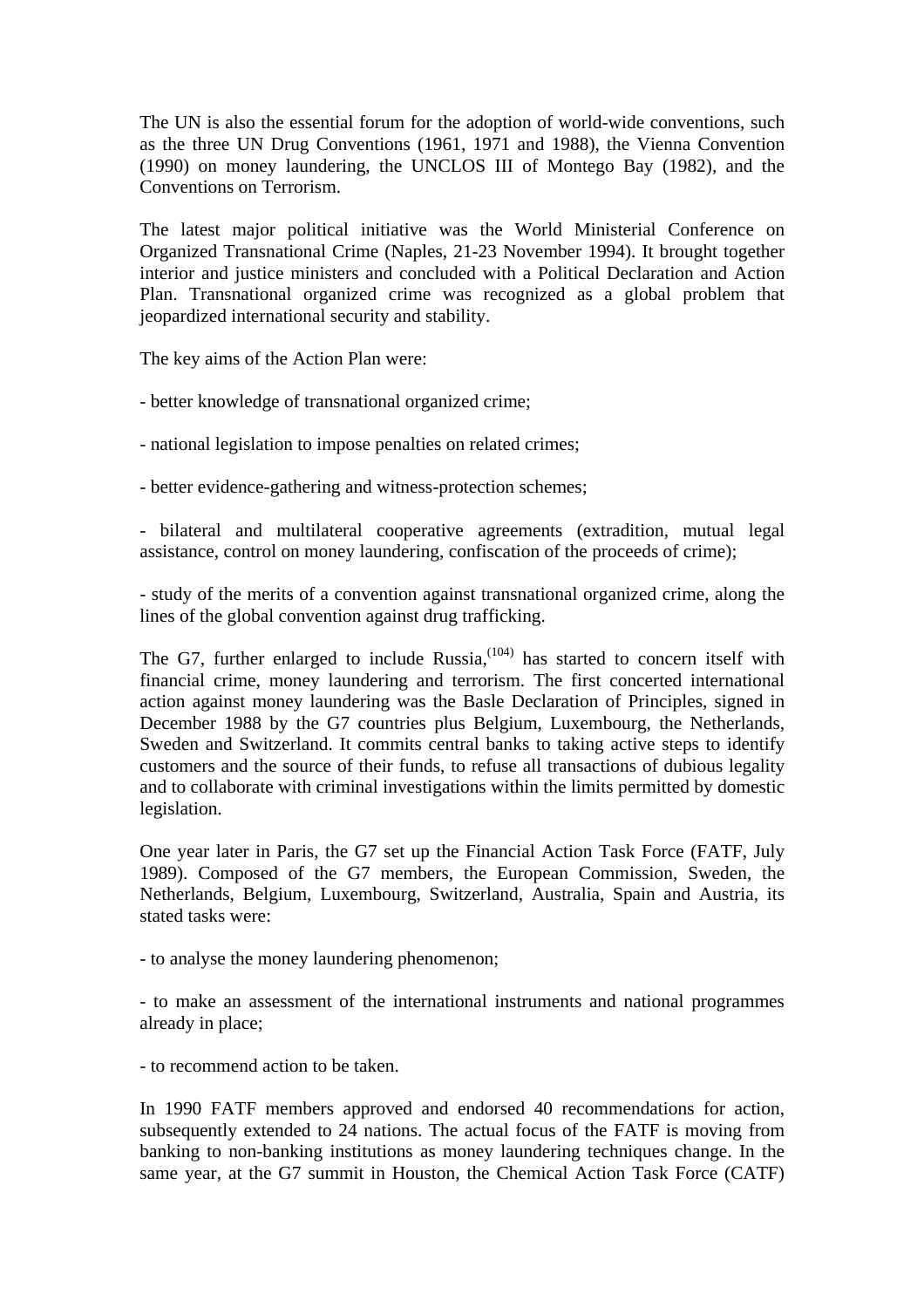The UN is also the essential forum for the adoption of world-wide conventions, such as the three UN Drug Conventions (1961, 1971 and 1988), the Vienna Convention (1990) on money laundering, the UNCLOS III of Montego Bay (1982), and the Conventions on Terrorism.

The latest major political initiative was the World Ministerial Conference on Organized Transnational Crime (Naples, 21-23 November 1994). It brought together interior and justice ministers and concluded with a Political Declaration and Action Plan. Transnational organized crime was recognized as a global problem that jeopardized international security and stability.

The key aims of the Action Plan were:

- better knowledge of transnational organized crime;

- national legislation to impose penalties on related crimes;

- better evidence-gathering and witness-protection schemes;

- bilateral and multilateral cooperative agreements (extradition, mutual legal assistance, control on money laundering, confiscation of the proceeds of crime);

- study of the merits of a convention against transnational organized crime, along the lines of the global convention against drug trafficking.

The G7, further enlarged to include Russia, $(104)$  has started to concern itself with financial crime, money laundering and terrorism. The first concerted international action against money laundering was the Basle Declaration of Principles, signed in December 1988 by the G7 countries plus Belgium, Luxembourg, the Netherlands, Sweden and Switzerland. It commits central banks to taking active steps to identify customers and the source of their funds, to refuse all transactions of dubious legality and to collaborate with criminal investigations within the limits permitted by domestic legislation.

One year later in Paris, the G7 set up the Financial Action Task Force (FATF, July 1989). Composed of the G7 members, the European Commission, Sweden, the Netherlands, Belgium, Luxembourg, Switzerland, Australia, Spain and Austria, its stated tasks were:

- to analyse the money laundering phenomenon;

- to make an assessment of the international instruments and national programmes already in place;

- to recommend action to be taken.

In 1990 FATF members approved and endorsed 40 recommendations for action, subsequently extended to 24 nations. The actual focus of the FATF is moving from banking to non-banking institutions as money laundering techniques change. In the same year, at the G7 summit in Houston, the Chemical Action Task Force (CATF)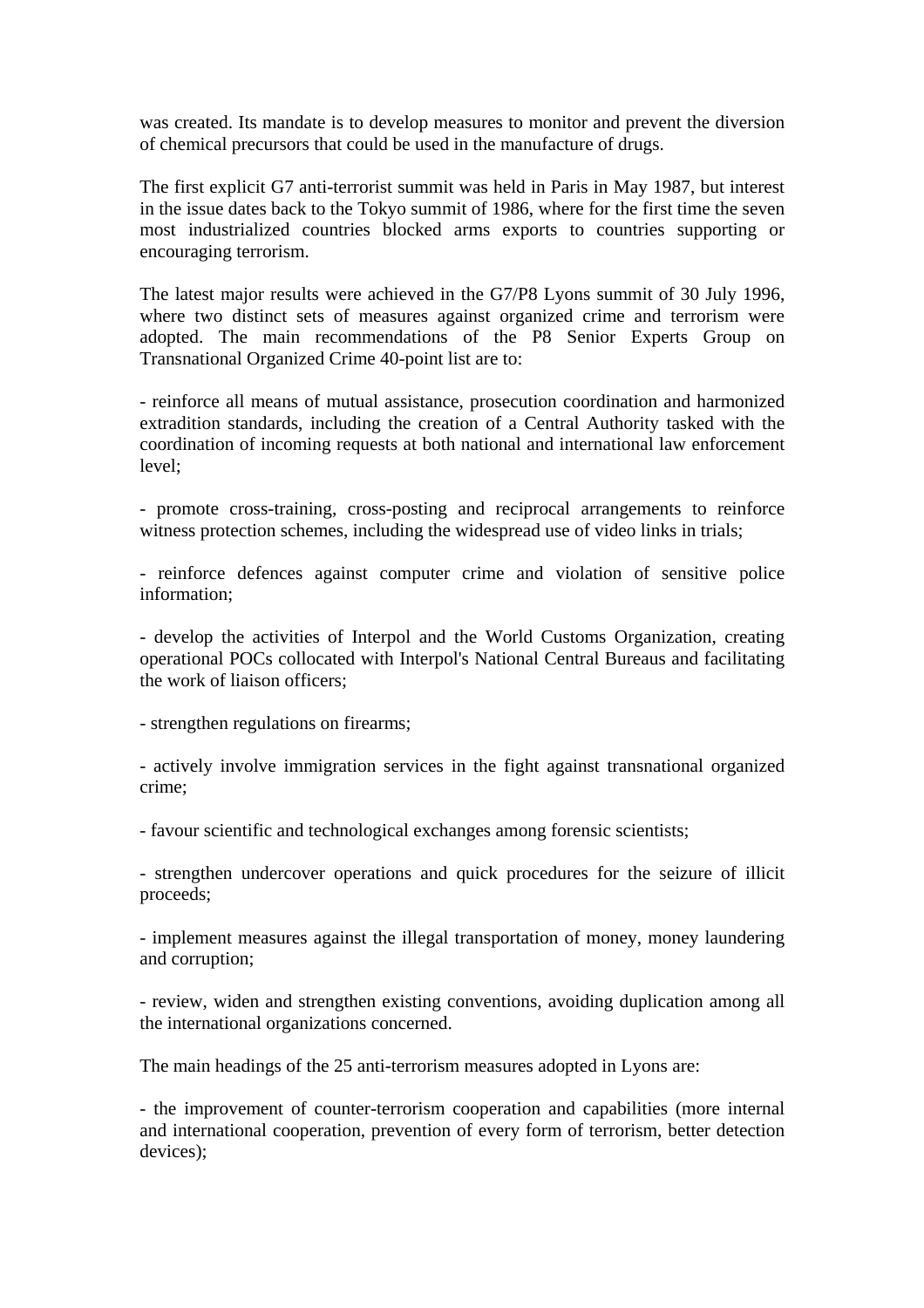was created. Its mandate is to develop measures to monitor and prevent the diversion of chemical precursors that could be used in the manufacture of drugs.

The first explicit G7 anti-terrorist summit was held in Paris in May 1987, but interest in the issue dates back to the Tokyo summit of 1986, where for the first time the seven most industrialized countries blocked arms exports to countries supporting or encouraging terrorism.

The latest major results were achieved in the G7/P8 Lyons summit of 30 July 1996, where two distinct sets of measures against organized crime and terrorism were adopted. The main recommendations of the P8 Senior Experts Group on Transnational Organized Crime 40-point list are to:

- reinforce all means of mutual assistance, prosecution coordination and harmonized extradition standards, including the creation of a Central Authority tasked with the coordination of incoming requests at both national and international law enforcement level;

- promote cross-training, cross-posting and reciprocal arrangements to reinforce witness protection schemes, including the widespread use of video links in trials;

- reinforce defences against computer crime and violation of sensitive police information;

- develop the activities of Interpol and the World Customs Organization, creating operational POCs collocated with Interpol's National Central Bureaus and facilitating the work of liaison officers;

- strengthen regulations on firearms;

- actively involve immigration services in the fight against transnational organized crime;

- favour scientific and technological exchanges among forensic scientists;

- strengthen undercover operations and quick procedures for the seizure of illicit proceeds;

- implement measures against the illegal transportation of money, money laundering and corruption;

- review, widen and strengthen existing conventions, avoiding duplication among all the international organizations concerned.

The main headings of the 25 anti-terrorism measures adopted in Lyons are:

- the improvement of counter-terrorism cooperation and capabilities (more internal and international cooperation, prevention of every form of terrorism, better detection devices);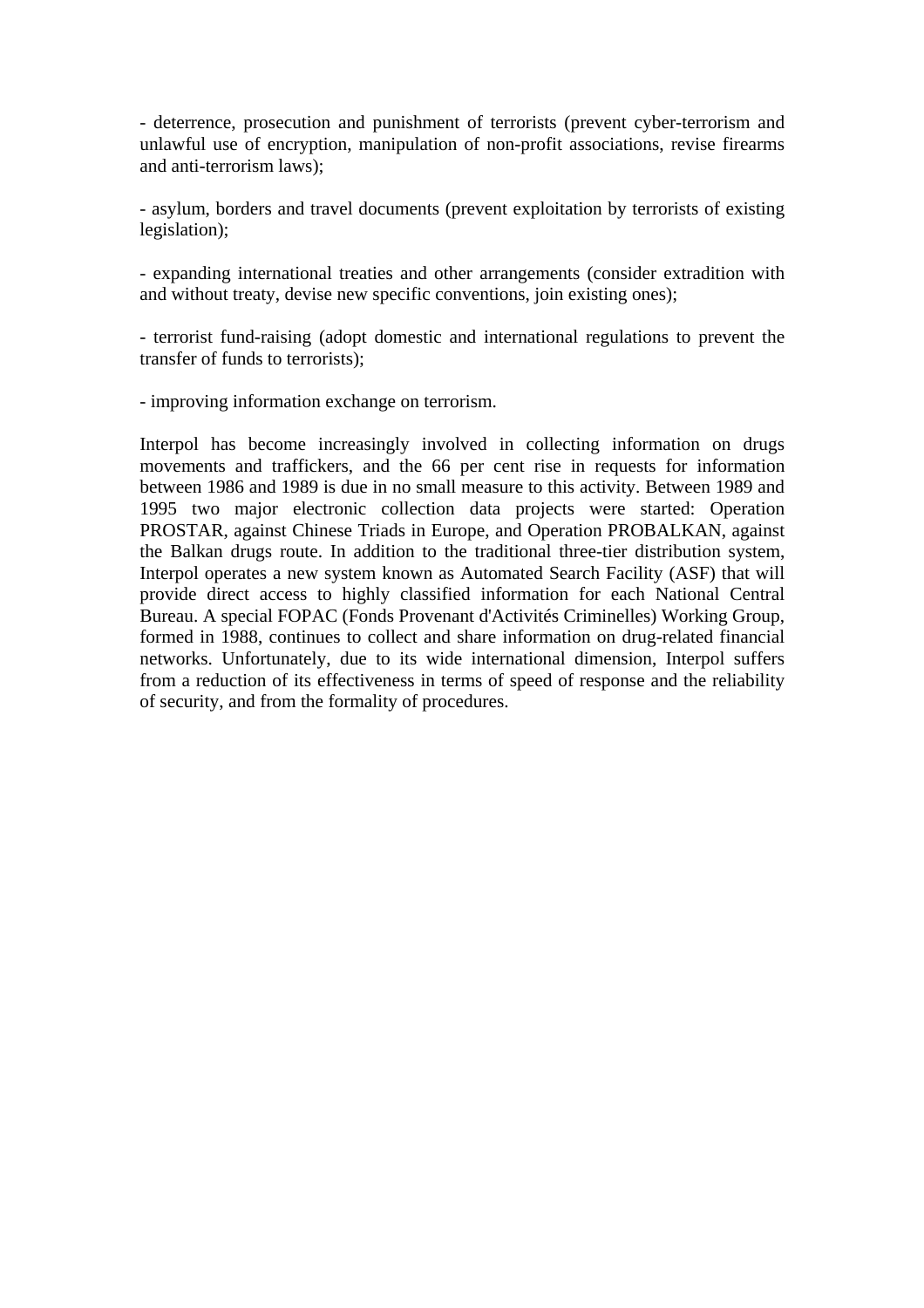- deterrence, prosecution and punishment of terrorists (prevent cyber-terrorism and unlawful use of encryption, manipulation of non-profit associations, revise firearms and anti-terrorism laws);

- asylum, borders and travel documents (prevent exploitation by terrorists of existing legislation);

- expanding international treaties and other arrangements (consider extradition with and without treaty, devise new specific conventions, join existing ones);

- terrorist fund-raising (adopt domestic and international regulations to prevent the transfer of funds to terrorists);

- improving information exchange on terrorism.

Interpol has become increasingly involved in collecting information on drugs movements and traffickers, and the 66 per cent rise in requests for information between 1986 and 1989 is due in no small measure to this activity. Between 1989 and 1995 two major electronic collection data projects were started: Operation PROSTAR, against Chinese Triads in Europe, and Operation PROBALKAN, against the Balkan drugs route. In addition to the traditional three-tier distribution system, Interpol operates a new system known as Automated Search Facility (ASF) that will provide direct access to highly classified information for each National Central Bureau. A special FOPAC (Fonds Provenant d'Activités Criminelles) Working Group, formed in 1988, continues to collect and share information on drug-related financial networks. Unfortunately, due to its wide international dimension, Interpol suffers from a reduction of its effectiveness in terms of speed of response and the reliability of security, and from the formality of procedures.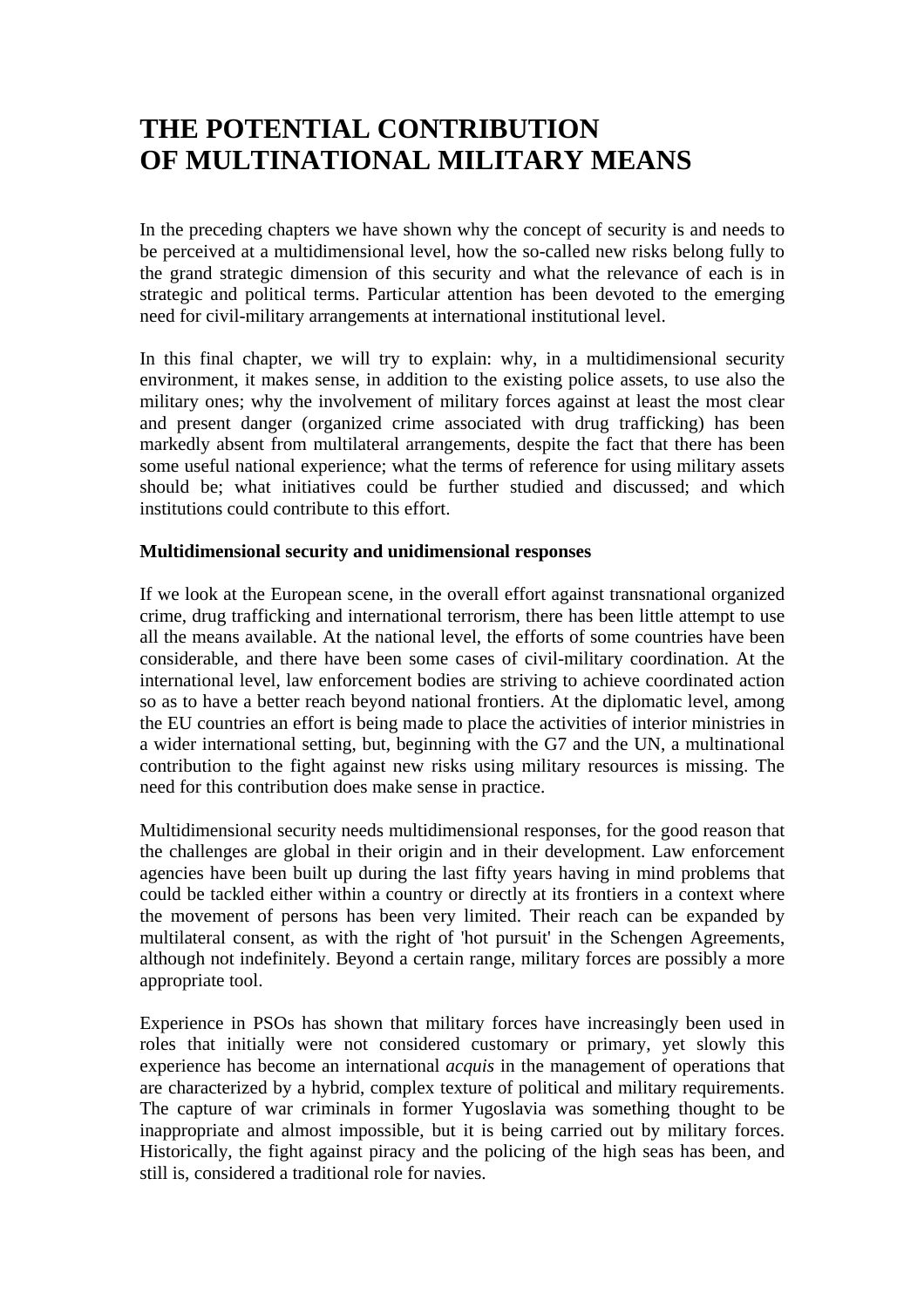## **THE POTENTIAL CONTRIBUTION OF MULTINATIONAL MILITARY MEANS**

In the preceding chapters we have shown why the concept of security is and needs to be perceived at a multidimensional level, how the so-called new risks belong fully to the grand strategic dimension of this security and what the relevance of each is in strategic and political terms. Particular attention has been devoted to the emerging need for civil-military arrangements at international institutional level.

In this final chapter, we will try to explain: why, in a multidimensional security environment, it makes sense, in addition to the existing police assets, to use also the military ones; why the involvement of military forces against at least the most clear and present danger (organized crime associated with drug trafficking) has been markedly absent from multilateral arrangements, despite the fact that there has been some useful national experience; what the terms of reference for using military assets should be; what initiatives could be further studied and discussed; and which institutions could contribute to this effort.

#### **Multidimensional security and unidimensional responses**

If we look at the European scene, in the overall effort against transnational organized crime, drug trafficking and international terrorism, there has been little attempt to use all the means available. At the national level, the efforts of some countries have been considerable, and there have been some cases of civil-military coordination. At the international level, law enforcement bodies are striving to achieve coordinated action so as to have a better reach beyond national frontiers. At the diplomatic level, among the EU countries an effort is being made to place the activities of interior ministries in a wider international setting, but, beginning with the G7 and the UN, a multinational contribution to the fight against new risks using military resources is missing. The need for this contribution does make sense in practice.

Multidimensional security needs multidimensional responses, for the good reason that the challenges are global in their origin and in their development. Law enforcement agencies have been built up during the last fifty years having in mind problems that could be tackled either within a country or directly at its frontiers in a context where the movement of persons has been very limited. Their reach can be expanded by multilateral consent, as with the right of 'hot pursuit' in the Schengen Agreements, although not indefinitely. Beyond a certain range, military forces are possibly a more appropriate tool.

Experience in PSOs has shown that military forces have increasingly been used in roles that initially were not considered customary or primary, yet slowly this experience has become an international *acquis* in the management of operations that are characterized by a hybrid, complex texture of political and military requirements. The capture of war criminals in former Yugoslavia was something thought to be inappropriate and almost impossible, but it is being carried out by military forces. Historically, the fight against piracy and the policing of the high seas has been, and still is, considered a traditional role for navies.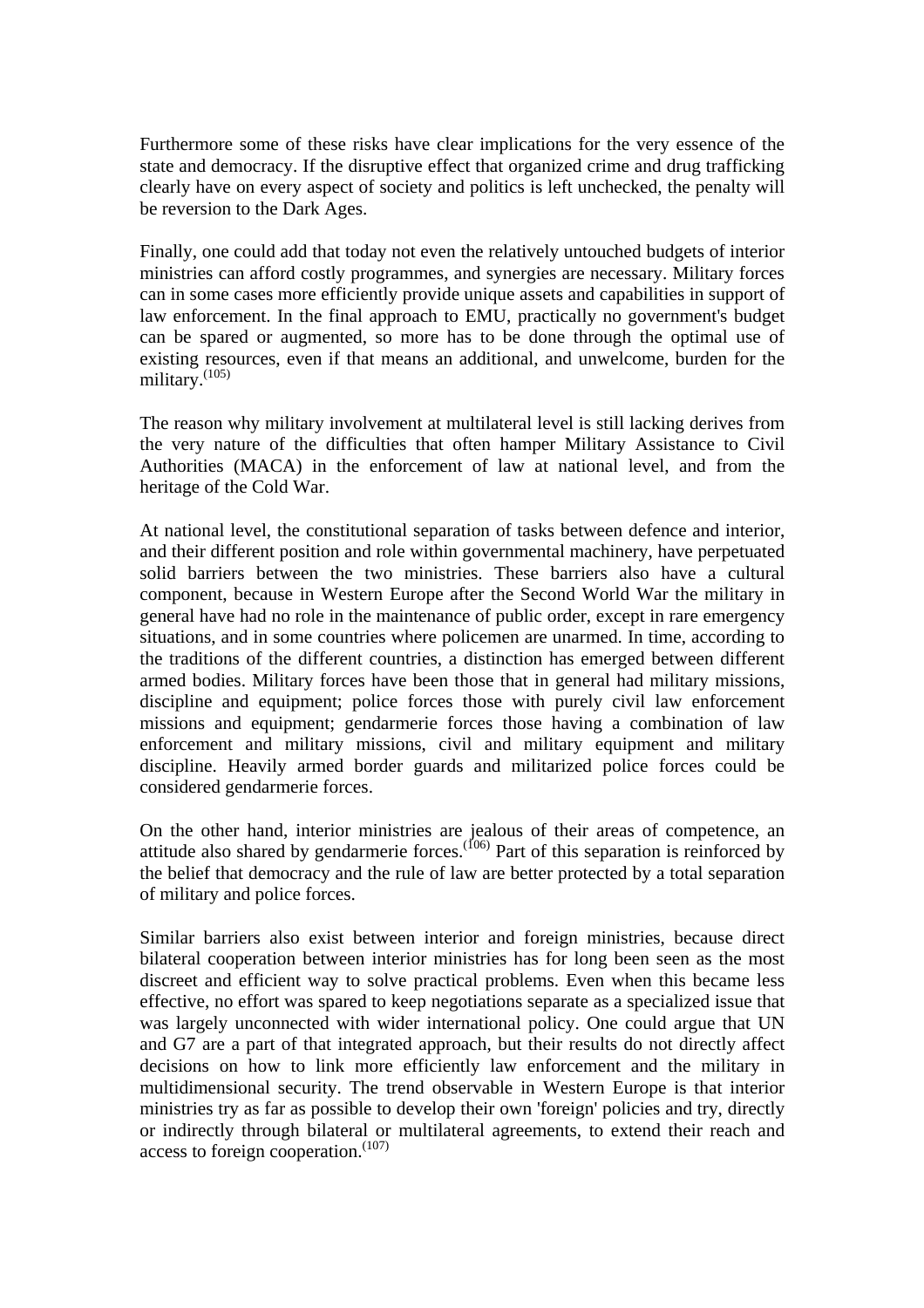Furthermore some of these risks have clear implications for the very essence of the state and democracy. If the disruptive effect that organized crime and drug trafficking clearly have on every aspect of society and politics is left unchecked, the penalty will be reversion to the Dark Ages.

Finally, one could add that today not even the relatively untouched budgets of interior ministries can afford costly programmes, and synergies are necessary. Military forces can in some cases more efficiently provide unique assets and capabilities in support of law enforcement. In the final approach to EMU, practically no government's budget can be spared or augmented, so more has to be done through the optimal use of existing resources, even if that means an additional, and unwelcome, burden for the military.(105)

The reason why military involvement at multilateral level is still lacking derives from the very nature of the difficulties that often hamper Military Assistance to Civil Authorities (MACA) in the enforcement of law at national level, and from the heritage of the Cold War.

At national level, the constitutional separation of tasks between defence and interior, and their different position and role within governmental machinery, have perpetuated solid barriers between the two ministries. These barriers also have a cultural component, because in Western Europe after the Second World War the military in general have had no role in the maintenance of public order, except in rare emergency situations, and in some countries where policemen are unarmed. In time, according to the traditions of the different countries, a distinction has emerged between different armed bodies. Military forces have been those that in general had military missions, discipline and equipment; police forces those with purely civil law enforcement missions and equipment; gendarmerie forces those having a combination of law enforcement and military missions, civil and military equipment and military discipline. Heavily armed border guards and militarized police forces could be considered gendarmerie forces.

On the other hand, interior ministries are jealous of their areas of competence, an attitude also shared by gendarmerie forces.  $(106)$  Part of this separation is reinforced by the belief that democracy and the rule of law are better protected by a total separation of military and police forces.

Similar barriers also exist between interior and foreign ministries, because direct bilateral cooperation between interior ministries has for long been seen as the most discreet and efficient way to solve practical problems. Even when this became less effective, no effort was spared to keep negotiations separate as a specialized issue that was largely unconnected with wider international policy. One could argue that UN and G7 are a part of that integrated approach, but their results do not directly affect decisions on how to link more efficiently law enforcement and the military in multidimensional security. The trend observable in Western Europe is that interior ministries try as far as possible to develop their own 'foreign' policies and try, directly or indirectly through bilateral or multilateral agreements, to extend their reach and access to foreign cooperation.<sup>(107)</sup>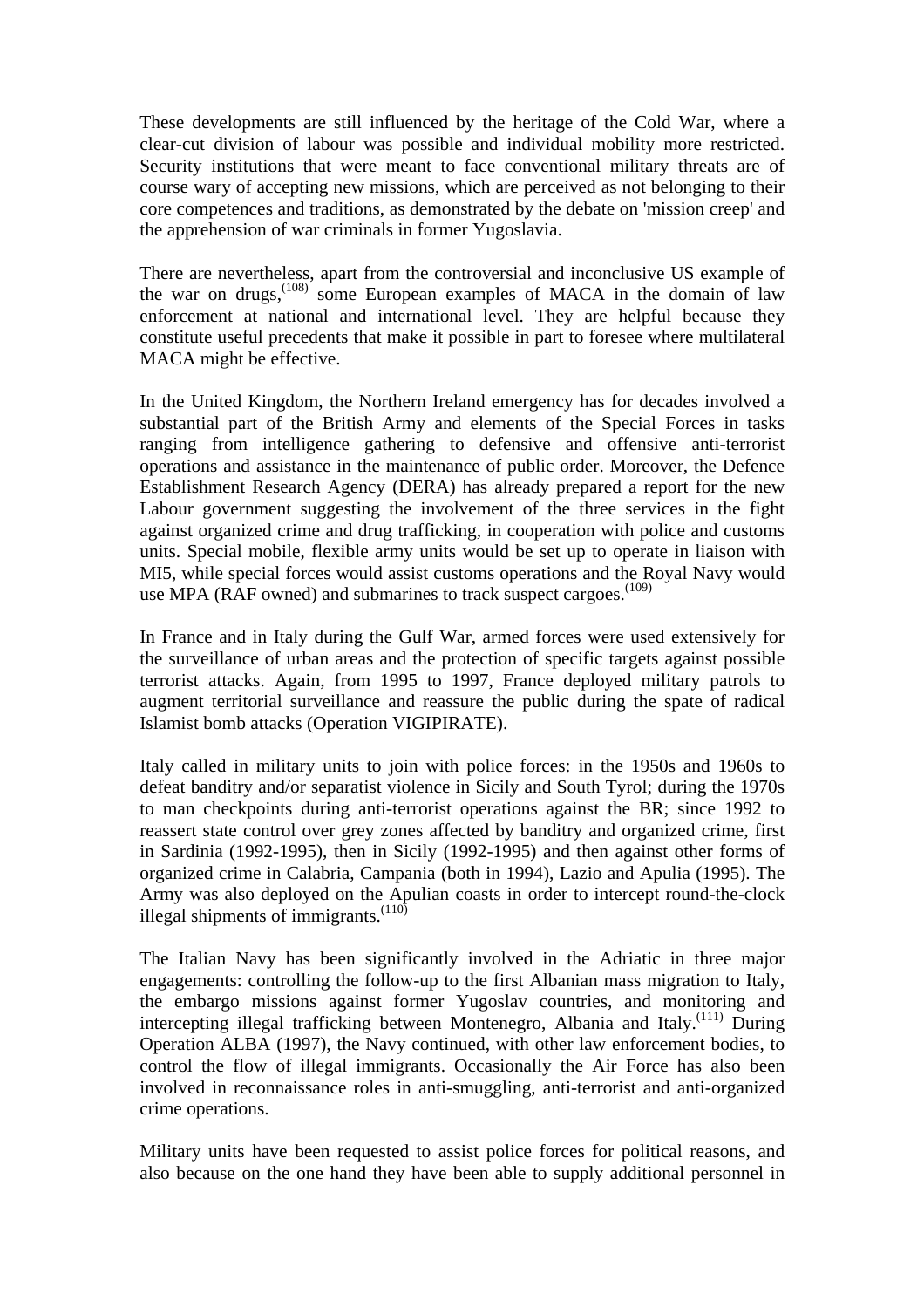These developments are still influenced by the heritage of the Cold War, where a clear-cut division of labour was possible and individual mobility more restricted. Security institutions that were meant to face conventional military threats are of course wary of accepting new missions, which are perceived as not belonging to their core competences and traditions, as demonstrated by the debate on 'mission creep' and the apprehension of war criminals in former Yugoslavia.

There are nevertheless, apart from the controversial and inconclusive US example of the war on drugs,  $(108)$  some European examples of MACA in the domain of law enforcement at national and international level. They are helpful because they constitute useful precedents that make it possible in part to foresee where multilateral MACA might be effective.

In the United Kingdom, the Northern Ireland emergency has for decades involved a substantial part of the British Army and elements of the Special Forces in tasks ranging from intelligence gathering to defensive and offensive anti-terrorist operations and assistance in the maintenance of public order. Moreover, the Defence Establishment Research Agency (DERA) has already prepared a report for the new Labour government suggesting the involvement of the three services in the fight against organized crime and drug trafficking, in cooperation with police and customs units. Special mobile, flexible army units would be set up to operate in liaison with MI5, while special forces would assist customs operations and the Royal Navy would use MPA (RAF owned) and submarines to track suspect cargoes.<sup>(109)</sup>

In France and in Italy during the Gulf War, armed forces were used extensively for the surveillance of urban areas and the protection of specific targets against possible terrorist attacks. Again, from 1995 to 1997, France deployed military patrols to augment territorial surveillance and reassure the public during the spate of radical Islamist bomb attacks (Operation VIGIPIRATE).

Italy called in military units to join with police forces: in the 1950s and 1960s to defeat banditry and/or separatist violence in Sicily and South Tyrol; during the 1970s to man checkpoints during anti-terrorist operations against the BR; since 1992 to reassert state control over grey zones affected by banditry and organized crime, first in Sardinia (1992-1995), then in Sicily (1992-1995) and then against other forms of organized crime in Calabria, Campania (both in 1994), Lazio and Apulia (1995). The Army was also deployed on the Apulian coasts in order to intercept round-the-clock illegal shipments of immigrants. $(110)$ 

The Italian Navy has been significantly involved in the Adriatic in three major engagements: controlling the follow-up to the first Albanian mass migration to Italy, the embargo missions against former Yugoslav countries, and monitoring and intercepting illegal trafficking between Montenegro, Albania and Italy.<sup>(111)</sup> During Operation ALBA (1997), the Navy continued, with other law enforcement bodies, to control the flow of illegal immigrants. Occasionally the Air Force has also been involved in reconnaissance roles in anti-smuggling, anti-terrorist and anti-organized crime operations.

Military units have been requested to assist police forces for political reasons, and also because on the one hand they have been able to supply additional personnel in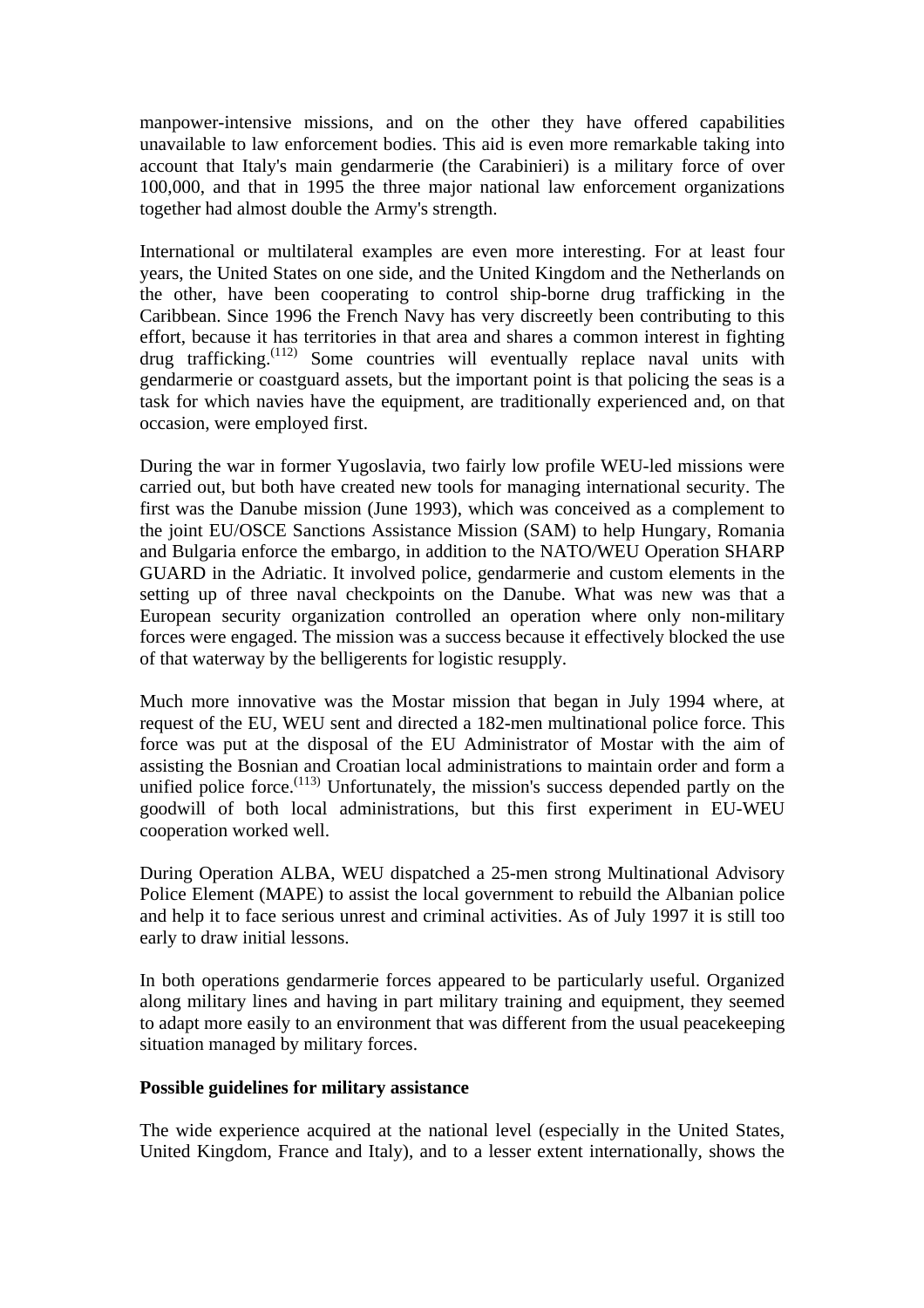manpower-intensive missions, and on the other they have offered capabilities unavailable to law enforcement bodies. This aid is even more remarkable taking into account that Italy's main gendarmerie (the Carabinieri) is a military force of over 100,000, and that in 1995 the three major national law enforcement organizations together had almost double the Army's strength.

International or multilateral examples are even more interesting. For at least four years, the United States on one side, and the United Kingdom and the Netherlands on the other, have been cooperating to control ship-borne drug trafficking in the Caribbean. Since 1996 the French Navy has very discreetly been contributing to this effort, because it has territories in that area and shares a common interest in fighting drug trafficking.(112) Some countries will eventually replace naval units with gendarmerie or coastguard assets, but the important point is that policing the seas is a task for which navies have the equipment, are traditionally experienced and, on that occasion, were employed first.

During the war in former Yugoslavia, two fairly low profile WEU-led missions were carried out, but both have created new tools for managing international security. The first was the Danube mission (June 1993), which was conceived as a complement to the joint EU/OSCE Sanctions Assistance Mission (SAM) to help Hungary, Romania and Bulgaria enforce the embargo, in addition to the NATO/WEU Operation SHARP GUARD in the Adriatic. It involved police, gendarmerie and custom elements in the setting up of three naval checkpoints on the Danube. What was new was that a European security organization controlled an operation where only non-military forces were engaged. The mission was a success because it effectively blocked the use of that waterway by the belligerents for logistic resupply.

Much more innovative was the Mostar mission that began in July 1994 where, at request of the EU, WEU sent and directed a 182-men multinational police force. This force was put at the disposal of the EU Administrator of Mostar with the aim of assisting the Bosnian and Croatian local administrations to maintain order and form a unified police force.<sup>(113)</sup> Unfortunately, the mission's success depended partly on the goodwill of both local administrations, but this first experiment in EU-WEU cooperation worked well.

During Operation ALBA, WEU dispatched a 25-men strong Multinational Advisory Police Element (MAPE) to assist the local government to rebuild the Albanian police and help it to face serious unrest and criminal activities. As of July 1997 it is still too early to draw initial lessons.

In both operations gendarmerie forces appeared to be particularly useful. Organized along military lines and having in part military training and equipment, they seemed to adapt more easily to an environment that was different from the usual peacekeeping situation managed by military forces.

#### **Possible guidelines for military assistance**

The wide experience acquired at the national level (especially in the United States, United Kingdom, France and Italy), and to a lesser extent internationally, shows the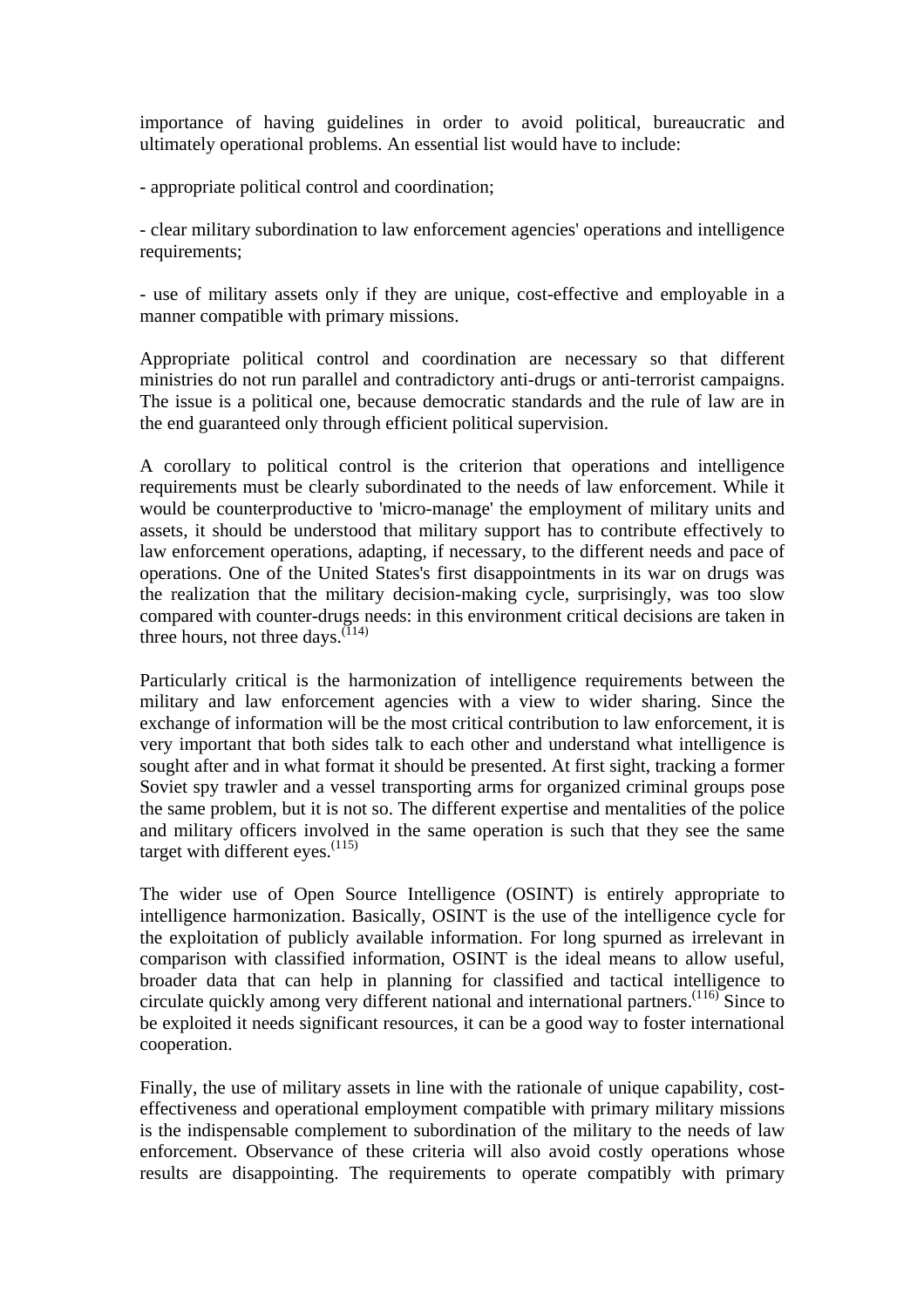importance of having guidelines in order to avoid political, bureaucratic and ultimately operational problems. An essential list would have to include:

- appropriate political control and coordination;

- clear military subordination to law enforcement agencies' operations and intelligence requirements;

- use of military assets only if they are unique, cost-effective and employable in a manner compatible with primary missions.

Appropriate political control and coordination are necessary so that different ministries do not run parallel and contradictory anti-drugs or anti-terrorist campaigns. The issue is a political one, because democratic standards and the rule of law are in the end guaranteed only through efficient political supervision.

A corollary to political control is the criterion that operations and intelligence requirements must be clearly subordinated to the needs of law enforcement. While it would be counterproductive to 'micro-manage' the employment of military units and assets, it should be understood that military support has to contribute effectively to law enforcement operations, adapting, if necessary, to the different needs and pace of operations. One of the United States's first disappointments in its war on drugs was the realization that the military decision-making cycle, surprisingly, was too slow compared with counter-drugs needs: in this environment critical decisions are taken in three hours, not three days.  $(114)$ 

Particularly critical is the harmonization of intelligence requirements between the military and law enforcement agencies with a view to wider sharing. Since the exchange of information will be the most critical contribution to law enforcement, it is very important that both sides talk to each other and understand what intelligence is sought after and in what format it should be presented. At first sight, tracking a former Soviet spy trawler and a vessel transporting arms for organized criminal groups pose the same problem, but it is not so. The different expertise and mentalities of the police and military officers involved in the same operation is such that they see the same target with different eyes. $(115)$ 

The wider use of Open Source Intelligence (OSINT) is entirely appropriate to intelligence harmonization. Basically, OSINT is the use of the intelligence cycle for the exploitation of publicly available information. For long spurned as irrelevant in comparison with classified information, OSINT is the ideal means to allow useful, broader data that can help in planning for classified and tactical intelligence to circulate quickly among very different national and international partners.<sup>(116)</sup> Since to be exploited it needs significant resources, it can be a good way to foster international cooperation.

Finally, the use of military assets in line with the rationale of unique capability, costeffectiveness and operational employment compatible with primary military missions is the indispensable complement to subordination of the military to the needs of law enforcement. Observance of these criteria will also avoid costly operations whose results are disappointing. The requirements to operate compatibly with primary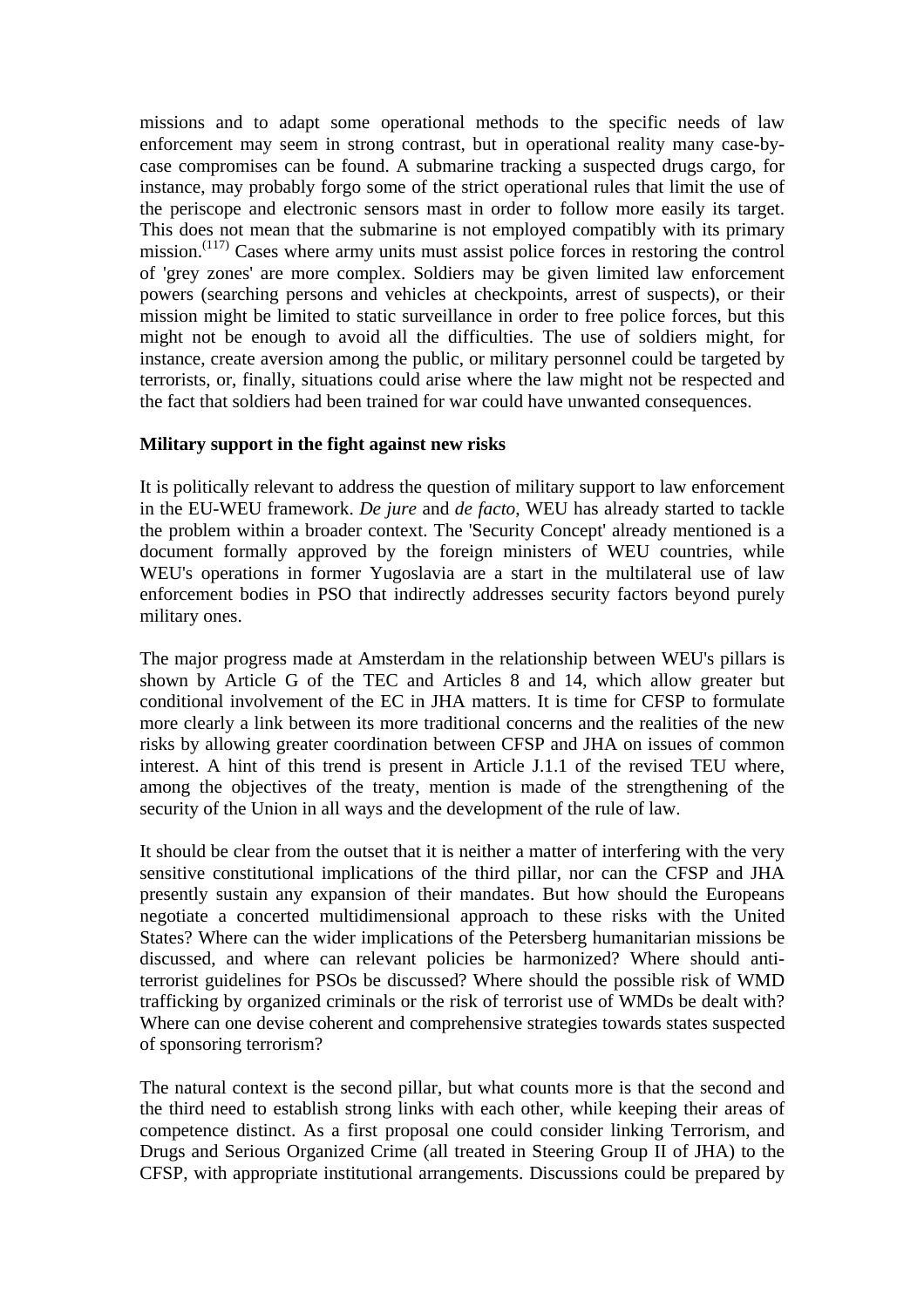missions and to adapt some operational methods to the specific needs of law enforcement may seem in strong contrast, but in operational reality many case-bycase compromises can be found. A submarine tracking a suspected drugs cargo, for instance, may probably forgo some of the strict operational rules that limit the use of the periscope and electronic sensors mast in order to follow more easily its target. This does not mean that the submarine is not employed compatibly with its primary mission.<sup> $(117)$ </sup> Cases where army units must assist police forces in restoring the control of 'grey zones' are more complex. Soldiers may be given limited law enforcement powers (searching persons and vehicles at checkpoints, arrest of suspects), or their mission might be limited to static surveillance in order to free police forces, but this might not be enough to avoid all the difficulties. The use of soldiers might, for instance, create aversion among the public, or military personnel could be targeted by terrorists, or, finally, situations could arise where the law might not be respected and the fact that soldiers had been trained for war could have unwanted consequences.

#### **Military support in the fight against new risks**

It is politically relevant to address the question of military support to law enforcement in the EU-WEU framework. *De jure* and *de facto*, WEU has already started to tackle the problem within a broader context. The 'Security Concept' already mentioned is a document formally approved by the foreign ministers of WEU countries, while WEU's operations in former Yugoslavia are a start in the multilateral use of law enforcement bodies in PSO that indirectly addresses security factors beyond purely military ones.

The major progress made at Amsterdam in the relationship between WEU's pillars is shown by Article G of the TEC and Articles 8 and 14, which allow greater but conditional involvement of the EC in JHA matters. It is time for CFSP to formulate more clearly a link between its more traditional concerns and the realities of the new risks by allowing greater coordination between CFSP and JHA on issues of common interest. A hint of this trend is present in Article J.1.1 of the revised TEU where, among the objectives of the treaty, mention is made of the strengthening of the security of the Union in all ways and the development of the rule of law.

It should be clear from the outset that it is neither a matter of interfering with the very sensitive constitutional implications of the third pillar, nor can the CFSP and JHA presently sustain any expansion of their mandates. But how should the Europeans negotiate a concerted multidimensional approach to these risks with the United States? Where can the wider implications of the Petersberg humanitarian missions be discussed, and where can relevant policies be harmonized? Where should antiterrorist guidelines for PSOs be discussed? Where should the possible risk of WMD trafficking by organized criminals or the risk of terrorist use of WMDs be dealt with? Where can one devise coherent and comprehensive strategies towards states suspected of sponsoring terrorism?

The natural context is the second pillar, but what counts more is that the second and the third need to establish strong links with each other, while keeping their areas of competence distinct. As a first proposal one could consider linking Terrorism, and Drugs and Serious Organized Crime (all treated in Steering Group II of JHA) to the CFSP, with appropriate institutional arrangements. Discussions could be prepared by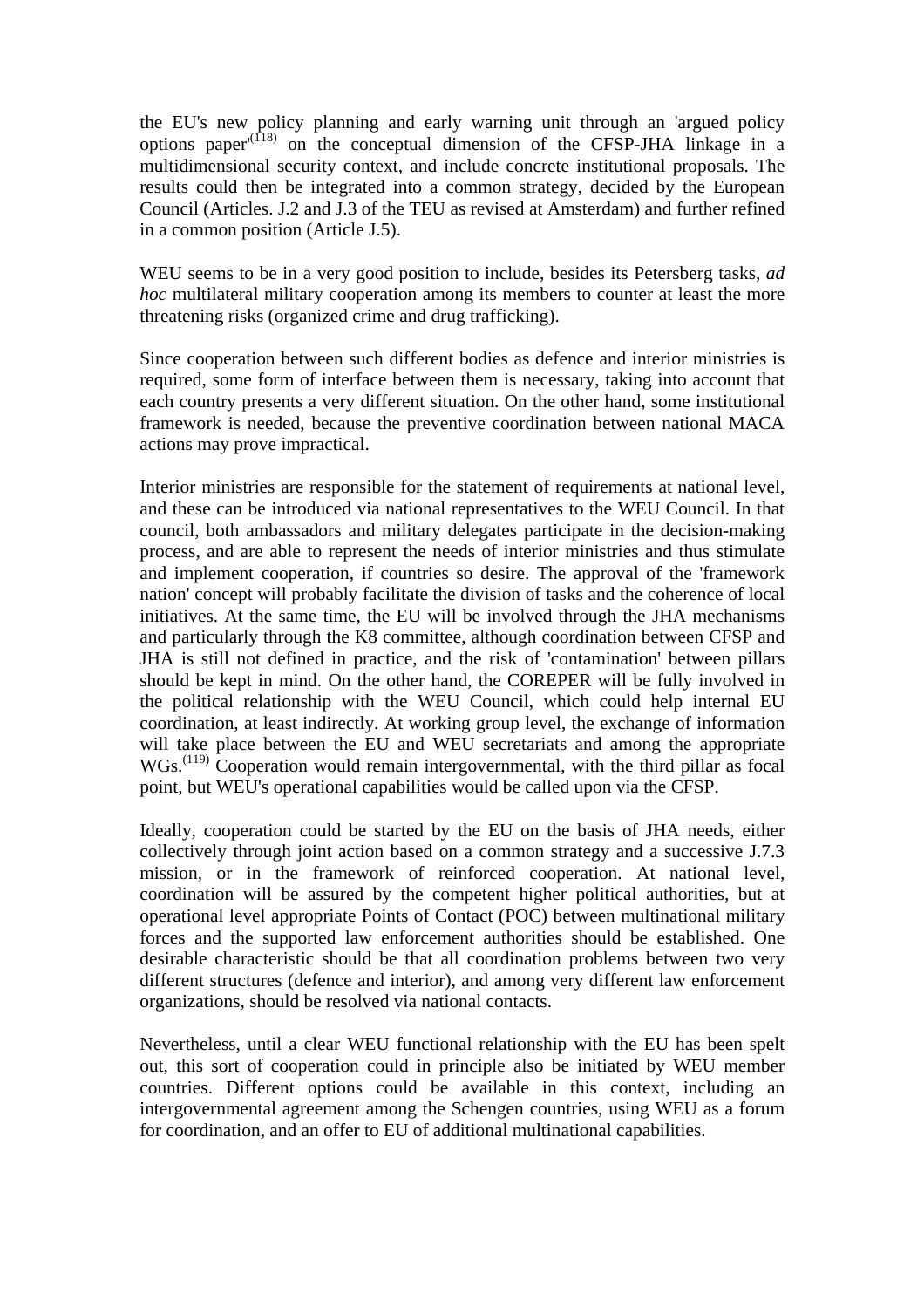the EU's new policy planning and early warning unit through an 'argued policy options paper<sup> $(118)$ </sup> on the conceptual dimension of the CFSP-JHA linkage in a multidimensional security context, and include concrete institutional proposals. The results could then be integrated into a common strategy, decided by the European Council (Articles. J.2 and J.3 of the TEU as revised at Amsterdam) and further refined in a common position (Article J.5).

WEU seems to be in a very good position to include, besides its Petersberg tasks, *ad hoc* multilateral military cooperation among its members to counter at least the more threatening risks (organized crime and drug trafficking).

Since cooperation between such different bodies as defence and interior ministries is required, some form of interface between them is necessary, taking into account that each country presents a very different situation. On the other hand, some institutional framework is needed, because the preventive coordination between national MACA actions may prove impractical.

Interior ministries are responsible for the statement of requirements at national level, and these can be introduced via national representatives to the WEU Council. In that council, both ambassadors and military delegates participate in the decision-making process, and are able to represent the needs of interior ministries and thus stimulate and implement cooperation, if countries so desire. The approval of the 'framework nation' concept will probably facilitate the division of tasks and the coherence of local initiatives. At the same time, the EU will be involved through the JHA mechanisms and particularly through the K8 committee, although coordination between CFSP and JHA is still not defined in practice, and the risk of 'contamination' between pillars should be kept in mind. On the other hand, the COREPER will be fully involved in the political relationship with the WEU Council, which could help internal EU coordination, at least indirectly. At working group level, the exchange of information will take place between the EU and WEU secretariats and among the appropriate  $WGs.$ <sup> $(119)$ </sup> Cooperation would remain intergovernmental, with the third pillar as focal point, but WEU's operational capabilities would be called upon via the CFSP.

Ideally, cooperation could be started by the EU on the basis of JHA needs, either collectively through joint action based on a common strategy and a successive J.7.3 mission, or in the framework of reinforced cooperation. At national level, coordination will be assured by the competent higher political authorities, but at operational level appropriate Points of Contact (POC) between multinational military forces and the supported law enforcement authorities should be established. One desirable characteristic should be that all coordination problems between two very different structures (defence and interior), and among very different law enforcement organizations, should be resolved via national contacts.

Nevertheless, until a clear WEU functional relationship with the EU has been spelt out, this sort of cooperation could in principle also be initiated by WEU member countries. Different options could be available in this context, including an intergovernmental agreement among the Schengen countries, using WEU as a forum for coordination, and an offer to EU of additional multinational capabilities.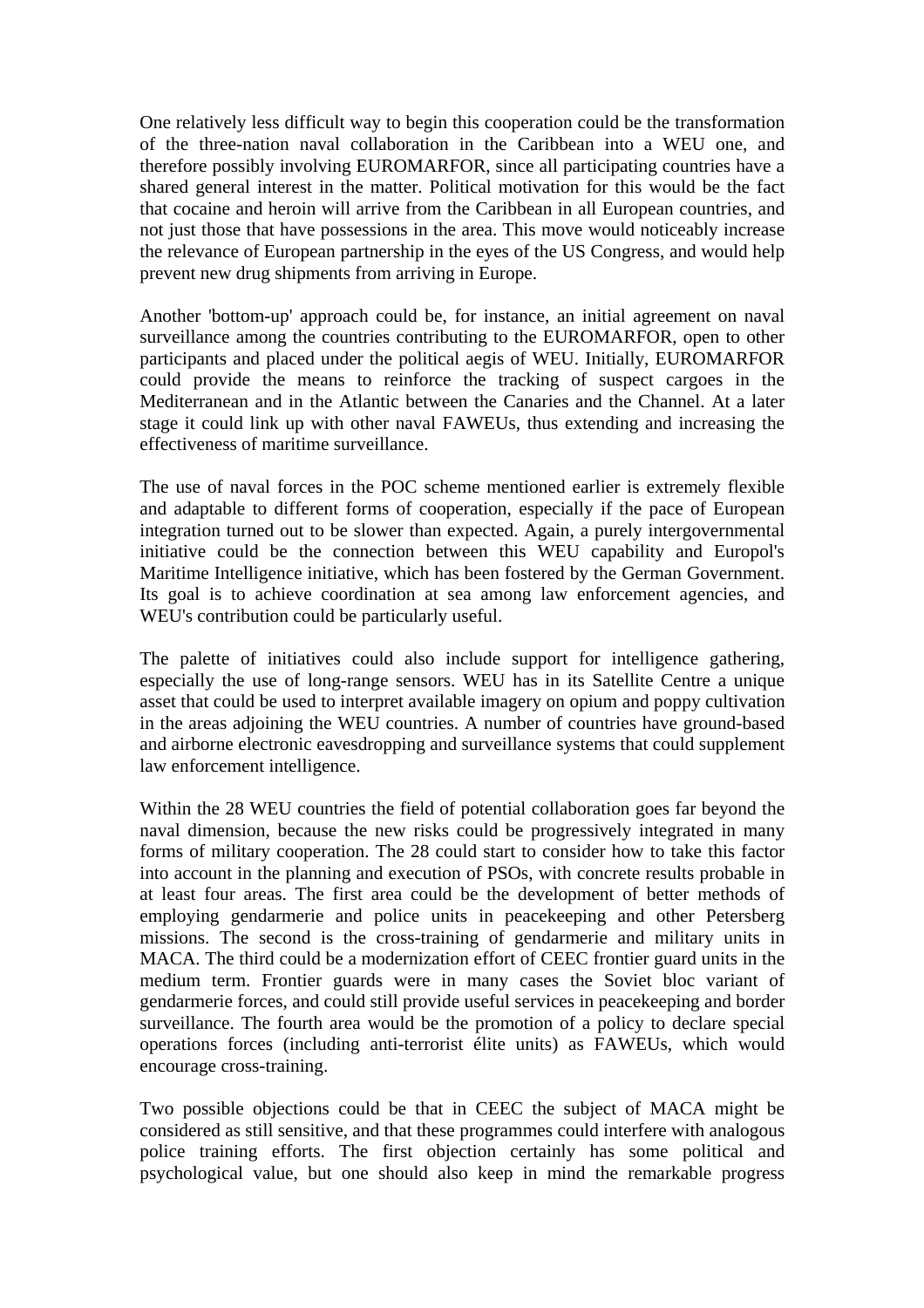One relatively less difficult way to begin this cooperation could be the transformation of the three-nation naval collaboration in the Caribbean into a WEU one, and therefore possibly involving EUROMARFOR, since all participating countries have a shared general interest in the matter. Political motivation for this would be the fact that cocaine and heroin will arrive from the Caribbean in all European countries, and not just those that have possessions in the area. This move would noticeably increase the relevance of European partnership in the eyes of the US Congress, and would help prevent new drug shipments from arriving in Europe.

Another 'bottom-up' approach could be, for instance, an initial agreement on naval surveillance among the countries contributing to the EUROMARFOR, open to other participants and placed under the political aegis of WEU. Initially, EUROMARFOR could provide the means to reinforce the tracking of suspect cargoes in the Mediterranean and in the Atlantic between the Canaries and the Channel. At a later stage it could link up with other naval FAWEUs, thus extending and increasing the effectiveness of maritime surveillance.

The use of naval forces in the POC scheme mentioned earlier is extremely flexible and adaptable to different forms of cooperation, especially if the pace of European integration turned out to be slower than expected. Again, a purely intergovernmental initiative could be the connection between this WEU capability and Europol's Maritime Intelligence initiative, which has been fostered by the German Government. Its goal is to achieve coordination at sea among law enforcement agencies, and WEU's contribution could be particularly useful.

The palette of initiatives could also include support for intelligence gathering, especially the use of long-range sensors. WEU has in its Satellite Centre a unique asset that could be used to interpret available imagery on opium and poppy cultivation in the areas adjoining the WEU countries. A number of countries have ground-based and airborne electronic eavesdropping and surveillance systems that could supplement law enforcement intelligence.

Within the 28 WEU countries the field of potential collaboration goes far beyond the naval dimension, because the new risks could be progressively integrated in many forms of military cooperation. The 28 could start to consider how to take this factor into account in the planning and execution of PSOs, with concrete results probable in at least four areas. The first area could be the development of better methods of employing gendarmerie and police units in peacekeeping and other Petersberg missions. The second is the cross-training of gendarmerie and military units in MACA. The third could be a modernization effort of CEEC frontier guard units in the medium term. Frontier guards were in many cases the Soviet bloc variant of gendarmerie forces, and could still provide useful services in peacekeeping and border surveillance. The fourth area would be the promotion of a policy to declare special operations forces (including anti-terrorist élite units) as FAWEUs, which would encourage cross-training.

Two possible objections could be that in CEEC the subject of MACA might be considered as still sensitive, and that these programmes could interfere with analogous police training efforts. The first objection certainly has some political and psychological value, but one should also keep in mind the remarkable progress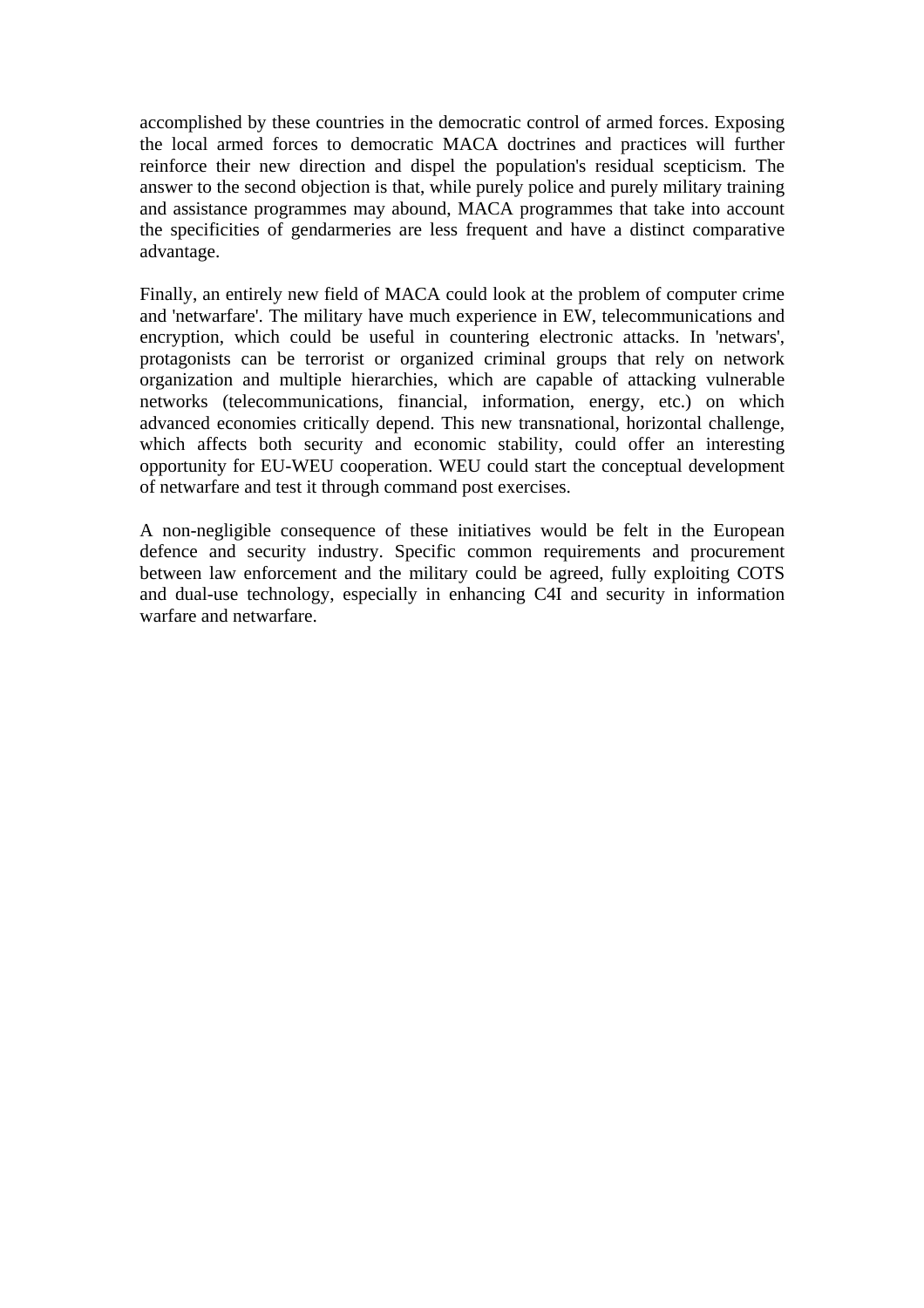accomplished by these countries in the democratic control of armed forces. Exposing the local armed forces to democratic MACA doctrines and practices will further reinforce their new direction and dispel the population's residual scepticism. The answer to the second objection is that, while purely police and purely military training and assistance programmes may abound, MACA programmes that take into account the specificities of gendarmeries are less frequent and have a distinct comparative advantage.

Finally, an entirely new field of MACA could look at the problem of computer crime and 'netwarfare'. The military have much experience in EW, telecommunications and encryption, which could be useful in countering electronic attacks. In 'netwars', protagonists can be terrorist or organized criminal groups that rely on network organization and multiple hierarchies, which are capable of attacking vulnerable networks (telecommunications, financial, information, energy, etc.) on which advanced economies critically depend. This new transnational, horizontal challenge, which affects both security and economic stability, could offer an interesting opportunity for EU-WEU cooperation. WEU could start the conceptual development of netwarfare and test it through command post exercises.

A non-negligible consequence of these initiatives would be felt in the European defence and security industry. Specific common requirements and procurement between law enforcement and the military could be agreed, fully exploiting COTS and dual-use technology, especially in enhancing C4I and security in information warfare and netwarfare.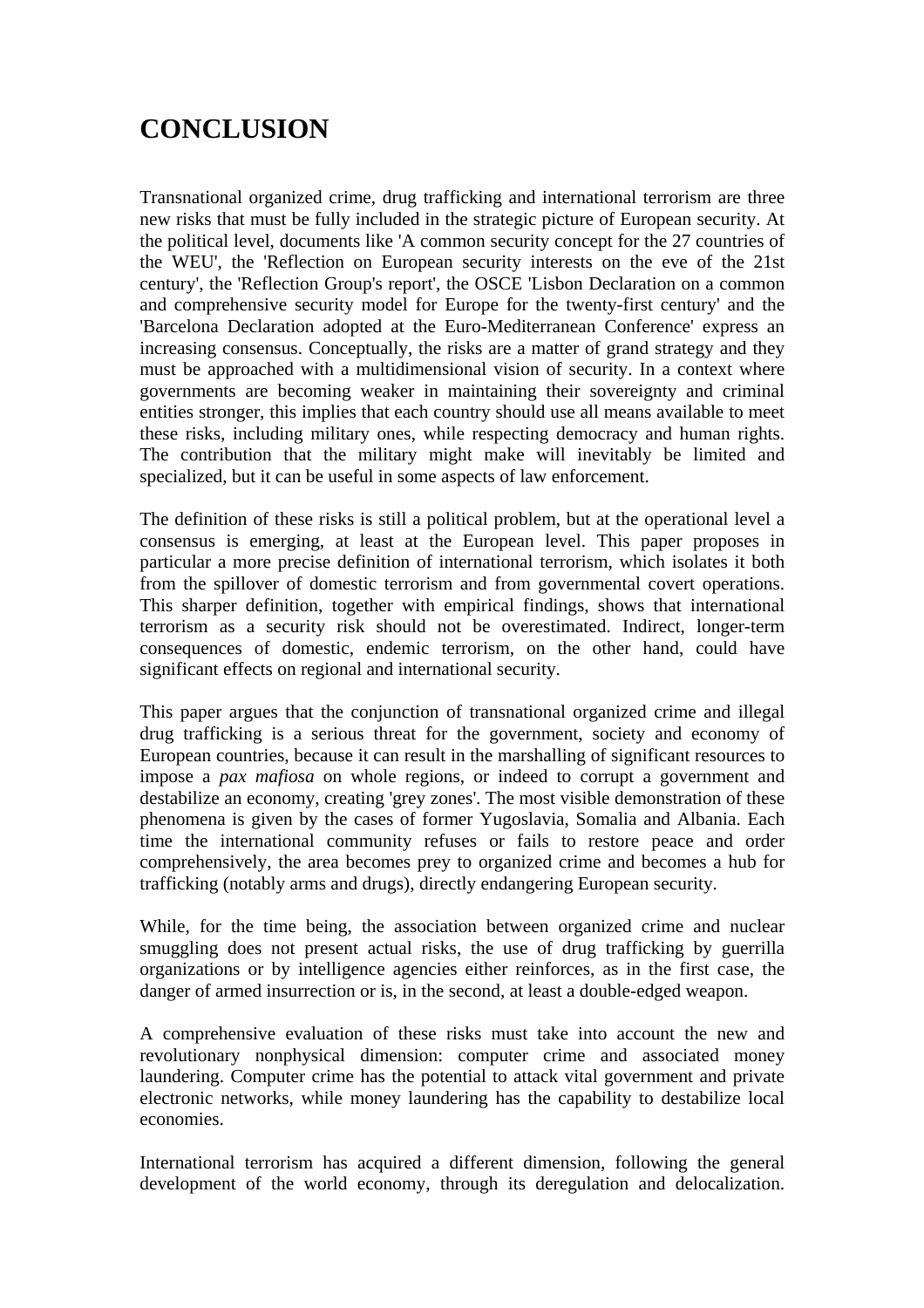# **CONCLUSION**

Transnational organized crime, drug trafficking and international terrorism are three new risks that must be fully included in the strategic picture of European security. At the political level, documents like 'A common security concept for the 27 countries of the WEU', the 'Reflection on European security interests on the eve of the 21st century', the 'Reflection Group's report', the OSCE 'Lisbon Declaration on a common and comprehensive security model for Europe for the twenty-first century' and the 'Barcelona Declaration adopted at the Euro-Mediterranean Conference' express an increasing consensus. Conceptually, the risks are a matter of grand strategy and they must be approached with a multidimensional vision of security. In a context where governments are becoming weaker in maintaining their sovereignty and criminal entities stronger, this implies that each country should use all means available to meet these risks, including military ones, while respecting democracy and human rights. The contribution that the military might make will inevitably be limited and specialized, but it can be useful in some aspects of law enforcement.

The definition of these risks is still a political problem, but at the operational level a consensus is emerging, at least at the European level. This paper proposes in particular a more precise definition of international terrorism, which isolates it both from the spillover of domestic terrorism and from governmental covert operations. This sharper definition, together with empirical findings, shows that international terrorism as a security risk should not be overestimated. Indirect, longer-term consequences of domestic, endemic terrorism, on the other hand, could have significant effects on regional and international security.

This paper argues that the conjunction of transnational organized crime and illegal drug trafficking is a serious threat for the government, society and economy of European countries, because it can result in the marshalling of significant resources to impose a *pax mafiosa* on whole regions, or indeed to corrupt a government and destabilize an economy, creating 'grey zones'. The most visible demonstration of these phenomena is given by the cases of former Yugoslavia, Somalia and Albania. Each time the international community refuses or fails to restore peace and order comprehensively, the area becomes prey to organized crime and becomes a hub for trafficking (notably arms and drugs), directly endangering European security.

While, for the time being, the association between organized crime and nuclear smuggling does not present actual risks, the use of drug trafficking by guerrilla organizations or by intelligence agencies either reinforces, as in the first case, the danger of armed insurrection or is, in the second, at least a double-edged weapon.

A comprehensive evaluation of these risks must take into account the new and revolutionary nonphysical dimension: computer crime and associated money laundering. Computer crime has the potential to attack vital government and private electronic networks, while money laundering has the capability to destabilize local economies.

International terrorism has acquired a different dimension, following the general development of the world economy, through its deregulation and delocalization.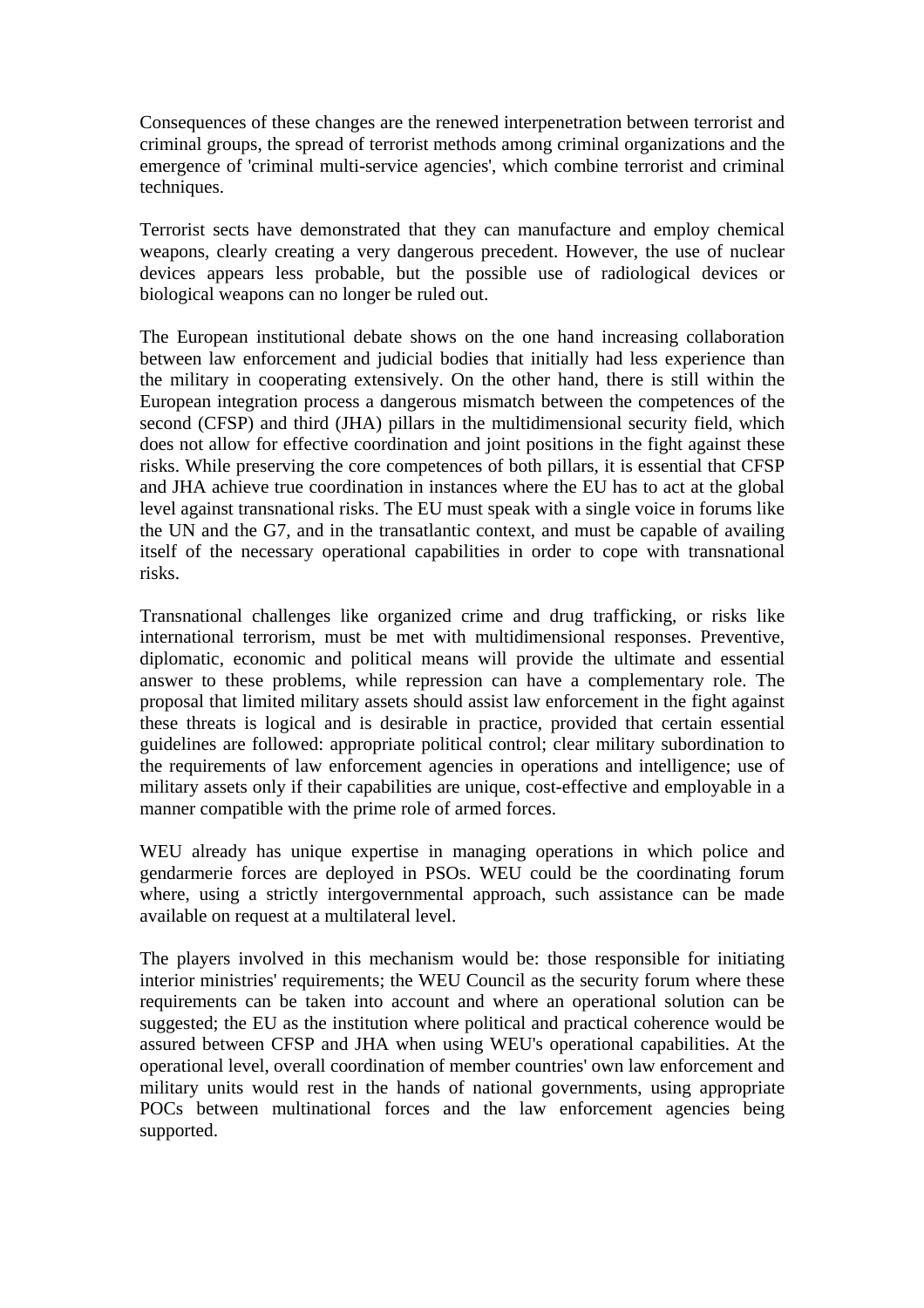Consequences of these changes are the renewed interpenetration between terrorist and criminal groups, the spread of terrorist methods among criminal organizations and the emergence of 'criminal multi-service agencies', which combine terrorist and criminal techniques.

Terrorist sects have demonstrated that they can manufacture and employ chemical weapons, clearly creating a very dangerous precedent. However, the use of nuclear devices appears less probable, but the possible use of radiological devices or biological weapons can no longer be ruled out.

The European institutional debate shows on the one hand increasing collaboration between law enforcement and judicial bodies that initially had less experience than the military in cooperating extensively. On the other hand, there is still within the European integration process a dangerous mismatch between the competences of the second (CFSP) and third (JHA) pillars in the multidimensional security field, which does not allow for effective coordination and joint positions in the fight against these risks. While preserving the core competences of both pillars, it is essential that CFSP and JHA achieve true coordination in instances where the EU has to act at the global level against transnational risks. The EU must speak with a single voice in forums like the UN and the G7, and in the transatlantic context, and must be capable of availing itself of the necessary operational capabilities in order to cope with transnational risks.

Transnational challenges like organized crime and drug trafficking, or risks like international terrorism, must be met with multidimensional responses. Preventive, diplomatic, economic and political means will provide the ultimate and essential answer to these problems, while repression can have a complementary role. The proposal that limited military assets should assist law enforcement in the fight against these threats is logical and is desirable in practice, provided that certain essential guidelines are followed: appropriate political control; clear military subordination to the requirements of law enforcement agencies in operations and intelligence; use of military assets only if their capabilities are unique, cost-effective and employable in a manner compatible with the prime role of armed forces.

WEU already has unique expertise in managing operations in which police and gendarmerie forces are deployed in PSOs. WEU could be the coordinating forum where, using a strictly intergovernmental approach, such assistance can be made available on request at a multilateral level.

The players involved in this mechanism would be: those responsible for initiating interior ministries' requirements; the WEU Council as the security forum where these requirements can be taken into account and where an operational solution can be suggested; the EU as the institution where political and practical coherence would be assured between CFSP and JHA when using WEU's operational capabilities. At the operational level, overall coordination of member countries' own law enforcement and military units would rest in the hands of national governments, using appropriate POCs between multinational forces and the law enforcement agencies being supported.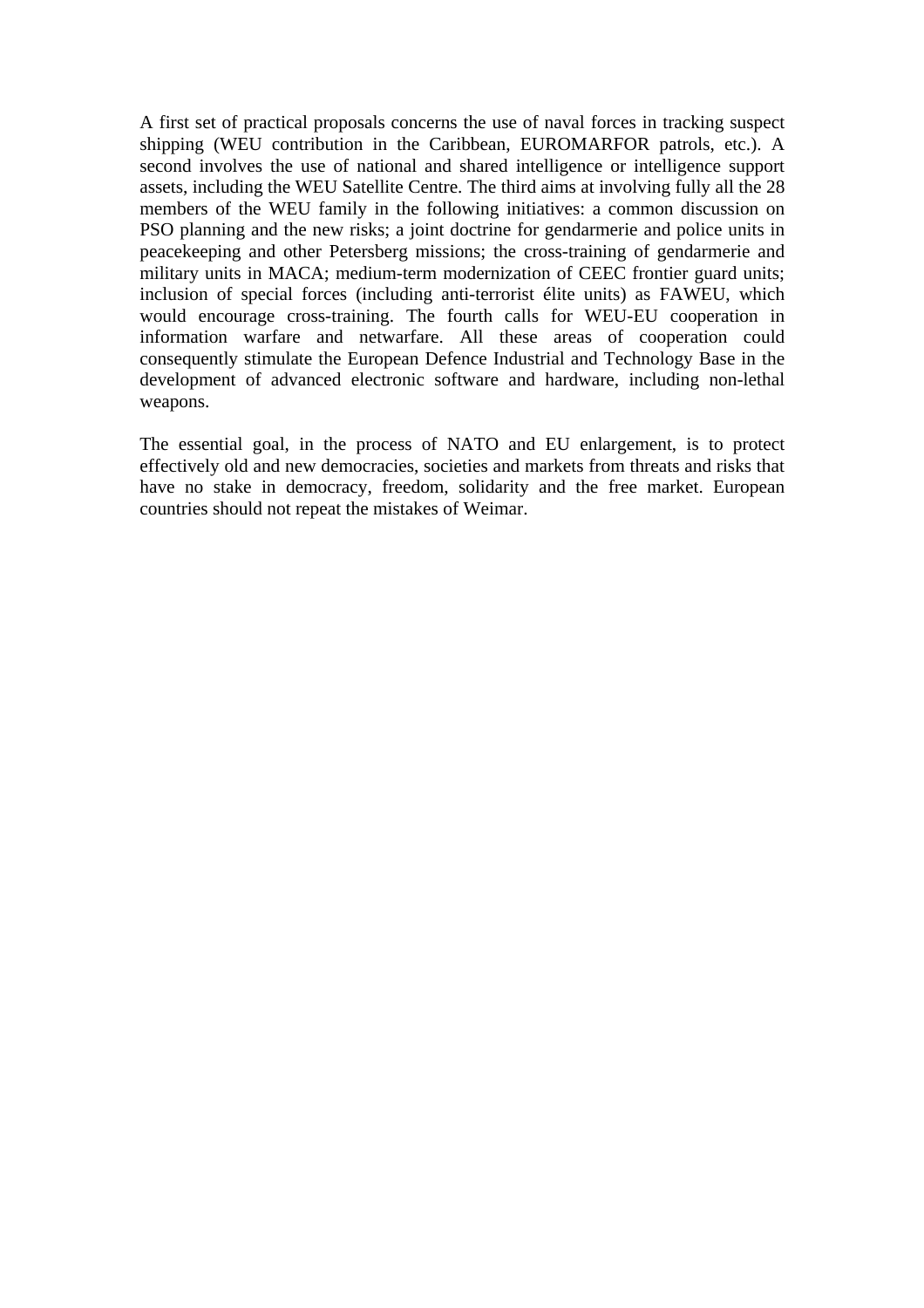A first set of practical proposals concerns the use of naval forces in tracking suspect shipping (WEU contribution in the Caribbean, EUROMARFOR patrols, etc.). A second involves the use of national and shared intelligence or intelligence support assets, including the WEU Satellite Centre. The third aims at involving fully all the 28 members of the WEU family in the following initiatives: a common discussion on PSO planning and the new risks; a joint doctrine for gendarmerie and police units in peacekeeping and other Petersberg missions; the cross-training of gendarmerie and military units in MACA; medium-term modernization of CEEC frontier guard units; inclusion of special forces (including anti-terrorist élite units) as FAWEU, which would encourage cross-training. The fourth calls for WEU-EU cooperation in information warfare and netwarfare. All these areas of cooperation could consequently stimulate the European Defence Industrial and Technology Base in the development of advanced electronic software and hardware, including non-lethal weapons.

The essential goal, in the process of NATO and EU enlargement, is to protect effectively old and new democracies, societies and markets from threats and risks that have no stake in democracy, freedom, solidarity and the free market. European countries should not repeat the mistakes of Weimar.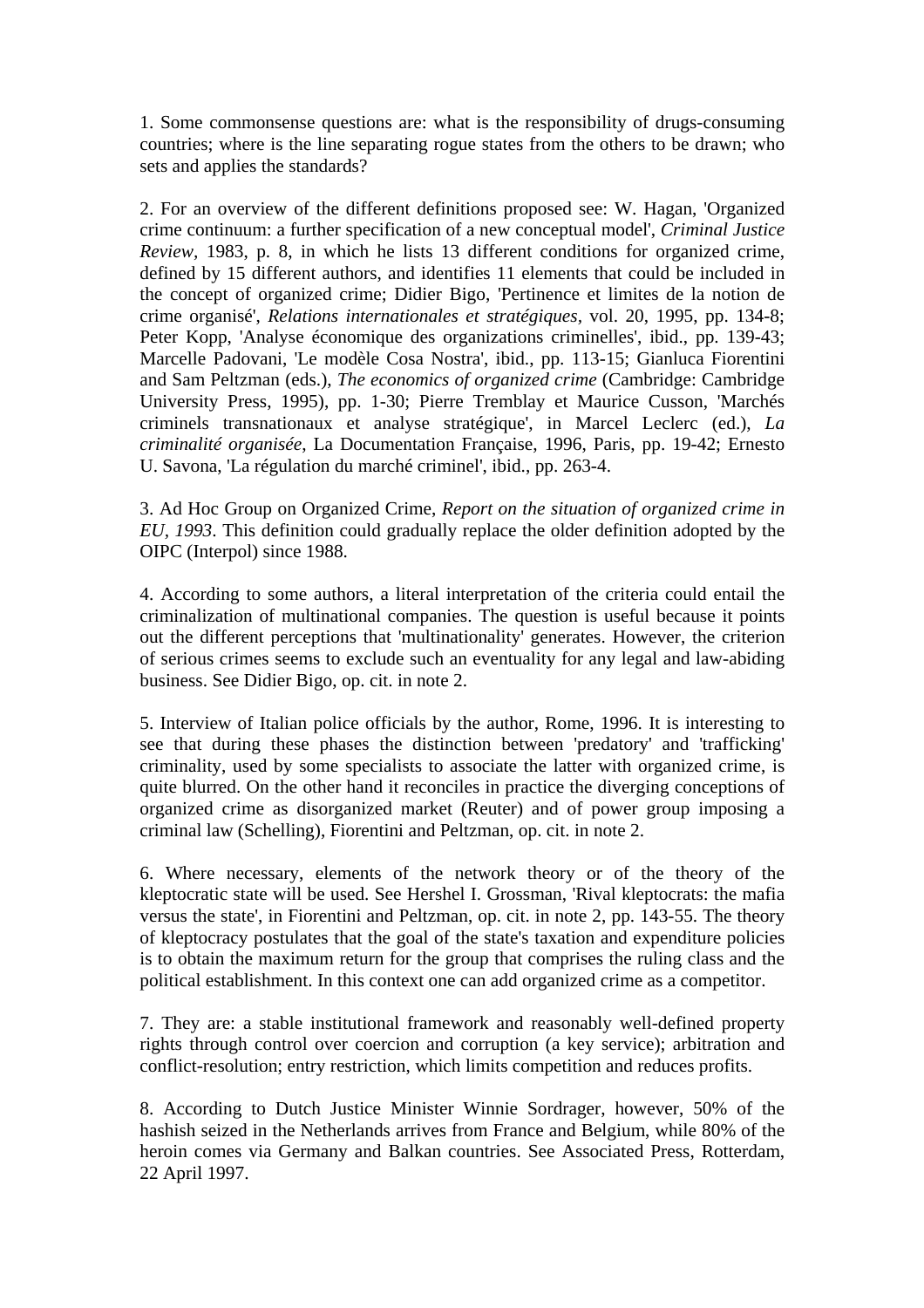1. Some commonsense questions are: what is the responsibility of drugs-consuming countries; where is the line separating rogue states from the others to be drawn; who sets and applies the standards?

2. For an overview of the different definitions proposed see: W. Hagan, 'Organized crime continuum: a further specification of a new conceptual model', *Criminal Justice Review,* 1983, p. 8, in which he lists 13 different conditions for organized crime, defined by 15 different authors, and identifies 11 elements that could be included in the concept of organized crime; Didier Bigo, 'Pertinence et limites de la notion de crime organisé', *Relations internationales et stratégiques,* vol. 20, 1995, pp. 134-8; Peter Kopp, 'Analyse économique des organizations criminelles', ibid., pp. 139-43; Marcelle Padovani, 'Le modèle Cosa Nostra', ibid., pp. 113-15; Gianluca Fiorentini and Sam Peltzman (eds.), *The economics of organized crime* (Cambridge: Cambridge University Press, 1995), pp. 1-30; Pierre Tremblay et Maurice Cusson, 'Marchés criminels transnationaux et analyse stratégique', in Marcel Leclerc (ed.), *La criminalité organisée*, La Documentation Française, 1996, Paris, pp. 19-42; Ernesto U. Savona, 'La régulation du marché criminel', ibid., pp. 263-4.

3. Ad Hoc Group on Organized Crime, *Report on the situation of organized crime in EU, 1993*. This definition could gradually replace the older definition adopted by the OIPC (Interpol) since 1988.

4. According to some authors, a literal interpretation of the criteria could entail the criminalization of multinational companies. The question is useful because it points out the different perceptions that 'multinationality' generates. However, the criterion of serious crimes seems to exclude such an eventuality for any legal and law-abiding business. See Didier Bigo, op. cit. in note 2.

5. Interview of Italian police officials by the author, Rome, 1996. It is interesting to see that during these phases the distinction between 'predatory' and 'trafficking' criminality, used by some specialists to associate the latter with organized crime, is quite blurred. On the other hand it reconciles in practice the diverging conceptions of organized crime as disorganized market (Reuter) and of power group imposing a criminal law (Schelling), Fiorentini and Peltzman, op. cit. in note 2.

6. Where necessary, elements of the network theory or of the theory of the kleptocratic state will be used. See Hershel I. Grossman, 'Rival kleptocrats: the mafia versus the state', in Fiorentini and Peltzman, op. cit. in note 2, pp. 143-55. The theory of kleptocracy postulates that the goal of the state's taxation and expenditure policies is to obtain the maximum return for the group that comprises the ruling class and the political establishment. In this context one can add organized crime as a competitor.

7. They are: a stable institutional framework and reasonably well-defined property rights through control over coercion and corruption (a key service); arbitration and conflict-resolution; entry restriction, which limits competition and reduces profits.

8. According to Dutch Justice Minister Winnie Sordrager, however, 50% of the hashish seized in the Netherlands arrives from France and Belgium, while 80% of the heroin comes via Germany and Balkan countries. See Associated Press, Rotterdam, 22 April 1997.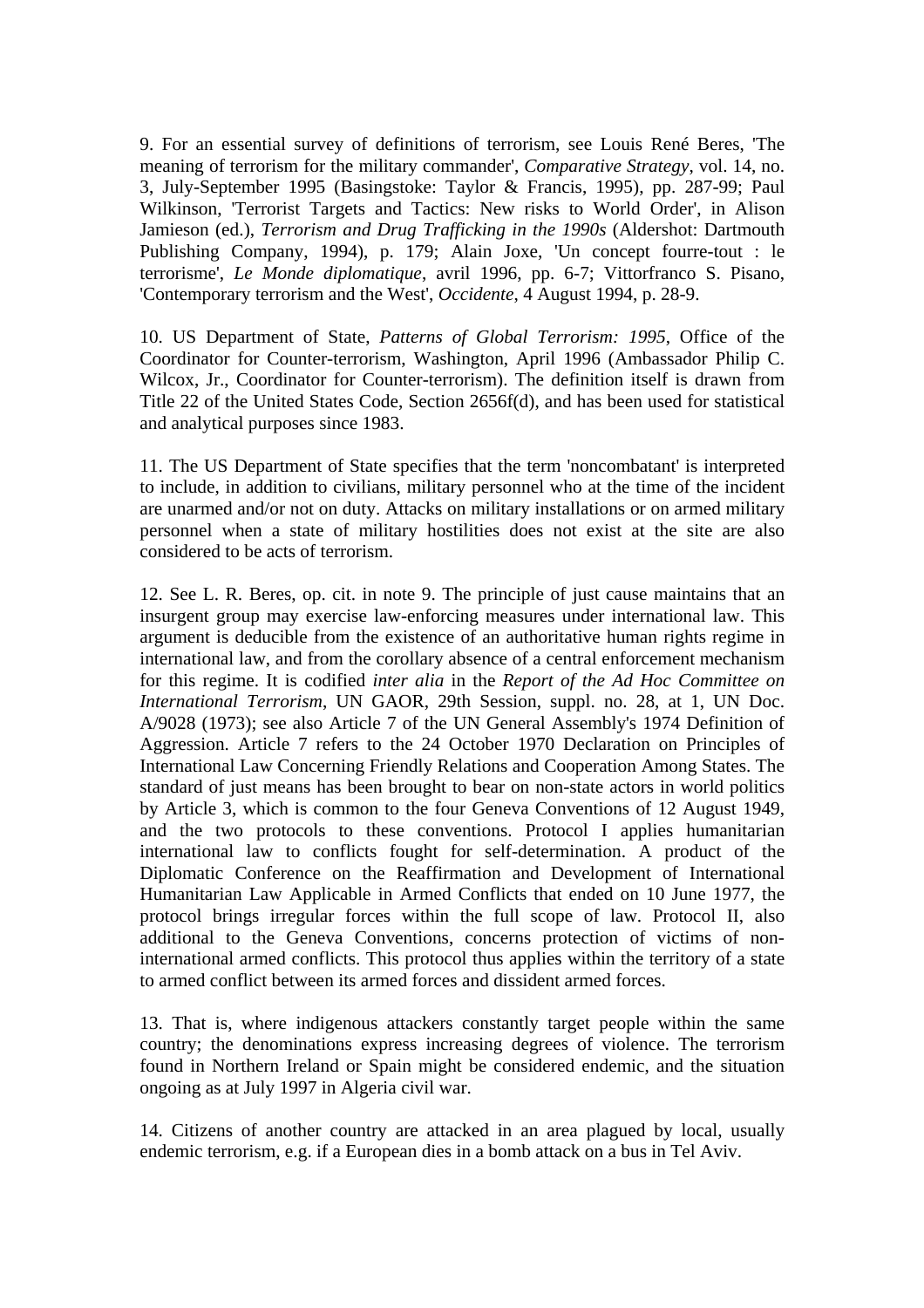9. For an essential survey of definitions of terrorism, see Louis René Beres, 'The meaning of terrorism for the military commander', *Comparative Strategy*, vol. 14, no. 3, July-September 1995 (Basingstoke: Taylor & Francis, 1995), pp. 287-99; Paul Wilkinson, 'Terrorist Targets and Tactics: New risks to World Order', in Alison Jamieson (ed.), *Terrorism and Drug Trafficking in the 1990s* (Aldershot: Dartmouth Publishing Company, 1994), p. 179; Alain Joxe, 'Un concept fourre-tout : le terrorisme', *Le Monde diplomatique*, avril 1996, pp. 6-7; Vittorfranco S. Pisano, 'Contemporary terrorism and the West', *Occidente*, 4 August 1994, p. 28-9.

10. US Department of State, *Patterns of Global Terrorism: 1995*, Office of the Coordinator for Counter-terrorism, Washington, April 1996 (Ambassador Philip C. Wilcox, Jr., Coordinator for Counter-terrorism). The definition itself is drawn from Title 22 of the United States Code, Section 2656f(d), and has been used for statistical and analytical purposes since 1983.

11. The US Department of State specifies that the term 'noncombatant' is interpreted to include, in addition to civilians, military personnel who at the time of the incident are unarmed and/or not on duty. Attacks on military installations or on armed military personnel when a state of military hostilities does not exist at the site are also considered to be acts of terrorism.

12. See L. R. Beres, op. cit. in note 9. The principle of just cause maintains that an insurgent group may exercise law-enforcing measures under international law. This argument is deducible from the existence of an authoritative human rights regime in international law, and from the corollary absence of a central enforcement mechanism for this regime. It is codified *inter alia* in the *Report of the Ad Hoc Committee on International Terrorism*, UN GAOR, 29th Session, suppl. no. 28, at 1, UN Doc. A/9028 (1973); see also Article 7 of the UN General Assembly's 1974 Definition of Aggression. Article 7 refers to the 24 October 1970 Declaration on Principles of International Law Concerning Friendly Relations and Cooperation Among States. The standard of just means has been brought to bear on non-state actors in world politics by Article 3, which is common to the four Geneva Conventions of 12 August 1949, and the two protocols to these conventions. Protocol I applies humanitarian international law to conflicts fought for self-determination. A product of the Diplomatic Conference on the Reaffirmation and Development of International Humanitarian Law Applicable in Armed Conflicts that ended on 10 June 1977, the protocol brings irregular forces within the full scope of law. Protocol II, also additional to the Geneva Conventions, concerns protection of victims of noninternational armed conflicts. This protocol thus applies within the territory of a state to armed conflict between its armed forces and dissident armed forces.

13. That is, where indigenous attackers constantly target people within the same country; the denominations express increasing degrees of violence. The terrorism found in Northern Ireland or Spain might be considered endemic, and the situation ongoing as at July 1997 in Algeria civil war.

14. Citizens of another country are attacked in an area plagued by local, usually endemic terrorism, e.g. if a European dies in a bomb attack on a bus in Tel Aviv.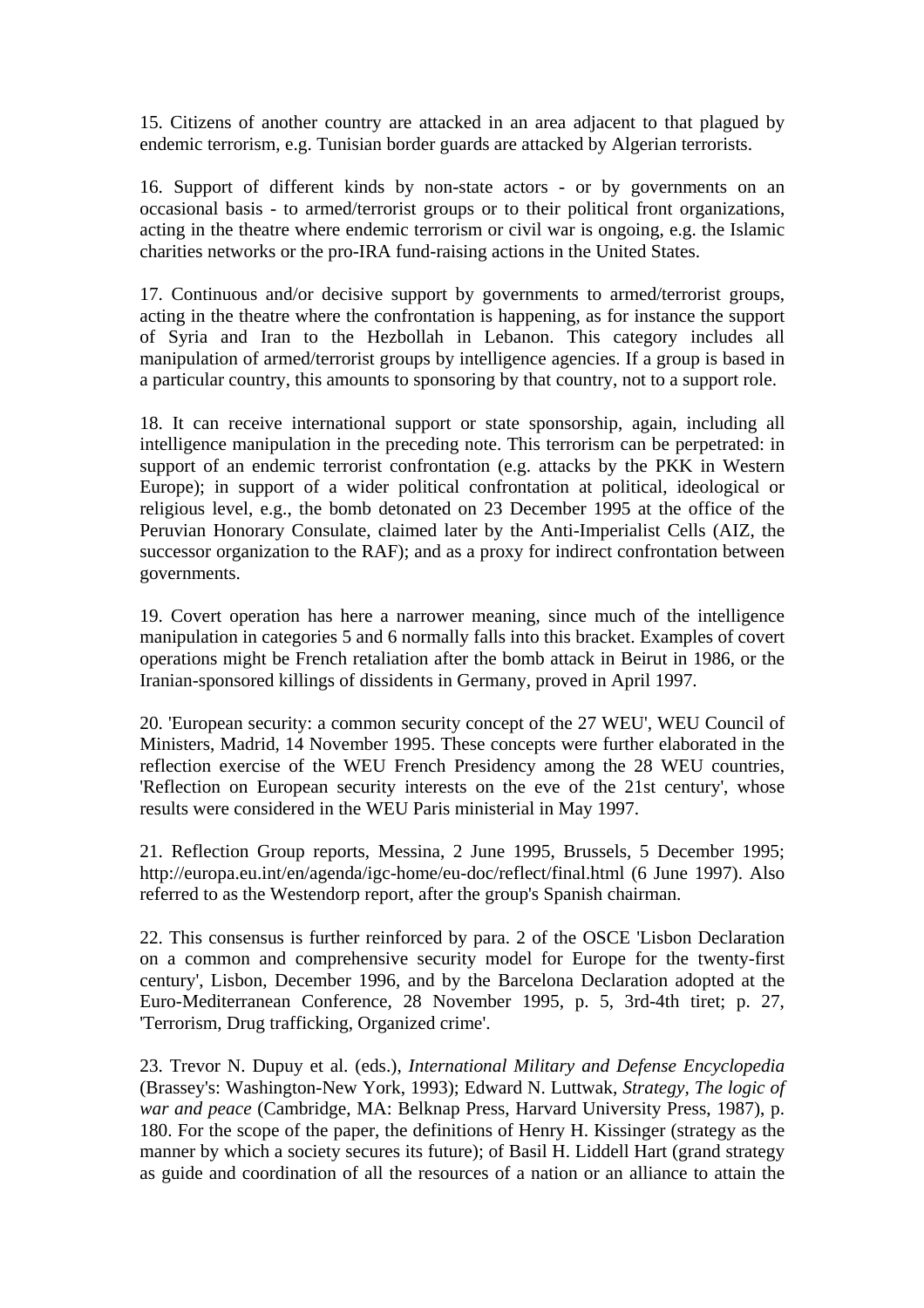15. Citizens of another country are attacked in an area adjacent to that plagued by endemic terrorism, e.g. Tunisian border guards are attacked by Algerian terrorists.

16. Support of different kinds by non-state actors - or by governments on an occasional basis - to armed/terrorist groups or to their political front organizations, acting in the theatre where endemic terrorism or civil war is ongoing, e.g. the Islamic charities networks or the pro-IRA fund-raising actions in the United States.

17. Continuous and/or decisive support by governments to armed/terrorist groups, acting in the theatre where the confrontation is happening, as for instance the support of Syria and Iran to the Hezbollah in Lebanon. This category includes all manipulation of armed/terrorist groups by intelligence agencies. If a group is based in a particular country, this amounts to sponsoring by that country, not to a support role.

18. It can receive international support or state sponsorship, again, including all intelligence manipulation in the preceding note. This terrorism can be perpetrated: in support of an endemic terrorist confrontation (e.g. attacks by the PKK in Western Europe); in support of a wider political confrontation at political, ideological or religious level, e.g., the bomb detonated on 23 December 1995 at the office of the Peruvian Honorary Consulate, claimed later by the Anti-Imperialist Cells (AIZ, the successor organization to the RAF); and as a proxy for indirect confrontation between governments.

19. Covert operation has here a narrower meaning, since much of the intelligence manipulation in categories 5 and 6 normally falls into this bracket. Examples of covert operations might be French retaliation after the bomb attack in Beirut in 1986, or the Iranian-sponsored killings of dissidents in Germany, proved in April 1997.

20. 'European security: a common security concept of the 27 WEU', WEU Council of Ministers, Madrid, 14 November 1995. These concepts were further elaborated in the reflection exercise of the WEU French Presidency among the 28 WEU countries, 'Reflection on European security interests on the eve of the 21st century', whose results were considered in the WEU Paris ministerial in May 1997.

21. Reflection Group reports, Messina, 2 June 1995, Brussels, 5 December 1995; http://europa.eu.int/en/agenda/igc-home/eu-doc/reflect/final.html (6 June 1997). Also referred to as the Westendorp report, after the group's Spanish chairman.

22. This consensus is further reinforced by para. 2 of the OSCE 'Lisbon Declaration on a common and comprehensive security model for Europe for the twenty-first century', Lisbon, December 1996, and by the Barcelona Declaration adopted at the Euro-Mediterranean Conference, 28 November 1995, p. 5, 3rd-4th tiret; p. 27, 'Terrorism, Drug trafficking, Organized crime'.

23. Trevor N. Dupuy et al. (eds.), *International Military and Defense Encyclopedia* (Brassey's: Washington-New York, 1993); Edward N. Luttwak, *Strategy, The logic of war and peace* (Cambridge, MA: Belknap Press, Harvard University Press, 1987), p. 180. For the scope of the paper, the definitions of Henry H. Kissinger (strategy as the manner by which a society secures its future); of Basil H. Liddell Hart (grand strategy as guide and coordination of all the resources of a nation or an alliance to attain the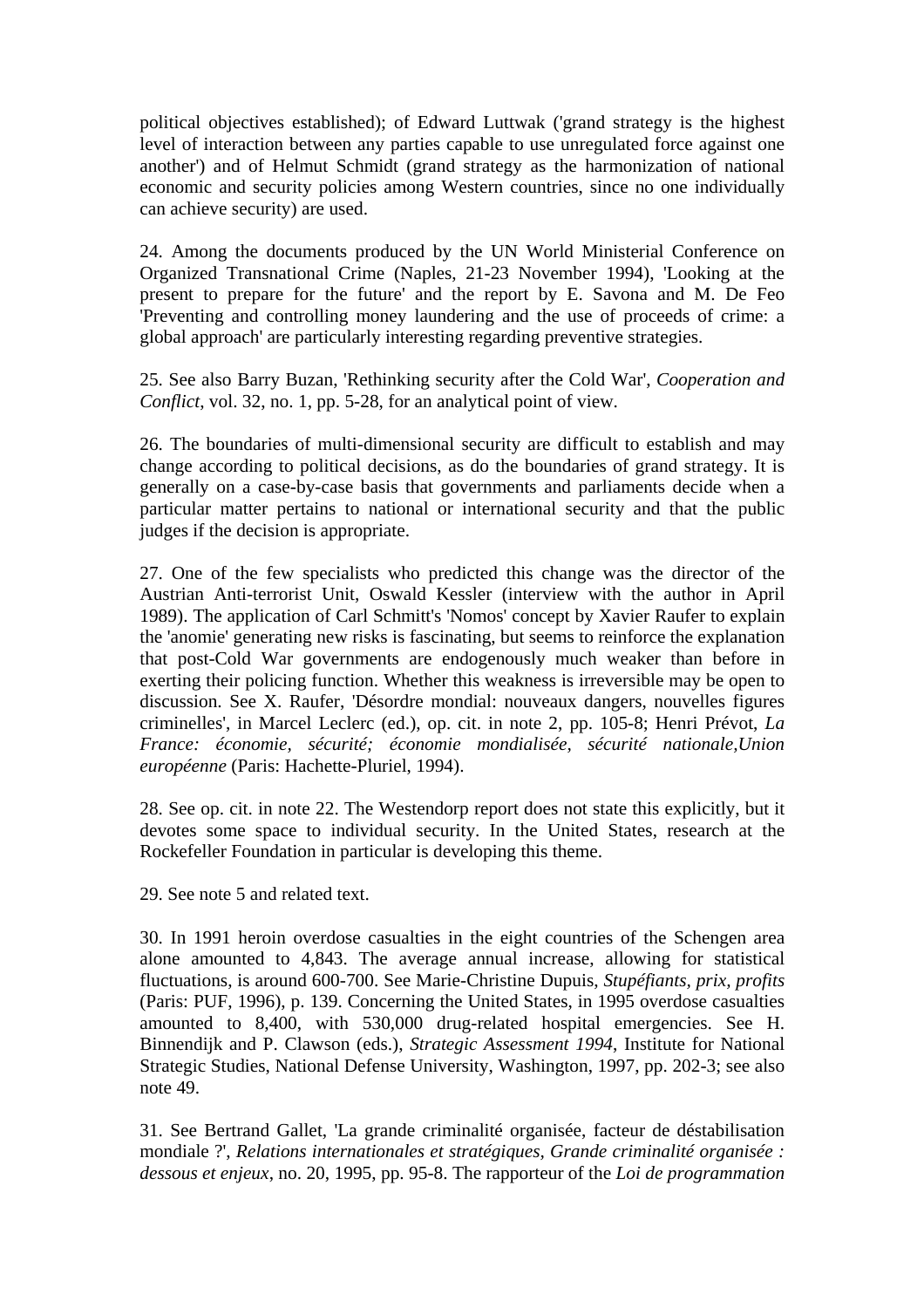political objectives established); of Edward Luttwak ('grand strategy is the highest level of interaction between any parties capable to use unregulated force against one another') and of Helmut Schmidt (grand strategy as the harmonization of national economic and security policies among Western countries, since no one individually can achieve security) are used.

24. Among the documents produced by the UN World Ministerial Conference on Organized Transnational Crime (Naples, 21-23 November 1994), 'Looking at the present to prepare for the future' and the report by E. Savona and M. De Feo 'Preventing and controlling money laundering and the use of proceeds of crime: a global approach' are particularly interesting regarding preventive strategies.

25. See also Barry Buzan, 'Rethinking security after the Cold War', *Cooperation and Conflict*, vol. 32, no. 1, pp. 5-28, for an analytical point of view.

26. The boundaries of multi-dimensional security are difficult to establish and may change according to political decisions, as do the boundaries of grand strategy. It is generally on a case-by-case basis that governments and parliaments decide when a particular matter pertains to national or international security and that the public judges if the decision is appropriate.

27. One of the few specialists who predicted this change was the director of the Austrian Anti-terrorist Unit, Oswald Kessler (interview with the author in April 1989). The application of Carl Schmitt's 'Nomos' concept by Xavier Raufer to explain the 'anomie' generating new risks is fascinating, but seems to reinforce the explanation that post-Cold War governments are endogenously much weaker than before in exerting their policing function. Whether this weakness is irreversible may be open to discussion. See X. Raufer, 'Désordre mondial: nouveaux dangers, nouvelles figures criminelles', in Marcel Leclerc (ed.), op. cit. in note 2, pp. 105-8; Henri Prévot, *La France: économie, sécurité; économie mondialisée, sécurité nationale,Union européenne* (Paris: Hachette-Pluriel, 1994).

28. See op. cit. in note 22. The Westendorp report does not state this explicitly, but it devotes some space to individual security. In the United States, research at the Rockefeller Foundation in particular is developing this theme.

29. See note 5 and related text.

30. In 1991 heroin overdose casualties in the eight countries of the Schengen area alone amounted to 4,843. The average annual increase, allowing for statistical fluctuations, is around 600-700. See Marie-Christine Dupuis, *Stupéfiants, prix, profits* (Paris: PUF, 1996), p. 139. Concerning the United States, in 1995 overdose casualties amounted to 8,400, with 530,000 drug-related hospital emergencies. See H. Binnendijk and P. Clawson (eds.), *Strategic Assessment 1994*, Institute for National Strategic Studies, National Defense University, Washington, 1997, pp. 202-3; see also note 49.

31. See Bertrand Gallet, 'La grande criminalité organisée, facteur de déstabilisation mondiale ?', *Relations internationales et stratégiques, Grande criminalité organisée : dessous et enjeux*, no. 20, 1995, pp. 95-8. The rapporteur of the *Loi de programmation*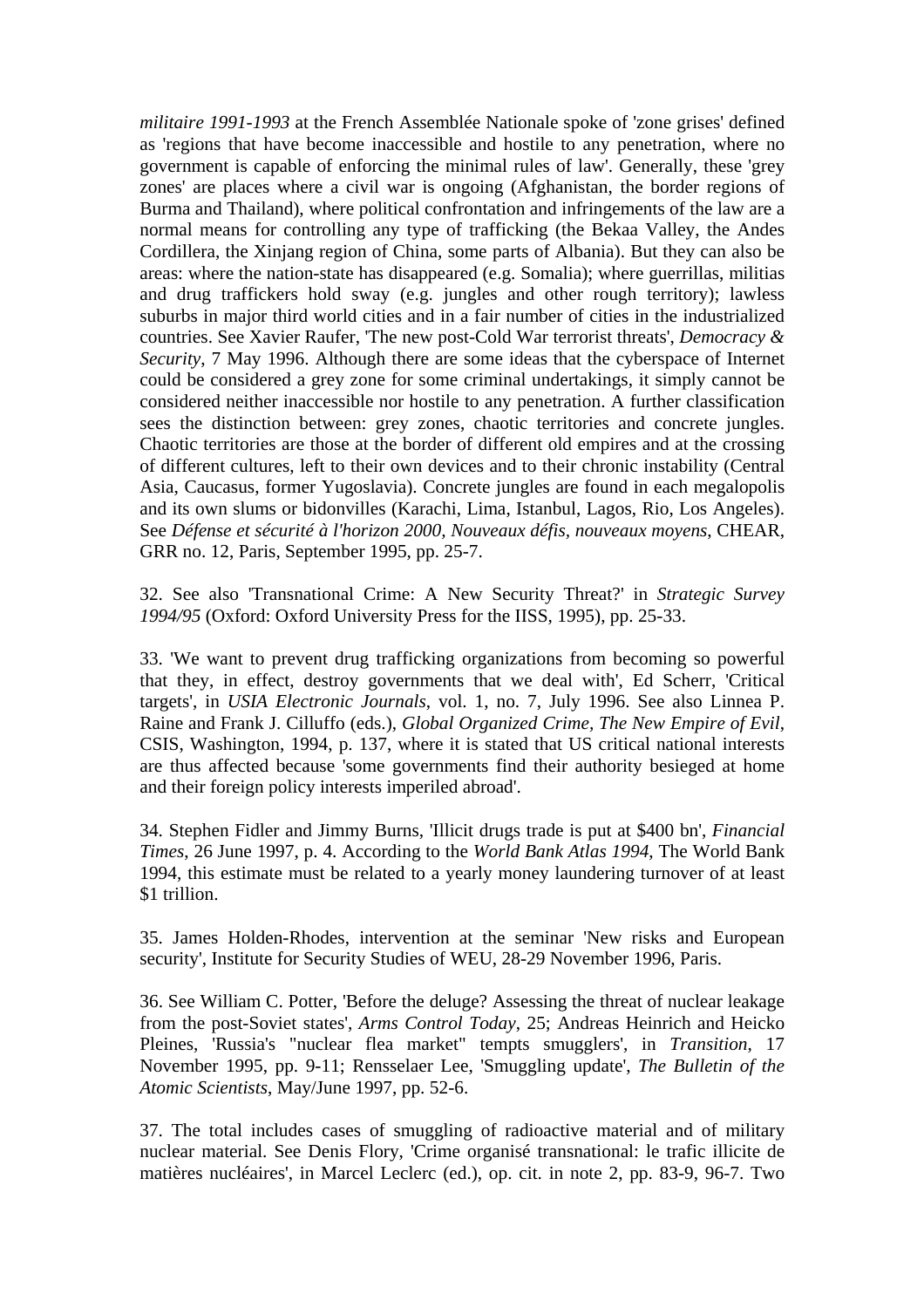*militaire 1991-1993* at the French Assemblée Nationale spoke of 'zone grises' defined as 'regions that have become inaccessible and hostile to any penetration, where no government is capable of enforcing the minimal rules of law'. Generally, these 'grey zones' are places where a civil war is ongoing (Afghanistan, the border regions of Burma and Thailand), where political confrontation and infringements of the law are a normal means for controlling any type of trafficking (the Bekaa Valley, the Andes Cordillera, the Xinjang region of China, some parts of Albania). But they can also be areas: where the nation-state has disappeared (e.g. Somalia); where guerrillas, militias and drug traffickers hold sway (e.g. jungles and other rough territory); lawless suburbs in major third world cities and in a fair number of cities in the industrialized countries. See Xavier Raufer, 'The new post-Cold War terrorist threats', *Democracy & Security*, 7 May 1996. Although there are some ideas that the cyberspace of Internet could be considered a grey zone for some criminal undertakings, it simply cannot be considered neither inaccessible nor hostile to any penetration. A further classification sees the distinction between: grey zones, chaotic territories and concrete jungles. Chaotic territories are those at the border of different old empires and at the crossing of different cultures, left to their own devices and to their chronic instability (Central Asia, Caucasus, former Yugoslavia). Concrete jungles are found in each megalopolis and its own slums or bidonvilles (Karachi, Lima, Istanbul, Lagos, Rio, Los Angeles). See *Défense et sécurité à l'horizon 2000, Nouveaux défis, nouveaux moyens*, CHEAR, GRR no. 12, Paris, September 1995, pp. 25-7.

32. See also 'Transnational Crime: A New Security Threat?' in *Strategic Survey 1994/95* (Oxford: Oxford University Press for the IISS, 1995), pp. 25-33.

33. 'We want to prevent drug trafficking organizations from becoming so powerful that they, in effect, destroy governments that we deal with', Ed Scherr, 'Critical targets', in *USIA Electronic Journals*, vol. 1, no. 7, July 1996. See also Linnea P. Raine and Frank J. Cilluffo (eds.), *Global Organized Crime, The New Empire of Evil*, CSIS, Washington, 1994, p. 137, where it is stated that US critical national interests are thus affected because 'some governments find their authority besieged at home and their foreign policy interests imperiled abroad'.

34. Stephen Fidler and Jimmy Burns, 'Illicit drugs trade is put at \$400 bn', *Financial Times*, 26 June 1997, p. 4. According to the *World Bank Atlas 1994*, The World Bank 1994, this estimate must be related to a yearly money laundering turnover of at least \$1 trillion.

35. James Holden-Rhodes, intervention at the seminar 'New risks and European security', Institute for Security Studies of WEU, 28-29 November 1996, Paris.

36. See William C. Potter, 'Before the deluge? Assessing the threat of nuclear leakage from the post-Soviet states', *Arms Control Today*, 25; Andreas Heinrich and Heicko Pleines, 'Russia's "nuclear flea market" tempts smugglers', in *Transition*, 17 November 1995, pp. 9-11; Rensselaer Lee, 'Smuggling update', *The Bulletin of the Atomic Scientists*, May/June 1997, pp. 52-6.

37. The total includes cases of smuggling of radioactive material and of military nuclear material. See Denis Flory, 'Crime organisé transnational: le trafic illicite de matières nucléaires', in Marcel Leclerc (ed.), op. cit. in note 2, pp. 83-9, 96-7. Two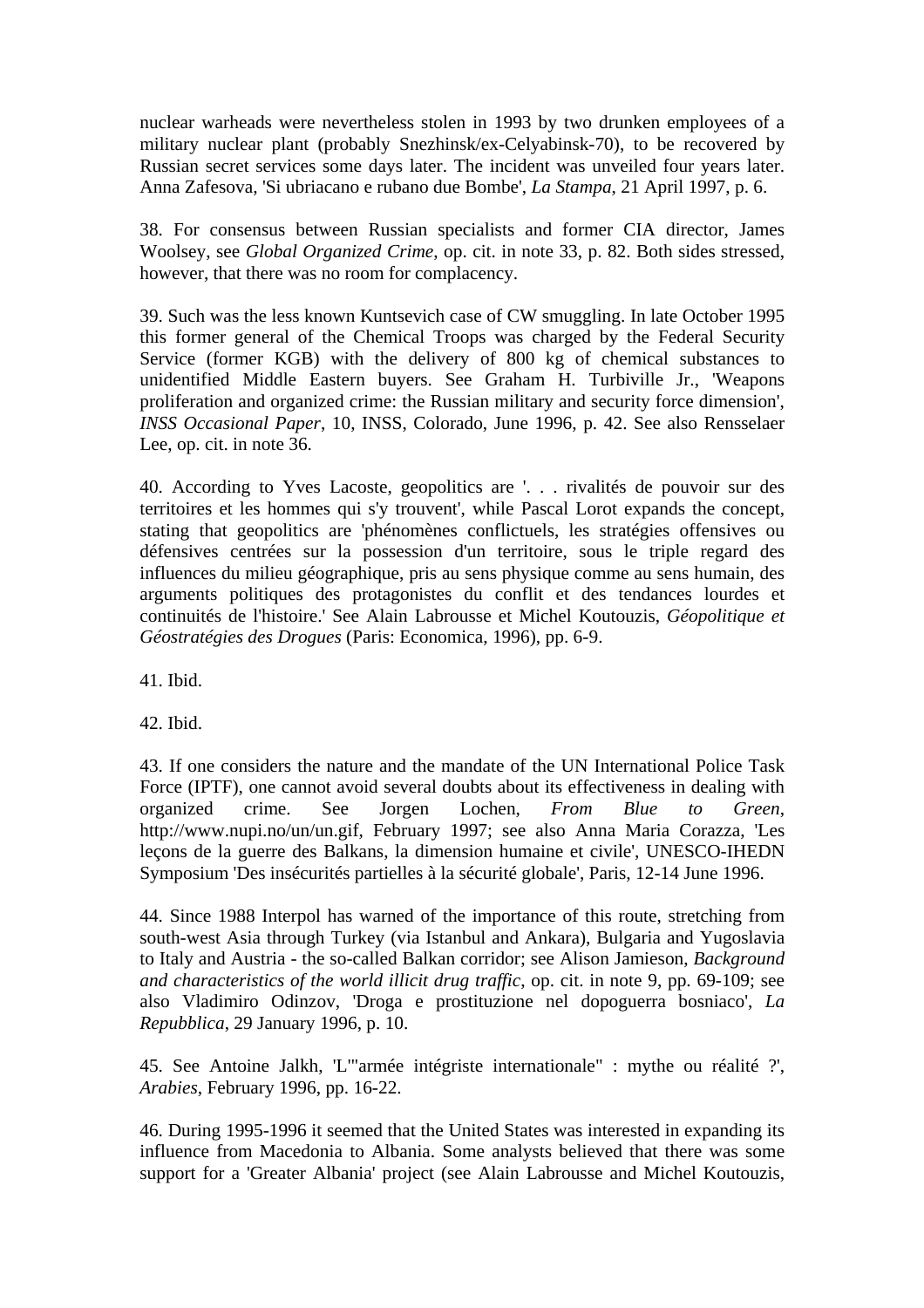nuclear warheads were nevertheless stolen in 1993 by two drunken employees of a military nuclear plant (probably Snezhinsk/ex-Celyabinsk-70), to be recovered by Russian secret services some days later. The incident was unveiled four years later. Anna Zafesova, 'Si ubriacano e rubano due Bombe', *La Stampa*, 21 April 1997, p. 6.

38. For consensus between Russian specialists and former CIA director, James Woolsey, see *Global Organized Crime*, op. cit. in note 33, p. 82. Both sides stressed, however, that there was no room for complacency.

39. Such was the less known Kuntsevich case of CW smuggling. In late October 1995 this former general of the Chemical Troops was charged by the Federal Security Service (former KGB) with the delivery of 800 kg of chemical substances to unidentified Middle Eastern buyers. See Graham H. Turbiville Jr., 'Weapons proliferation and organized crime: the Russian military and security force dimension', *INSS Occasional Paper*, 10, INSS, Colorado, June 1996, p. 42. See also Rensselaer Lee, op. cit. in note 36.

40. According to Yves Lacoste, geopolitics are '. . . rivalités de pouvoir sur des territoires et les hommes qui s'y trouvent', while Pascal Lorot expands the concept, stating that geopolitics are 'phénomènes conflictuels, les stratégies offensives ou défensives centrées sur la possession d'un territoire, sous le triple regard des influences du milieu géographique, pris au sens physique comme au sens humain, des arguments politiques des protagonistes du conflit et des tendances lourdes et continuités de l'histoire.' See Alain Labrousse et Michel Koutouzis, *Géopolitique et Géostratégies des Drogues* (Paris: Economica, 1996), pp. 6-9.

41. Ibid.

42. Ibid.

43. If one considers the nature and the mandate of the UN International Police Task Force (IPTF), one cannot avoid several doubts about its effectiveness in dealing with organized crime. See Jorgen Lochen, *From Blue to Green*, http://www.nupi.no/un/un.gif, February 1997; see also Anna Maria Corazza, 'Les leçons de la guerre des Balkans, la dimension humaine et civile', UNESCO-IHEDN Symposium 'Des insécurités partielles à la sécurité globale', Paris, 12-14 June 1996.

44. Since 1988 Interpol has warned of the importance of this route, stretching from south-west Asia through Turkey (via Istanbul and Ankara), Bulgaria and Yugoslavia to Italy and Austria - the so-called Balkan corridor; see Alison Jamieson, *Background and characteristics of the world illicit drug traffic*, op. cit. in note 9, pp. 69-109; see also Vladimiro Odinzov, 'Droga e prostituzione nel dopoguerra bosniaco', *La Repubblica*, 29 January 1996, p. 10.

45. See Antoine Jalkh, 'L'"armée intégriste internationale" : mythe ou réalité ?', *Arabies*, February 1996, pp. 16-22.

46. During 1995-1996 it seemed that the United States was interested in expanding its influence from Macedonia to Albania. Some analysts believed that there was some support for a 'Greater Albania' project (see Alain Labrousse and Michel Koutouzis,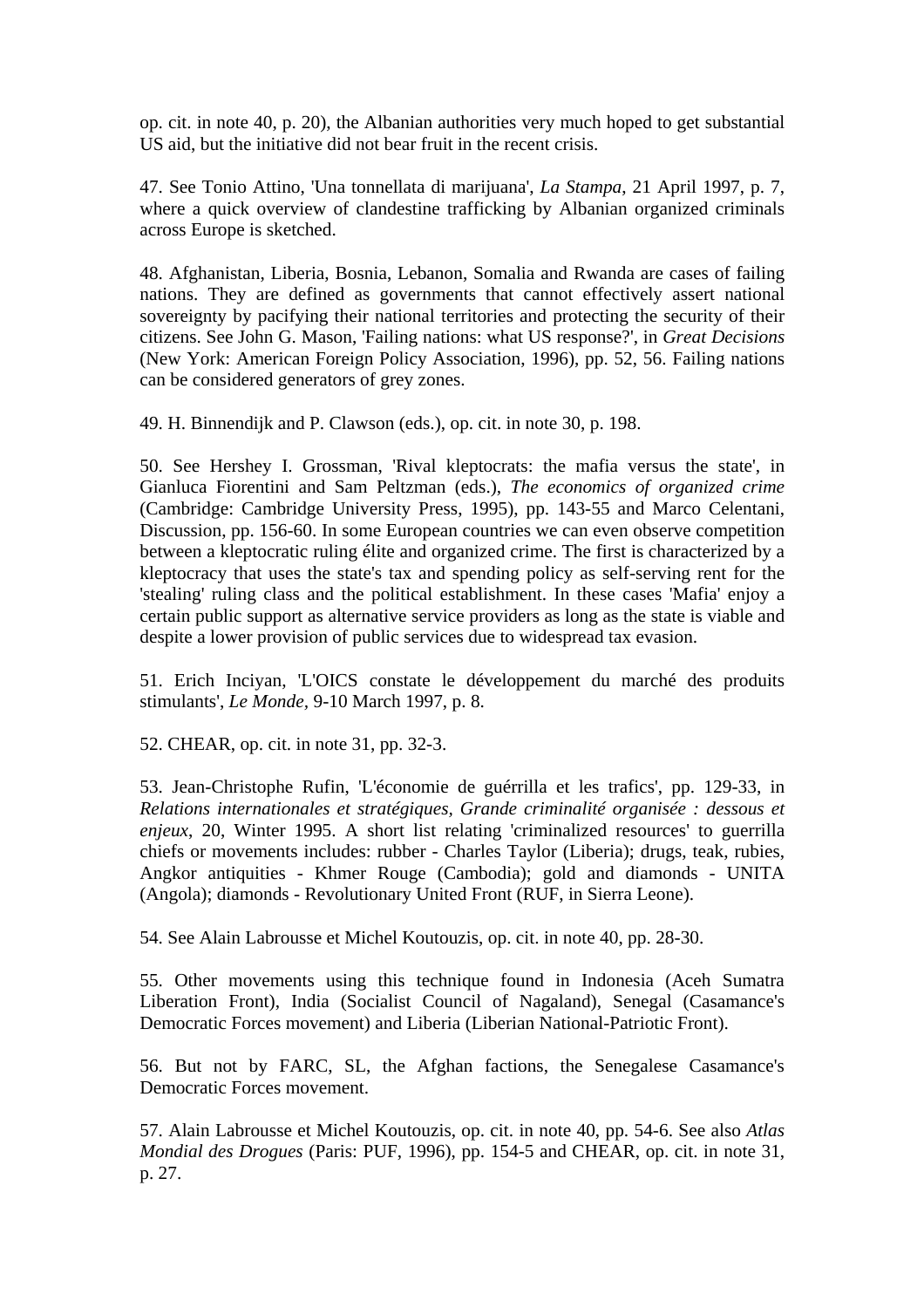op. cit. in note 40, p. 20), the Albanian authorities very much hoped to get substantial US aid, but the initiative did not bear fruit in the recent crisis.

47. See Tonio Attino, 'Una tonnellata di marijuana', *La Stampa*, 21 April 1997, p. 7, where a quick overview of clandestine trafficking by Albanian organized criminals across Europe is sketched.

48. Afghanistan, Liberia, Bosnia, Lebanon, Somalia and Rwanda are cases of failing nations. They are defined as governments that cannot effectively assert national sovereignty by pacifying their national territories and protecting the security of their citizens. See John G. Mason, 'Failing nations: what US response?', in *Great Decisions* (New York: American Foreign Policy Association, 1996), pp. 52, 56. Failing nations can be considered generators of grey zones.

49. H. Binnendijk and P. Clawson (eds.), op. cit. in note 30, p. 198.

50. See Hershey I. Grossman, 'Rival kleptocrats: the mafia versus the state', in Gianluca Fiorentini and Sam Peltzman (eds.), *The economics of organized crime* (Cambridge: Cambridge University Press, 1995), pp. 143-55 and Marco Celentani, Discussion, pp. 156-60. In some European countries we can even observe competition between a kleptocratic ruling élite and organized crime. The first is characterized by a kleptocracy that uses the state's tax and spending policy as self-serving rent for the 'stealing' ruling class and the political establishment. In these cases 'Mafia' enjoy a certain public support as alternative service providers as long as the state is viable and despite a lower provision of public services due to widespread tax evasion.

51. Erich Inciyan, 'L'OICS constate le développement du marché des produits stimulants', *Le Monde,* 9-10 March 1997, p. 8.

52. CHEAR, op. cit. in note 31, pp. 32-3.

53. Jean-Christophe Rufin, 'L'économie de guérrilla et les trafics', pp. 129-33, in *Relations internationales et stratégiques, Grande criminalité organisée : dessous et enjeux*, 20, Winter 1995. A short list relating 'criminalized resources' to guerrilla chiefs or movements includes: rubber - Charles Taylor (Liberia); drugs, teak, rubies, Angkor antiquities - Khmer Rouge (Cambodia); gold and diamonds - UNITA (Angola); diamonds - Revolutionary United Front (RUF, in Sierra Leone).

54. See Alain Labrousse et Michel Koutouzis, op. cit. in note 40, pp. 28-30.

55. Other movements using this technique found in Indonesia (Aceh Sumatra Liberation Front), India (Socialist Council of Nagaland), Senegal (Casamance's Democratic Forces movement) and Liberia (Liberian National-Patriotic Front).

56. But not by FARC, SL, the Afghan factions, the Senegalese Casamance's Democratic Forces movement.

57. Alain Labrousse et Michel Koutouzis, op. cit. in note 40, pp. 54-6. See also *Atlas Mondial des Drogues* (Paris: PUF, 1996), pp. 154-5 and CHEAR, op. cit. in note 31, p. 27.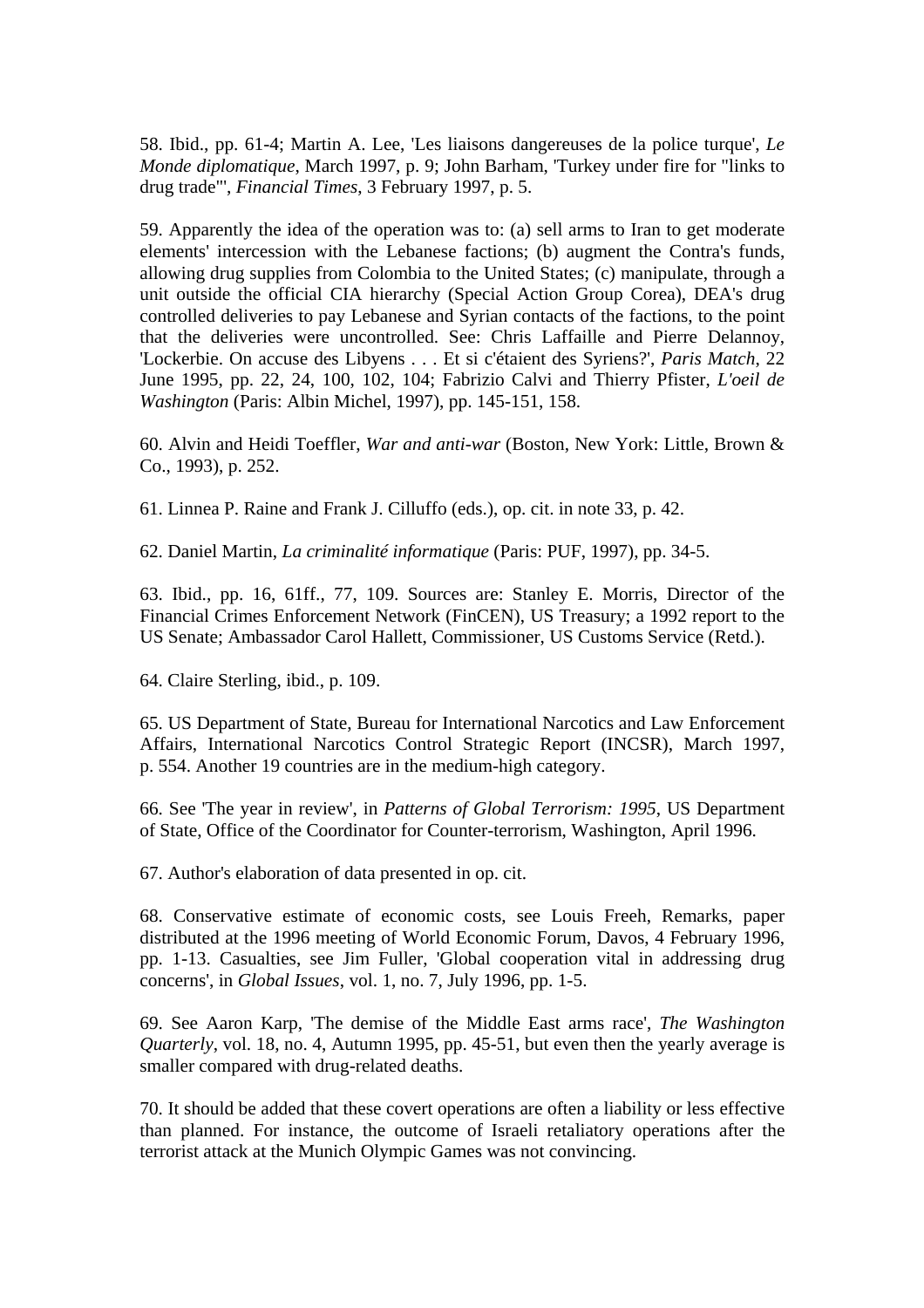58. Ibid., pp. 61-4; Martin A. Lee, 'Les liaisons dangereuses de la police turque', *Le Monde diplomatique*, March 1997, p. 9; John Barham, 'Turkey under fire for "links to drug trade"', *Financial Times*, 3 February 1997, p. 5.

59. Apparently the idea of the operation was to: (a) sell arms to Iran to get moderate elements' intercession with the Lebanese factions; (b) augment the Contra's funds, allowing drug supplies from Colombia to the United States; (c) manipulate, through a unit outside the official CIA hierarchy (Special Action Group Corea), DEA's drug controlled deliveries to pay Lebanese and Syrian contacts of the factions, to the point that the deliveries were uncontrolled. See: Chris Laffaille and Pierre Delannoy, 'Lockerbie. On accuse des Libyens . . . Et si c'étaient des Syriens?', *Paris Match*, 22 June 1995, pp. 22, 24, 100, 102, 104; Fabrizio Calvi and Thierry Pfister, *L'oeil de Washington* (Paris: Albin Michel, 1997), pp. 145-151, 158.

60. Alvin and Heidi Toeffler, *War and anti-war* (Boston, New York: Little, Brown & Co., 1993), p. 252.

61. Linnea P. Raine and Frank J. Cilluffo (eds.), op. cit. in note 33, p. 42.

62. Daniel Martin, *La criminalité informatique* (Paris: PUF, 1997), pp. 34-5.

63. Ibid., pp. 16, 61ff., 77, 109. Sources are: Stanley E. Morris, Director of the Financial Crimes Enforcement Network (FinCEN), US Treasury; a 1992 report to the US Senate; Ambassador Carol Hallett, Commissioner, US Customs Service (Retd.).

64. Claire Sterling, ibid., p. 109.

65. US Department of State, Bureau for International Narcotics and Law Enforcement Affairs, International Narcotics Control Strategic Report (INCSR), March 1997, p. 554. Another 19 countries are in the medium-high category.

66. See 'The year in review', in *Patterns of Global Terrorism: 1995*, US Department of State, Office of the Coordinator for Counter-terrorism, Washington, April 1996.

67. Author's elaboration of data presented in op. cit.

68. Conservative estimate of economic costs, see Louis Freeh, Remarks, paper distributed at the 1996 meeting of World Economic Forum, Davos, 4 February 1996, pp. 1-13. Casualties, see Jim Fuller, 'Global cooperation vital in addressing drug concerns', in *Global Issues*, vol. 1, no. 7, July 1996, pp. 1-5.

69. See Aaron Karp, 'The demise of the Middle East arms race', *The Washington Quarterly*, vol. 18, no. 4, Autumn 1995, pp. 45-51, but even then the yearly average is smaller compared with drug-related deaths.

70. It should be added that these covert operations are often a liability or less effective than planned. For instance, the outcome of Israeli retaliatory operations after the terrorist attack at the Munich Olympic Games was not convincing.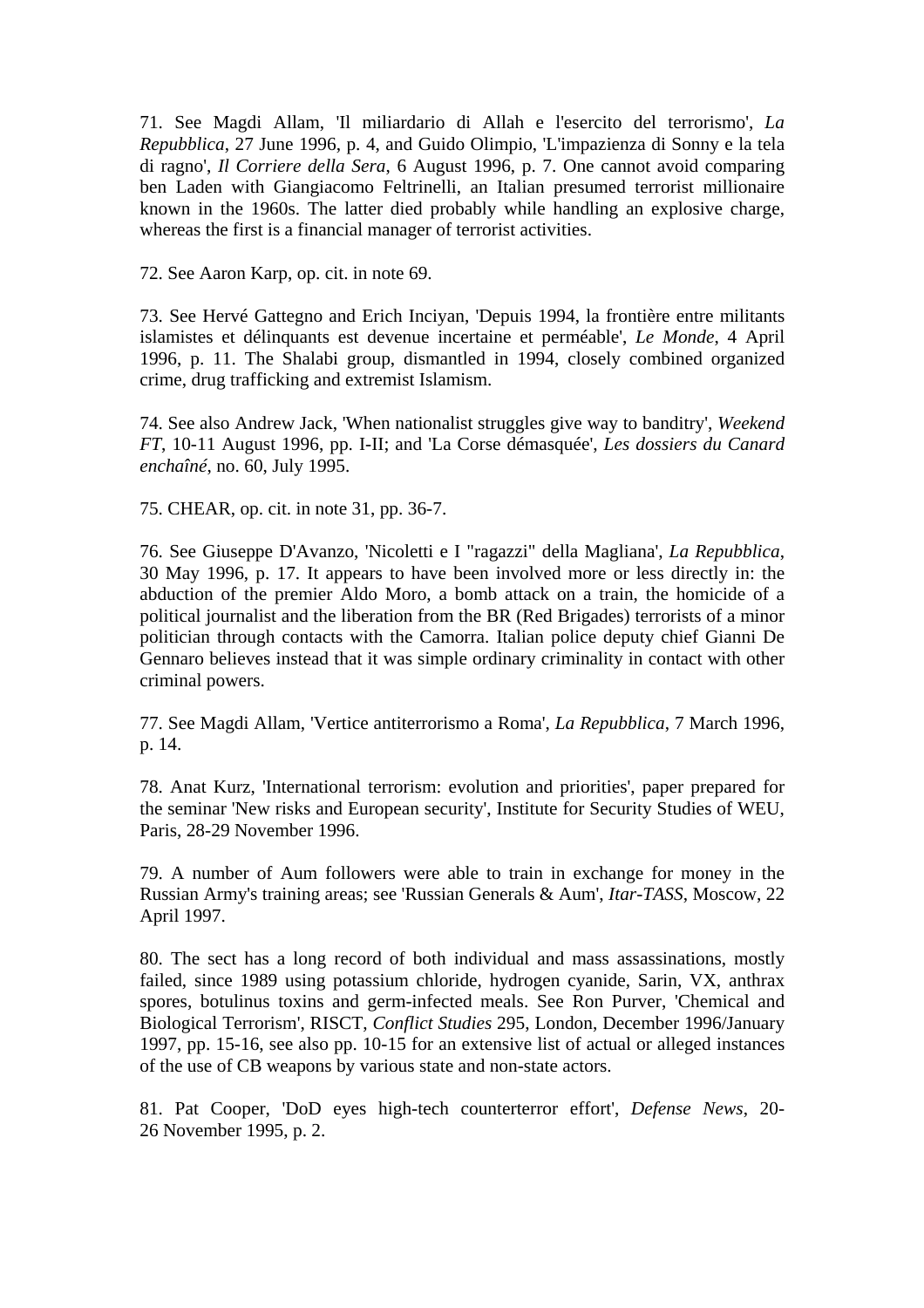71. See Magdi Allam, 'Il miliardario di Allah e l'esercito del terrorismo', *La Repubblica*, 27 June 1996, p. 4, and Guido Olimpio, 'L'impazienza di Sonny e la tela di ragno', *Il Corriere della Sera*, 6 August 1996, p. 7. One cannot avoid comparing ben Laden with Giangiacomo Feltrinelli, an Italian presumed terrorist millionaire known in the 1960s. The latter died probably while handling an explosive charge, whereas the first is a financial manager of terrorist activities.

72. See Aaron Karp, op. cit. in note 69.

73. See Hervé Gattegno and Erich Inciyan, 'Depuis 1994, la frontière entre militants islamistes et délinquants est devenue incertaine et perméable', *Le Monde*, 4 April 1996, p. 11. The Shalabi group, dismantled in 1994, closely combined organized crime, drug trafficking and extremist Islamism.

74. See also Andrew Jack, 'When nationalist struggles give way to banditry', *Weekend FT*, 10-11 August 1996, pp. I-II; and 'La Corse démasquée', *Les dossiers du Canard enchaîné*, no. 60, July 1995.

75. CHEAR, op. cit. in note 31, pp. 36-7.

76. See Giuseppe D'Avanzo, 'Nicoletti e I "ragazzi" della Magliana', *La Repubblica*, 30 May 1996, p. 17. It appears to have been involved more or less directly in: the abduction of the premier Aldo Moro, a bomb attack on a train, the homicide of a political journalist and the liberation from the BR (Red Brigades) terrorists of a minor politician through contacts with the Camorra. Italian police deputy chief Gianni De Gennaro believes instead that it was simple ordinary criminality in contact with other criminal powers.

77. See Magdi Allam, 'Vertice antiterrorismo a Roma', *La Repubblica*, 7 March 1996, p. 14.

78. Anat Kurz, 'International terrorism: evolution and priorities', paper prepared for the seminar 'New risks and European security', Institute for Security Studies of WEU, Paris, 28-29 November 1996.

79. A number of Aum followers were able to train in exchange for money in the Russian Army's training areas; see 'Russian Generals & Aum', *Itar-TASS*, Moscow, 22 April 1997.

80. The sect has a long record of both individual and mass assassinations, mostly failed, since 1989 using potassium chloride, hydrogen cyanide, Sarin, VX, anthrax spores, botulinus toxins and germ-infected meals. See Ron Purver, 'Chemical and Biological Terrorism', RISCT, *Conflict Studies* 295, London, December 1996/January 1997, pp. 15-16, see also pp. 10-15 for an extensive list of actual or alleged instances of the use of CB weapons by various state and non-state actors.

81. Pat Cooper, 'DoD eyes high-tech counterterror effort', *Defense News*, 20- 26 November 1995, p. 2.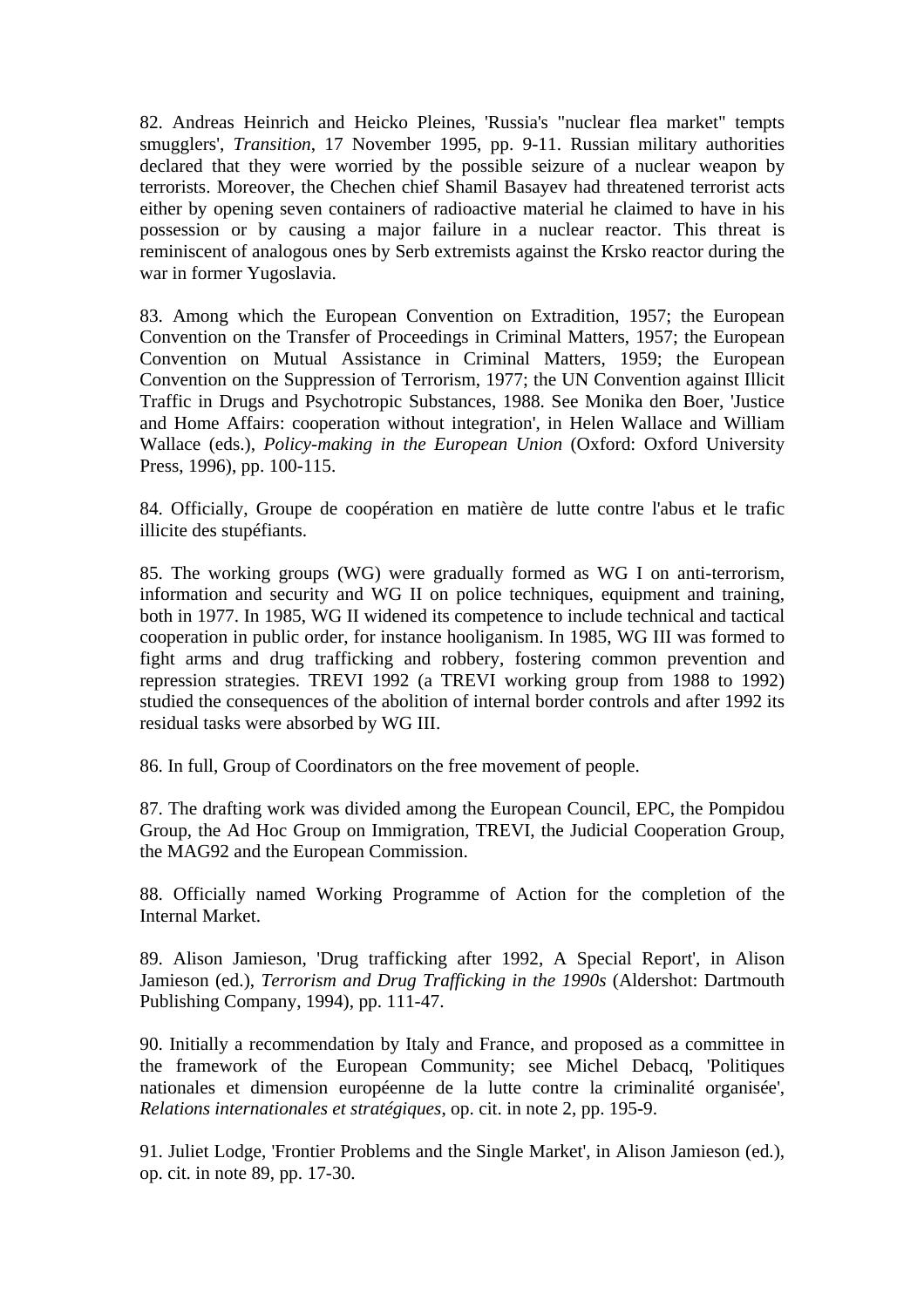82. Andreas Heinrich and Heicko Pleines, 'Russia's "nuclear flea market" tempts smugglers', *Transition*, 17 November 1995, pp. 9-11. Russian military authorities declared that they were worried by the possible seizure of a nuclear weapon by terrorists. Moreover, the Chechen chief Shamil Basayev had threatened terrorist acts either by opening seven containers of radioactive material he claimed to have in his possession or by causing a major failure in a nuclear reactor. This threat is reminiscent of analogous ones by Serb extremists against the Krsko reactor during the war in former Yugoslavia.

83. Among which the European Convention on Extradition, 1957; the European Convention on the Transfer of Proceedings in Criminal Matters, 1957; the European Convention on Mutual Assistance in Criminal Matters, 1959; the European Convention on the Suppression of Terrorism, 1977; the UN Convention against Illicit Traffic in Drugs and Psychotropic Substances, 1988. See Monika den Boer, 'Justice and Home Affairs: cooperation without integration', in Helen Wallace and William Wallace (eds.), *Policy-making in the European Union* (Oxford: Oxford University Press, 1996), pp. 100-115.

84. Officially, Groupe de coopération en matière de lutte contre l'abus et le trafic illicite des stupéfiants.

85. The working groups (WG) were gradually formed as WG I on anti-terrorism, information and security and WG II on police techniques, equipment and training, both in 1977. In 1985, WG II widened its competence to include technical and tactical cooperation in public order, for instance hooliganism. In 1985, WG III was formed to fight arms and drug trafficking and robbery, fostering common prevention and repression strategies. TREVI 1992 (a TREVI working group from 1988 to 1992) studied the consequences of the abolition of internal border controls and after 1992 its residual tasks were absorbed by WG III.

86. In full, Group of Coordinators on the free movement of people.

87. The drafting work was divided among the European Council, EPC, the Pompidou Group, the Ad Hoc Group on Immigration, TREVI, the Judicial Cooperation Group, the MAG92 and the European Commission.

88. Officially named Working Programme of Action for the completion of the Internal Market.

89. Alison Jamieson, 'Drug trafficking after 1992, A Special Report', in Alison Jamieson (ed.), *Terrorism and Drug Trafficking in the 1990s* (Aldershot: Dartmouth Publishing Company, 1994), pp. 111-47.

90. Initially a recommendation by Italy and France, and proposed as a committee in the framework of the European Community; see Michel Debacq, 'Politiques nationales et dimension européenne de la lutte contre la criminalité organisée', *Relations internationales et stratégiques*, op. cit. in note 2, pp. 195-9.

91. Juliet Lodge, 'Frontier Problems and the Single Market', in Alison Jamieson (ed.), op. cit. in note 89, pp. 17-30.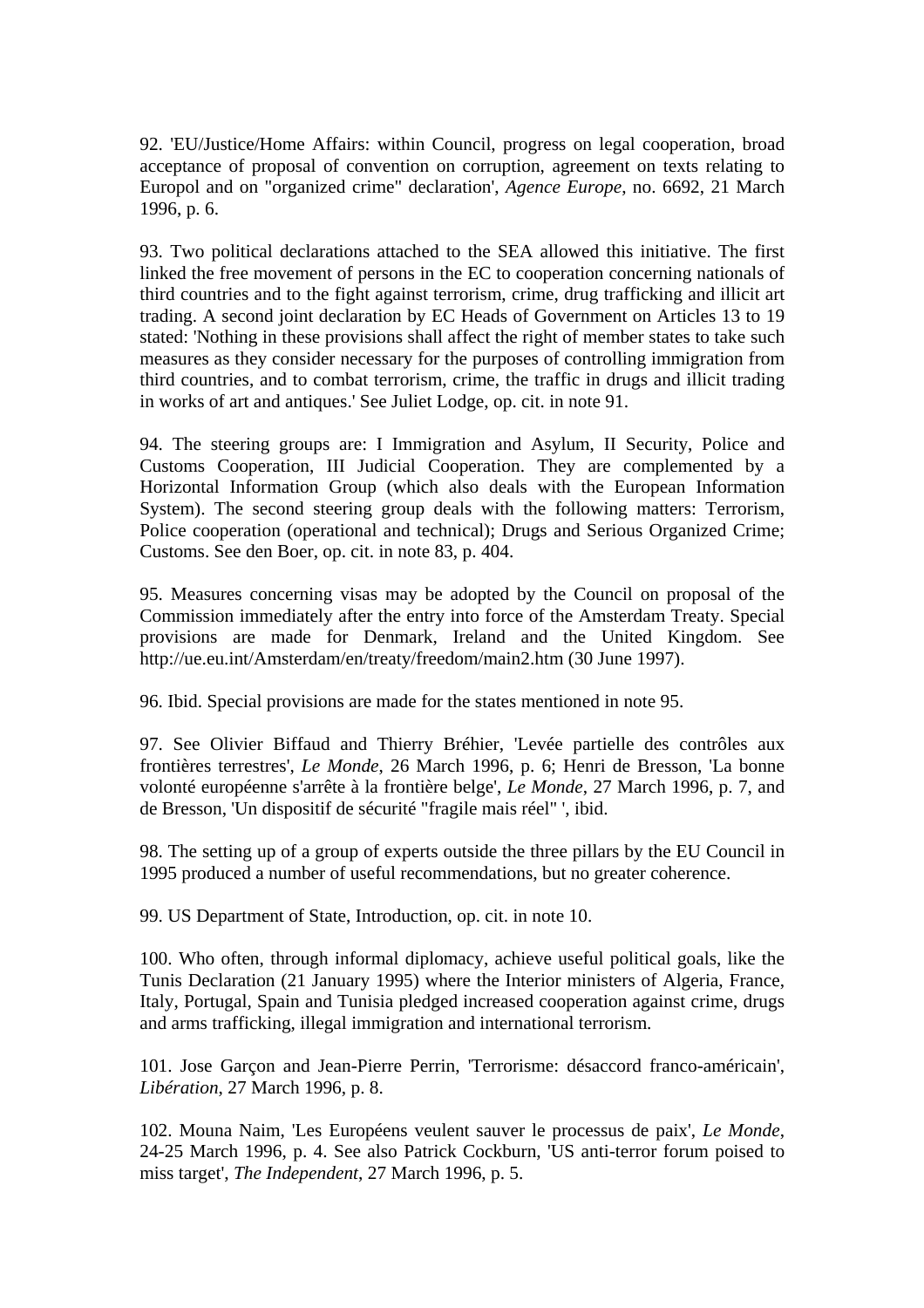92. 'EU/Justice/Home Affairs: within Council, progress on legal cooperation, broad acceptance of proposal of convention on corruption, agreement on texts relating to Europol and on "organized crime" declaration', *Agence Europe*, no. 6692, 21 March 1996, p. 6.

93. Two political declarations attached to the SEA allowed this initiative. The first linked the free movement of persons in the EC to cooperation concerning nationals of third countries and to the fight against terrorism, crime, drug trafficking and illicit art trading. A second joint declaration by EC Heads of Government on Articles 13 to 19 stated: 'Nothing in these provisions shall affect the right of member states to take such measures as they consider necessary for the purposes of controlling immigration from third countries, and to combat terrorism, crime, the traffic in drugs and illicit trading in works of art and antiques.' See Juliet Lodge, op. cit. in note 91.

94. The steering groups are: I Immigration and Asylum, II Security, Police and Customs Cooperation, III Judicial Cooperation. They are complemented by a Horizontal Information Group (which also deals with the European Information System). The second steering group deals with the following matters: Terrorism, Police cooperation (operational and technical); Drugs and Serious Organized Crime; Customs. See den Boer, op. cit. in note 83, p. 404.

95. Measures concerning visas may be adopted by the Council on proposal of the Commission immediately after the entry into force of the Amsterdam Treaty. Special provisions are made for Denmark, Ireland and the United Kingdom. See http://ue.eu.int/Amsterdam/en/treaty/freedom/main2.htm (30 June 1997).

96. Ibid. Special provisions are made for the states mentioned in note 95.

97. See Olivier Biffaud and Thierry Bréhier, 'Levée partielle des contrôles aux frontières terrestres', *Le Monde*, 26 March 1996, p. 6; Henri de Bresson, 'La bonne volonté européenne s'arrête à la frontière belge', *Le Monde*, 27 March 1996, p. 7, and de Bresson, 'Un dispositif de sécurité "fragile mais réel" ', ibid.

98. The setting up of a group of experts outside the three pillars by the EU Council in 1995 produced a number of useful recommendations, but no greater coherence.

99. US Department of State, Introduction, op. cit. in note 10.

100. Who often, through informal diplomacy, achieve useful political goals, like the Tunis Declaration (21 January 1995) where the Interior ministers of Algeria, France, Italy, Portugal, Spain and Tunisia pledged increased cooperation against crime, drugs and arms trafficking, illegal immigration and international terrorism.

101. Jose Garçon and Jean-Pierre Perrin, 'Terrorisme: désaccord franco-américain', *Libération*, 27 March 1996, p. 8.

102. Mouna Naim, 'Les Européens veulent sauver le processus de paix', *Le Monde*, 24-25 March 1996, p. 4. See also Patrick Cockburn, 'US anti-terror forum poised to miss target', *The Independent*, 27 March 1996, p. 5.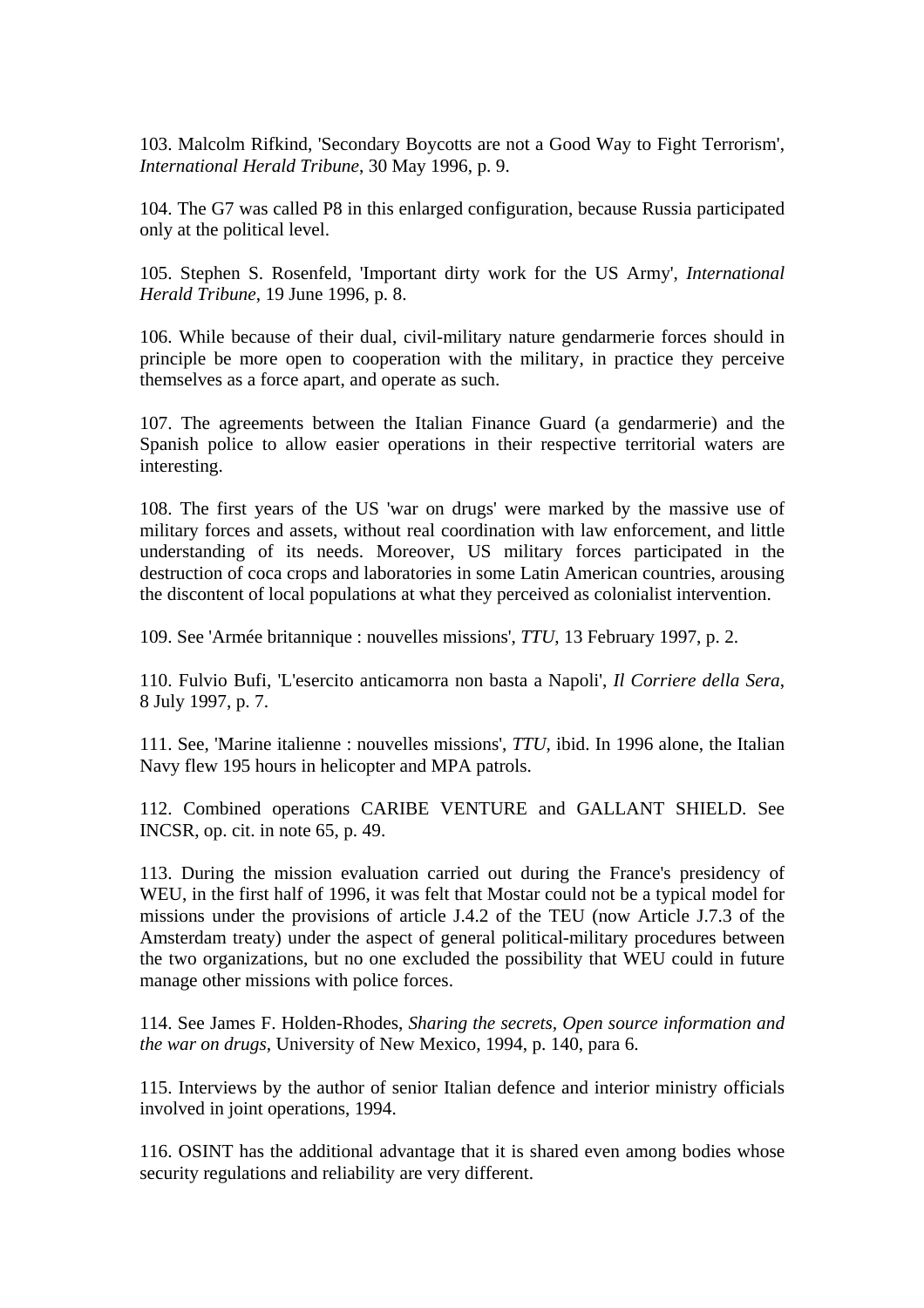103. Malcolm Rifkind, 'Secondary Boycotts are not a Good Way to Fight Terrorism', *International Herald Tribune*, 30 May 1996, p. 9.

104. The G7 was called P8 in this enlarged configuration, because Russia participated only at the political level.

105. Stephen S. Rosenfeld, 'Important dirty work for the US Army', *International Herald Tribune*, 19 June 1996, p. 8.

106. While because of their dual, civil-military nature gendarmerie forces should in principle be more open to cooperation with the military, in practice they perceive themselves as a force apart, and operate as such.

107. The agreements between the Italian Finance Guard (a gendarmerie) and the Spanish police to allow easier operations in their respective territorial waters are interesting.

108. The first years of the US 'war on drugs' were marked by the massive use of military forces and assets, without real coordination with law enforcement, and little understanding of its needs. Moreover, US military forces participated in the destruction of coca crops and laboratories in some Latin American countries, arousing the discontent of local populations at what they perceived as colonialist intervention.

109. See 'Armée britannique : nouvelles missions', *TTU*, 13 February 1997, p. 2.

110. Fulvio Bufi, 'L'esercito anticamorra non basta a Napoli', *Il Corriere della Sera*, 8 July 1997, p. 7.

111. See, 'Marine italienne : nouvelles missions', *TTU*, ibid. In 1996 alone, the Italian Navy flew 195 hours in helicopter and MPA patrols.

112. Combined operations CARIBE VENTURE and GALLANT SHIELD. See INCSR, op. cit. in note 65, p. 49.

113. During the mission evaluation carried out during the France's presidency of WEU, in the first half of 1996, it was felt that Mostar could not be a typical model for missions under the provisions of article J.4.2 of the TEU (now Article J.7.3 of the Amsterdam treaty) under the aspect of general political-military procedures between the two organizations, but no one excluded the possibility that WEU could in future manage other missions with police forces.

114. See James F. Holden-Rhodes, *Sharing the secrets, Open source information and the war on drugs*, University of New Mexico, 1994, p. 140, para 6.

115. Interviews by the author of senior Italian defence and interior ministry officials involved in joint operations, 1994.

116. OSINT has the additional advantage that it is shared even among bodies whose security regulations and reliability are very different.